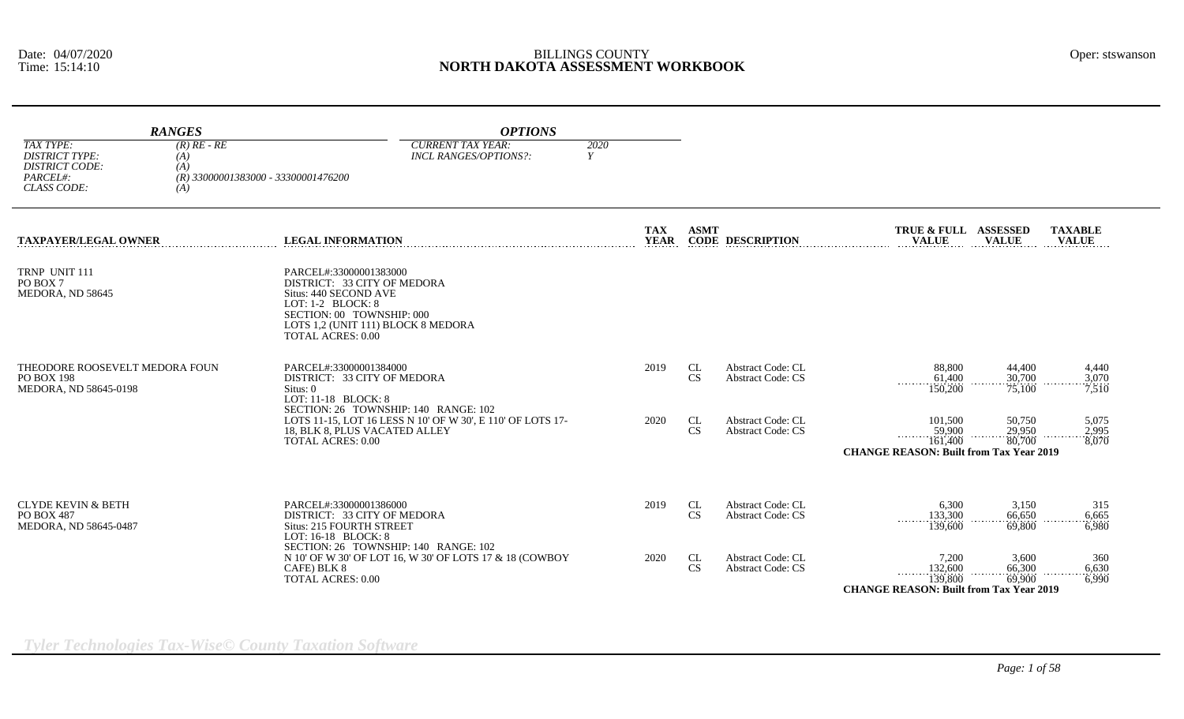|                                                                                               | <b>RANGES</b>                      | <b>OPTIONS</b>                                                                                                                                                                                     |                           |                 |                                                      |                                                                                                              |                                |
|-----------------------------------------------------------------------------------------------|------------------------------------|----------------------------------------------------------------------------------------------------------------------------------------------------------------------------------------------------|---------------------------|-----------------|------------------------------------------------------|--------------------------------------------------------------------------------------------------------------|--------------------------------|
| TAX TYPE:<br><b>DISTRICT TYPE:</b><br><b>DISTRICT CODE:</b><br>PARCEL#:<br><b>CLASS CODE:</b> | $(R)$ RE - RE<br>(A)<br>(A)<br>(A) | <b>CURRENT TAX YEAR:</b><br>INCL RANGES/OPTIONS?:<br>$(R)$ 33000001383000 - 33300001476200                                                                                                         | 2020<br>Y                 |                 |                                                      |                                                                                                              |                                |
| <b>TAXPAYER/LEGAL OWNER</b>                                                                   |                                    | <b>LEGAL INFORMATION</b>                                                                                                                                                                           | <b>TAX</b><br><b>YEAR</b> | <b>ASMT</b>     | <b>CODE DESCRIPTION</b>                              | TRUE & FULL ASSESSED<br><b>VALUE</b><br><b>VALUE</b>                                                         | <b>TAXABLE</b><br><b>VALUE</b> |
| TRNP UNIT 111<br>PO BOX 7<br>MEDORA, ND 58645                                                 |                                    | PARCEL#:33000001383000<br>DISTRICT: 33 CITY OF MEDORA<br>Situs: 440 SECOND AVE<br>LOT: 1-2 BLOCK: 8<br>SECTION: 00 TOWNSHIP: 000<br>LOTS 1,2 (UNIT 111) BLOCK 8 MEDORA<br><b>TOTAL ACRES: 0.00</b> |                           |                 |                                                      |                                                                                                              |                                |
| THEODORE ROOSEVELT MEDORA FOUN<br>PO BOX 198<br>MEDORA, ND 58645-0198                         |                                    | PARCEL#:33000001384000<br>DISTRICT: 33 CITY OF MEDORA<br>Situs: 0<br>LOT: 11-18 BLOCK: 8                                                                                                           | 2019                      | CL<br><b>CS</b> | <b>Abstract Code: CL</b><br><b>Abstract Code: CS</b> | 88,800<br>44,400<br>61,400<br>30,700<br>150,200<br>75,100                                                    | 4,440<br>3,070<br>7,510        |
|                                                                                               |                                    | SECTION: 26 TOWNSHIP: 140 RANGE: 102<br>LOTS 11-15, LOT 16 LESS N 10' OF W 30', E 110' OF LOTS 17-<br>18, BLK 8, PLUS VACATED ALLEY<br><b>TOTAL ACRES: 0.00</b>                                    | 2020                      | CL<br><b>CS</b> | <b>Abstract Code: CL</b><br><b>Abstract Code: CS</b> | 101,500<br>50,750<br>59,900<br>29,950<br>80,700<br>161,400<br><b>CHANGE REASON: Built from Tax Year 2019</b> | 5,075<br>2,995<br>8,070        |
| CLYDE KEVIN & BETH<br>PO BOX 487<br>MEDORA, ND 58645-0487                                     |                                    | PARCEL#:33000001386000<br>DISTRICT: 33 CITY OF MEDORA<br><b>Situs: 215 FOURTH STREET</b>                                                                                                           | 2019                      | CL<br><b>CS</b> | <b>Abstract Code: CL</b><br><b>Abstract Code: CS</b> | 6.300<br>3,150<br>133,300<br>66,650<br>139,600<br>69,800                                                     | 315<br>6,665<br>6,980          |
|                                                                                               |                                    | LOT: 16-18 BLOCK: 8<br>SECTION: 26 TOWNSHIP: 140 RANGE: 102<br>N 10' OF W 30' OF LOT 16, W 30' OF LOTS 17 & 18 (COWBOY<br>CAFE) BLK 8<br><b>TOTAL ACRES: 0.00</b>                                  | 2020                      | CL<br><b>CS</b> | <b>Abstract Code: CL</b><br><b>Abstract Code: CS</b> | 7.200<br>3,600<br>66,300<br>132,600<br>$\cdots \cdots \cdots \cdots$<br>.<br>139,800<br>69,900               | 360<br>6,630<br>6,990          |

**CHANGE REASON: Built from Tax Year 2019**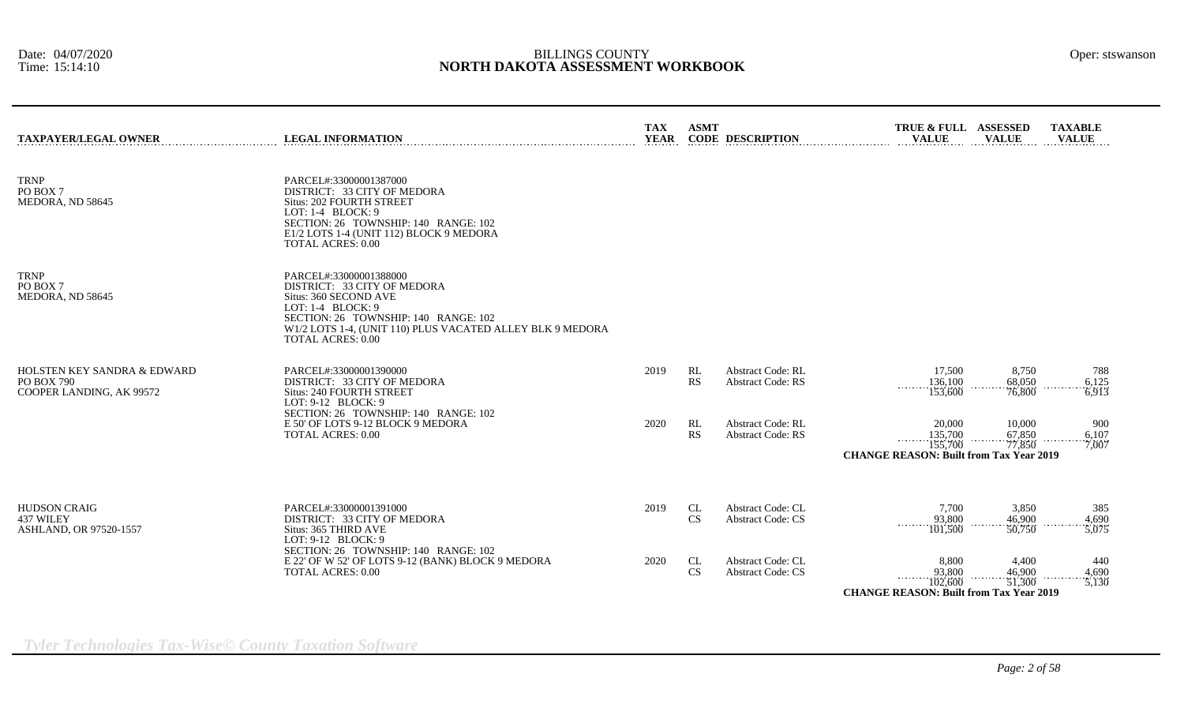| <b>TAXPAYER/LEGAL OWNER</b>                                                             | <b>LEGAL INFORMATION</b>                                                                                                                                                                                                               | <b>TAX</b><br><b>YEAR</b> | <b>ASMT</b>     | <b>CODE DESCRIPTION</b>                              | TRUE & FULL ASSESSED<br><b>VALUE</b>                                              | <b>VALUE</b>               | <b>TAXABLE</b><br><b>VALUE</b> |
|-----------------------------------------------------------------------------------------|----------------------------------------------------------------------------------------------------------------------------------------------------------------------------------------------------------------------------------------|---------------------------|-----------------|------------------------------------------------------|-----------------------------------------------------------------------------------|----------------------------|--------------------------------|
| <b>TRNP</b><br>PO BOX 7<br>MEDORA, ND 58645                                             | PARCEL#:33000001387000<br>DISTRICT: 33 CITY OF MEDORA<br>Situs: 202 FOURTH STREET<br>LOT: $1-4$ BLOCK: 9<br>SECTION: 26 TOWNSHIP: 140 RANGE: 102<br>E1/2 LOTS 1-4 (UNIT 112) BLOCK 9 MEDORA<br><b>TOTAL ACRES: 0.00</b>                |                           |                 |                                                      |                                                                                   |                            |                                |
| <b>TRNP</b><br>PO BOX 7<br>MEDORA, ND 58645                                             | PARCEL#:33000001388000<br>DISTRICT: 33 CITY OF MEDORA<br>Situs: 360 SECOND AVE<br>LOT: $1-4$ BLOCK: 9<br>SECTION: 26 TOWNSHIP: 140 RANGE: 102<br>W1/2 LOTS 1-4, (UNIT 110) PLUS VACATED ALLEY BLK 9 MEDORA<br><b>TOTAL ACRES: 0.00</b> |                           |                 |                                                      |                                                                                   |                            |                                |
| <b>HOLSTEN KEY SANDRA &amp; EDWARD</b><br><b>PO BOX 790</b><br>COOPER LANDING, AK 99572 | PARCEL#:33000001390000<br>DISTRICT: 33 CITY OF MEDORA<br>Situs: 240 FOURTH STREET<br>LOT: 9-12 BLOCK: 9                                                                                                                                | 2019                      | RL<br><b>RS</b> | <b>Abstract Code: RL</b><br><b>Abstract Code: RS</b> | 17,500<br>136,100<br>153,600                                                      | 8,750<br>68,050<br>76,800  | 788<br>6,125<br>6,913          |
|                                                                                         | SECTION: 26 TOWNSHIP: 140 RANGE: 102<br>E 50' OF LOTS 9-12 BLOCK 9 MEDORA<br><b>TOTAL ACRES: 0.00</b>                                                                                                                                  | 2020                      | RL<br><b>RS</b> | <b>Abstract Code: RL</b><br><b>Abstract Code: RS</b> | 20,000<br>135,700<br>155,700<br><b>CHANGE REASON: Built from Tax Year 2019</b>    | 10,000<br>67,850<br>77,850 | 900<br>6,107<br>7,007          |
| <b>HUDSON CRAIG</b><br>437 WILEY<br><b>ASHLAND, OR 97520-1557</b>                       | PARCEL#:33000001391000<br>DISTRICT: 33 CITY OF MEDORA<br>Situs: 365 THIRD AVE<br>LOT: 9-12 BLOCK: 9                                                                                                                                    | 2019                      | CL<br><b>CS</b> | <b>Abstract Code: CL</b><br><b>Abstract Code: CS</b> | 7,700<br>93,800<br>.<br>101,500                                                   | 3,850<br>46,900<br>50,750  | 385<br>4.690<br>5,075          |
|                                                                                         | SECTION: 26 TOWNSHIP: 140 RANGE: 102<br>E 22' OF W 52' OF LOTS 9-12 (BANK) BLOCK 9 MEDORA<br>TOTAL ACRES: 0.00                                                                                                                         | 2020                      | CL<br>CS        | <b>Abstract Code: CL</b><br><b>Abstract Code: CS</b> | 8,800<br>93,800<br>.<br>102,600<br><b>CHANGE REASON: Built from Tax Year 2019</b> | 4,400<br>46,900<br>51,300  | 440<br>4.690<br>5,130          |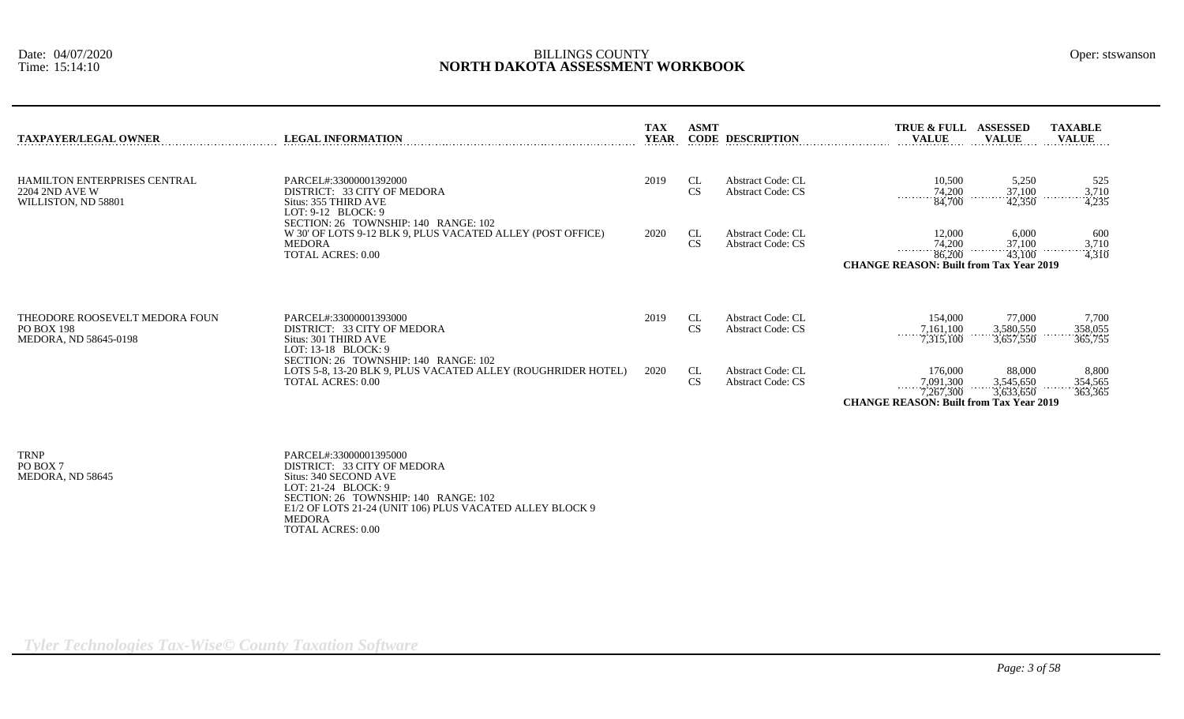| TAXPAYER/LEGAL OWNER                                                  | <b>LEGAL INFORMATION</b>                                                                                                                        | <b>TAX</b><br><b>YEAR</b> | <b>ASMT</b>     | <b>CODE DESCRIPTION</b>                              | TRUE & FULL ASSESSED<br><b>VALUE</b>                                                                                         | <b>VALUE</b>                       | <b>TAXABLE</b><br><b>VALUE</b>                             |
|-----------------------------------------------------------------------|-------------------------------------------------------------------------------------------------------------------------------------------------|---------------------------|-----------------|------------------------------------------------------|------------------------------------------------------------------------------------------------------------------------------|------------------------------------|------------------------------------------------------------|
| HAMILTON ENTERPRISES CENTRAL<br>2204 2ND AVE W<br>WILLISTON, ND 58801 | PARCEL#:33000001392000<br>DISTRICT: 33 CITY OF MEDORA<br>Situs: 355 THIRD AVE<br>LOT: $9-12$ BLOCK: $9$<br>SECTION: 26 TOWNSHIP: 140 RANGE: 102 | 2019                      | CL<br><b>CS</b> | <b>Abstract Code: CL</b><br><b>Abstract Code: CS</b> | 10,500<br>$\frac{74,200}{84,700}$                                                                                            | 5,250<br>$\frac{37,100}{42,350}$   | 525<br>$\begin{array}{r} .3,710 \\ 4,235 \end{array}$<br>. |
|                                                                       | W 30' OF LOTS 9-12 BLK 9, PLUS VACATED ALLEY (POST OFFICE)<br>MEDORA<br><b>TOTAL ACRES: 0.00</b>                                                | 2020                      | CL<br><b>CS</b> | <b>Abstract Code: CL</b><br><b>Abstract Code: CS</b> | 12,000<br>$\frac{74,200}{86,200}$<br><b>CHANGE REASON: Built from Tax Year 2019</b>                                          | 6,000<br>$\frac{37,100}{43,100}$   | 600<br>$\frac{3,710}{4,310}$<br>.                          |
| THEODORE ROOSEVELT MEDORA FOUN<br>PO BOX 198<br>MEDORA, ND 58645-0198 | PARCEL#:33000001393000<br>DISTRICT: 33 CITY OF MEDORA<br>Situs: 301 THIRD AVE<br>LOT: $13-18$ BLOCK: 9<br>SECTION: 26 TOWNSHIP: 140 RANGE: 102  | 2019                      | CL<br>CS        | <b>Abstract Code: CL</b><br><b>Abstract Code: CS</b> | 154,000<br>$\frac{7,161,100}{7,315,100}$                                                                                     | 77,000<br>3,580,550<br>3,657,550   | 7,700<br>358,055<br>365,755                                |
|                                                                       | LOTS 5-8, 13-20 BLK 9, PLUS VACATED ALLEY (ROUGHRIDER HOTEL)<br><b>TOTAL ACRES: 0.00</b>                                                        | 2020                      | CL<br><b>CS</b> | <b>Abstract Code: CL</b><br><b>Abstract Code: CS</b> | 176,000<br>$\begin{array}{ccc}\n & 7,091,300 \\  & 7,267,300\n\end{array}$<br><b>CHANGE REASON: Built from Tax Year 2019</b> | 88,000<br>$3,545,650$<br>3,633,650 | 8,800<br>354,565<br>363,365                                |

TRNP PARCEL#:33000001395000 PO BOX 7<br>
DISTRICT: 33 CITY OF MEDORA<br>
MEDORA, ND 58645<br>
Situs: 340 SECOND AVE MEDORA, ND 58645 Situs: 340 SECOND AVE LOT: 21-24 BLOCK: 9 SECTION: 26 TOWNSHIP: 140 RANGE: 102 E1/2 OF LOTS 21-24 (UNIT 106) PLUS VACATED ALLEY BLOCK 9 MEDORA TOTAL ACRES: 0.00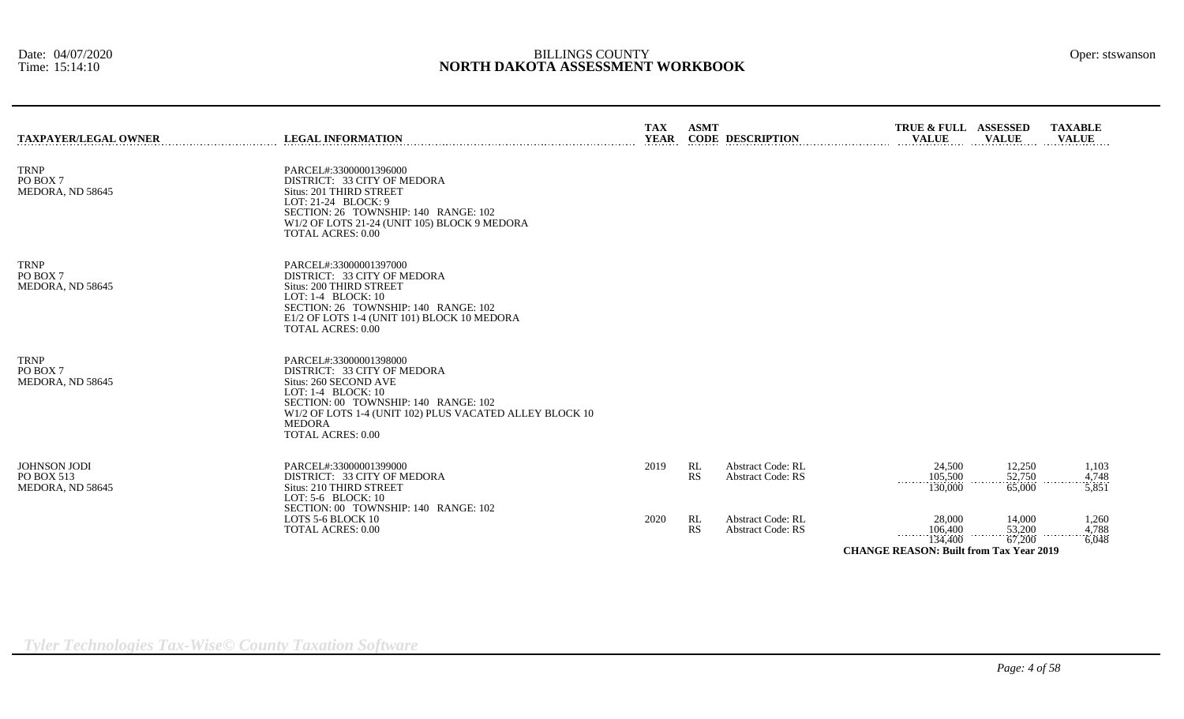| <b>TAXPAYER/LEGAL OWNER</b>                    | <b>LEGAL INFORMATION</b>                                                                                                                                                                                                                             | <b>TAX</b><br><b>YEAR</b> | <b>ASMT</b>     | <b>CODE DESCRIPTION</b>                              | TRUE & FULL ASSESSED<br><b>VALUE</b>                                                  | <b>VALUE</b>                 | <b>TAXABLE</b><br><b>VALUE</b>  |
|------------------------------------------------|------------------------------------------------------------------------------------------------------------------------------------------------------------------------------------------------------------------------------------------------------|---------------------------|-----------------|------------------------------------------------------|---------------------------------------------------------------------------------------|------------------------------|---------------------------------|
| <b>TRNP</b><br>PO BOX 7<br>MEDORA, ND 58645    | PARCEL#:33000001396000<br>DISTRICT: 33 CITY OF MEDORA<br>Situs: 201 THIRD STREET<br>LOT: 21-24 BLOCK: 9<br>SECTION: 26 TOWNSHIP: 140 RANGE: 102<br>W1/2 OF LOTS 21-24 (UNIT 105) BLOCK 9 MEDORA<br><b>TOTAL ACRES: 0.00</b>                          |                           |                 |                                                      |                                                                                       |                              |                                 |
| <b>TRNP</b><br>PO BOX 7<br>MEDORA, ND 58645    | PARCEL#:33000001397000<br>DISTRICT: 33 CITY OF MEDORA<br>Situs: 200 THIRD STREET<br>LOT: 1-4 BLOCK: 10<br>SECTION: 26 TOWNSHIP: 140 RANGE: 102<br>E1/2 OF LOTS 1-4 (UNIT 101) BLOCK 10 MEDORA<br><b>TOTAL ACRES: 0.00</b>                            |                           |                 |                                                      |                                                                                       |                              |                                 |
| <b>TRNP</b><br>PO BOX 7<br>MEDORA, ND 58645    | PARCEL#:33000001398000<br>DISTRICT: 33 CITY OF MEDORA<br>Situs: 260 SECOND AVE<br>LOT: 1-4 BLOCK: 10<br>SECTION: 00 TOWNSHIP: 140 RANGE: 102<br>W1/2 OF LOTS 1-4 (UNIT 102) PLUS VACATED ALLEY BLOCK 10<br><b>MEDORA</b><br><b>TOTAL ACRES: 0.00</b> |                           |                 |                                                      |                                                                                       |                              |                                 |
| JOHNSON JODI<br>PO BOX 513<br>MEDORA, ND 58645 | PARCEL#:33000001399000<br>DISTRICT: 33 CITY OF MEDORA<br>Situs: 210 THIRD STREET<br>LOT: $5-6$ BLOCK: $10$<br>SECTION: 00 TOWNSHIP: 140 RANGE: 102                                                                                                   | 2019                      | RL<br><b>RS</b> | <b>Abstract Code: RL</b><br><b>Abstract Code: RS</b> | 24,500<br>105,500<br>.<br>130,000                                                     | 12,250<br>52,750<br>65,000   | 1,103<br>4,748<br>.<br>$-5,851$ |
|                                                | LOTS 5-6 BLOCK 10<br><b>TOTAL ACRES: 0.00</b>                                                                                                                                                                                                        | 2020                      | RL<br><b>RS</b> | <b>Abstract Code: RL</b><br><b>Abstract Code: RS</b> | 28,000<br>$\frac{106,400}{134,400}$<br><b>CHANGE REASON: Built from Tax Year 2019</b> | 14,000<br>$53,200$<br>67,200 | 1,260<br>4,788<br>6,048         |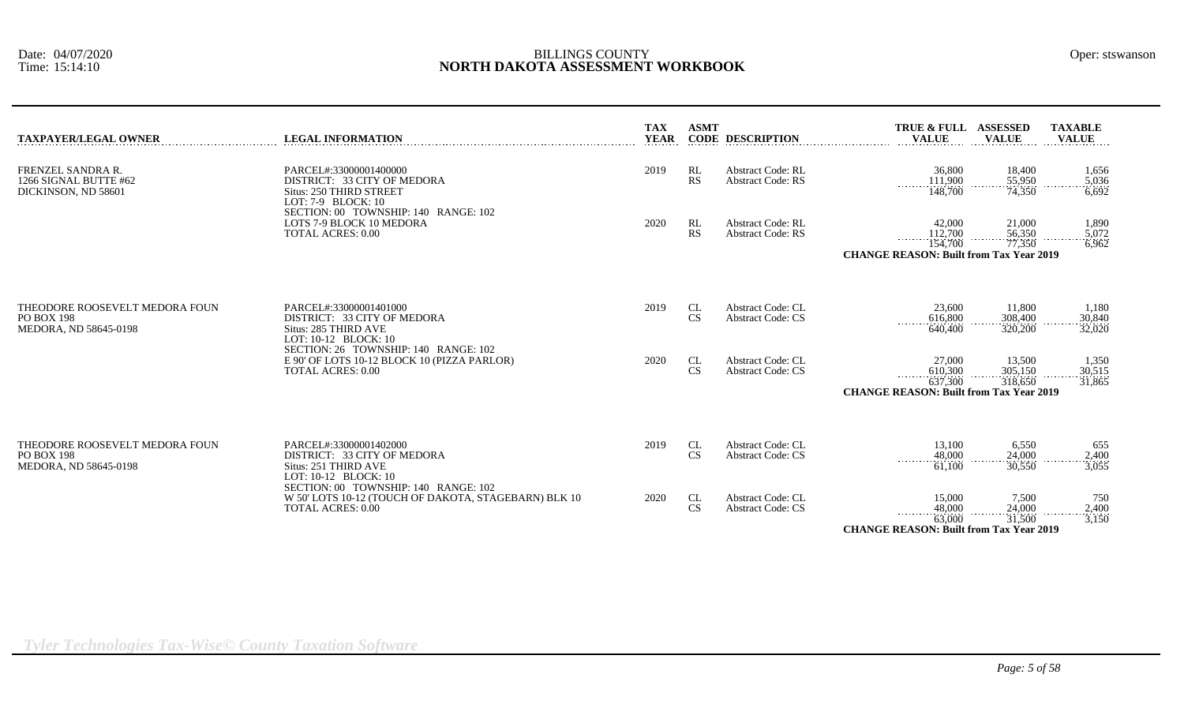| TAXPAYER/LEGAL OWNER                                                         | <b>LEGAL INFORMATION</b>                                                                                                                | <b>TAX</b><br><b>YEAR</b> | <b>ASMT</b>     | <b>CODE DESCRIPTION</b>                              | TRUE & FULL ASSESSED<br><b>VALUE</b>                                                | <b>VALUE</b>                 | <b>TAXABLE</b><br><b>VALUE</b>    |
|------------------------------------------------------------------------------|-----------------------------------------------------------------------------------------------------------------------------------------|---------------------------|-----------------|------------------------------------------------------|-------------------------------------------------------------------------------------|------------------------------|-----------------------------------|
| FRENZEL SANDRA R.<br>1266 SIGNAL BUTTE #62<br>DICKINSON. ND 58601            | PARCEL#:33000001400000<br>DISTRICT: 33 CITY OF MEDORA<br>Situs: 250 THIRD STREET<br>LOT: $7-9$ BLOCK: $10$                              | 2019                      | RL<br>RS        | <b>Abstract Code: RL</b><br><b>Abstract Code: RS</b> | 36,800<br>111,900<br>.<br>148,700                                                   | 18,400<br>55,950<br>74,350   | 1,656<br>$\frac{5,036}{6,692}$    |
|                                                                              | SECTION: 00 TOWNSHIP: 140 RANGE: 102<br>LOTS 7-9 BLOCK 10 MEDORA<br><b>TOTAL ACRES: 0.00</b>                                            | 2020                      | RL<br><b>RS</b> | <b>Abstract Code: RL</b><br><b>Abstract Code: RS</b> | 42,000<br>112,700<br>.<br>154,700<br><b>CHANGE REASON: Built from Tax Year 2019</b> | 21,000<br>56,350<br>77,350   | 1,890<br>5,072<br>6,962           |
| THEODORE ROOSEVELT MEDORA FOUN<br><b>PO BOX 198</b><br>MEDORA, ND 58645-0198 | PARCEL#:33000001401000<br>DISTRICT: 33 CITY OF MEDORA<br>Situs: 285 THIRD AVE                                                           | 2019                      | CL<br><b>CS</b> | <b>Abstract Code: CL</b><br><b>Abstract Code: CS</b> | 23,600<br>616,800<br>.<br>640,400                                                   | 11,800<br>308,400<br>320,200 | 1,180<br>30,840<br>32,020         |
|                                                                              | LOT: 10-12 BLOCK: 10<br>SECTION: 26 TOWNSHIP: 140 RANGE: 102<br>E 90' OF LOTS 10-12 BLOCK 10 (PIZZA PARLOR)<br><b>TOTAL ACRES: 0.00</b> | 2020                      | CL<br>CS        | <b>Abstract Code: CL</b><br><b>Abstract Code: CS</b> | 27,000<br>610,300<br>637,300<br><b>CHANGE REASON: Built from Tax Year 2019</b>      | 13,500<br>305,150<br>318,650 | 1,350<br>30.515<br>31,865         |
| THEODORE ROOSEVELT MEDORA FOUN<br>PO BOX 198<br>MEDORA. ND 58645-0198        | PARCEL#:33000001402000<br>DISTRICT: 33 CITY OF MEDORA<br>Situs: 251 THIRD AVE<br>LOT: 10-12 BLOCK: 10                                   | 2019                      | CL<br><b>CS</b> | <b>Abstract Code: CL</b><br><b>Abstract Code: CS</b> | 13,100<br>48,000<br>.<br>61,100                                                     | 6,550<br>24,000<br>30.550    | 655<br>2,400<br>$\frac{1}{3,055}$ |
|                                                                              | SECTION: 00 TOWNSHIP: 140 RANGE: 102<br>W 50' LOTS 10-12 (TOUCH OF DAKOTA, STAGEBARN) BLK 10<br><b>TOTAL ACRES: 0.00</b>                | 2020                      | CL<br>CS        | <b>Abstract Code: CL</b><br><b>Abstract Code: CS</b> | 15,000<br>48,000<br>.<br>63,000                                                     | 7,500<br>24,000<br>31,500    | 750<br>2,400<br>3,150             |

*Tyler Technologies Tax-Wise© County Taxation Software*

*Page: 5 of 58*

**CHANGE REASON: Built from Tax Year 2019**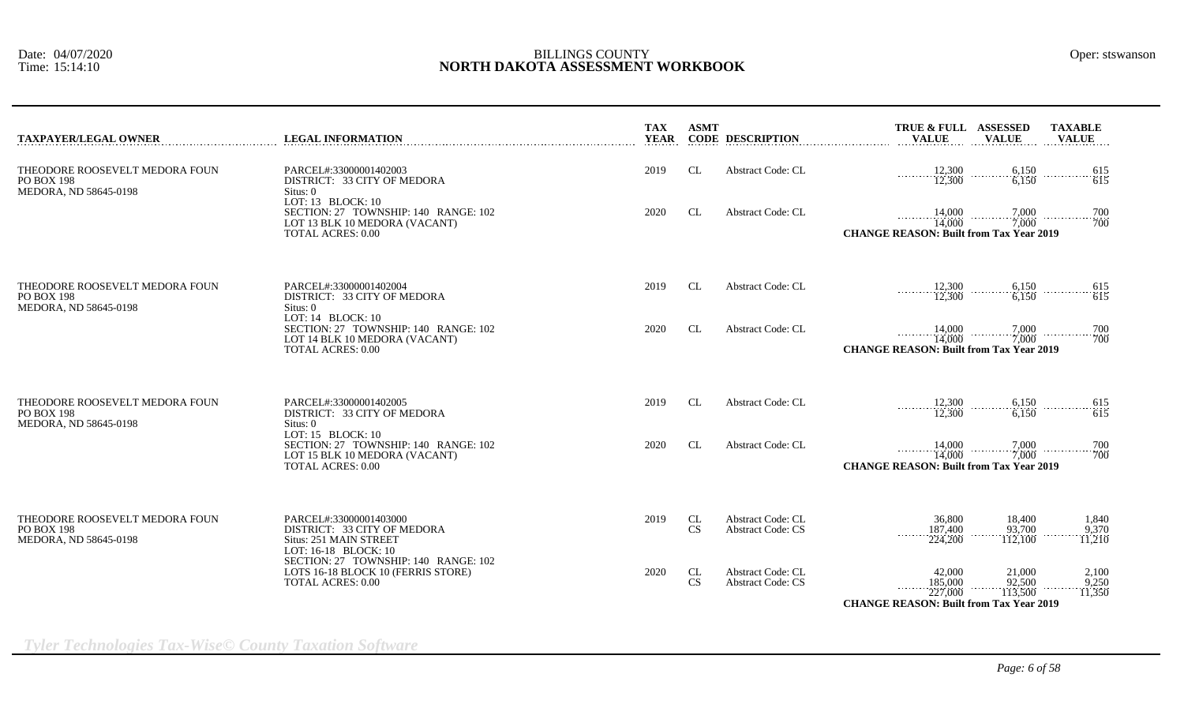| <b>TAXPAYER/LEGAL OWNER</b>                                                  | <b>LEGAL INFORMATION</b>                                                                                                   | <b>TAX</b><br><b>YEAR</b> | <b>ASMT</b>     | <b>CODE DESCRIPTION</b>                              | TRUE & FULL ASSESSED<br><b>TAXABLE</b><br><b>VALUE</b><br><b>VALUE</b><br><b>VALUE</b>                      |
|------------------------------------------------------------------------------|----------------------------------------------------------------------------------------------------------------------------|---------------------------|-----------------|------------------------------------------------------|-------------------------------------------------------------------------------------------------------------|
| THEODORE ROOSEVELT MEDORA FOUN<br><b>PO BOX 198</b><br>MEDORA, ND 58645-0198 | PARCEL#:33000001402003<br>DISTRICT: 33 CITY OF MEDORA<br>Situs: 0                                                          | 2019                      | CL              | <b>Abstract Code: CL</b>                             | 12,300<br>6,150<br>615<br>615<br>12,300<br>6.150                                                            |
|                                                                              | LOT: 13 BLOCK: 10<br>SECTION: 27 TOWNSHIP: 140 RANGE: 102<br>LOT 13 BLK 10 MEDORA (VACANT)<br><b>TOTAL ACRES: 0.00</b>     | 2020                      | CL              | <b>Abstract Code: CL</b>                             | 14,000<br>7,000<br>700<br>$\cdots$ 700<br>7,000<br>14,000<br><b>CHANGE REASON: Built from Tax Year 2019</b> |
| THEODORE ROOSEVELT MEDORA FOUN<br><b>PO BOX 198</b><br>MEDORA, ND 58645-0198 | PARCEL#:33000001402004<br>DISTRICT: 33 CITY OF MEDORA<br>Situs: 0                                                          | 2019                      | CL              | Abstract Code: CL                                    | 12,300<br>6,150<br>$-\frac{615}{615}$<br>12,300<br>6,150                                                    |
|                                                                              | LOT: $14$ BLOCK: $10$<br>SECTION: 27 TOWNSHIP: 140 RANGE: 102<br>LOT 14 BLK 10 MEDORA (VACANT)<br><b>TOTAL ACRES: 0.00</b> | 2020                      | CL              | <b>Abstract Code: CL</b>                             | 14,000<br>7,000<br>700<br>700<br>7,000<br>14,000<br><b>CHANGE REASON: Built from Tax Year 2019</b>          |
| THEODORE ROOSEVELT MEDORA FOUN<br><b>PO BOX 198</b><br>MEDORA, ND 58645-0198 | PARCEL#:33000001402005<br>DISTRICT: 33 CITY OF MEDORA<br>Situs: 0                                                          | 2019                      | CL              | Abstract Code: CL                                    | 12,300<br>6,150<br>$\ldots \ldots \ldots \ldots \ldots \frac{615}{615}$<br>.<br>6,150<br>12,300             |
|                                                                              | LOT: $15$ BLOCK: $10$<br>SECTION: 27 TOWNSHIP: 140 RANGE: 102<br>LOT 15 BLK 10 MEDORA (VACANT)<br><b>TOTAL ACRES: 0.00</b> | 2020                      | CL              | <b>Abstract Code: CL</b>                             | 14,000<br>7.000<br>700<br>700<br>14.000<br>7.000<br><b>CHANGE REASON: Built from Tax Year 2019</b>          |
| THEODORE ROOSEVELT MEDORA FOUN<br><b>PO BOX 198</b><br>MEDORA, ND 58645-0198 | PARCEL#:33000001403000<br>DISTRICT: 33 CITY OF MEDORA<br>Situs: 251 MAIN STREET<br>LOT: 16-18 BLOCK: 10                    | 2019                      | CL<br>CS        | <b>Abstract Code: CL</b><br><b>Abstract Code: CS</b> | 36,800<br>18,400<br>1,840<br>187,400<br>93,700<br>9,370<br>1.1.1.1.1<br>112,100<br>11,210<br>224,200        |
|                                                                              | SECTION: 27 TOWNSHIP: 140 RANGE: 102<br>LOTS 16-18 BLOCK 10 (FERRIS STORE)<br><b>TOTAL ACRES: 0.00</b>                     | 2020                      | CL<br><b>CS</b> | <b>Abstract Code: CL</b><br><b>Abstract Code: CS</b> | 42,000<br>21,000<br>2,100<br>185,000<br>92,500<br>9,250                                                     |
|                                                                              |                                                                                                                            |                           |                 |                                                      | 11,350<br>227,000<br>113,500<br><b>CHANGE REASON: Built from Tax Year 2019</b>                              |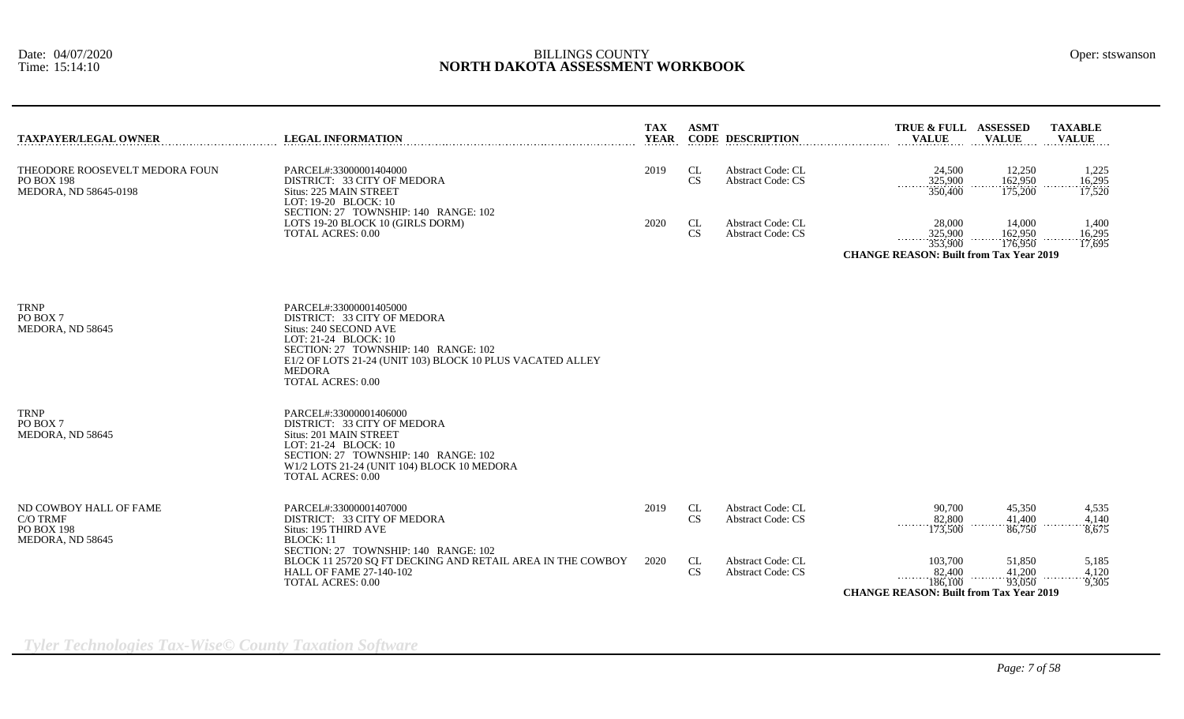| <b>TAXPAYER/LEGAL OWNER</b>                                                  | <b>LEGAL INFORMATION</b>                                                                                                                                                                                                                                 | <b>TAX</b><br><b>YEAR</b> | <b>ASMT</b>            | <b>CODE DESCRIPTION</b>                              | TRUE & FULL ASSESSED<br><b>VALUE</b>                                                | <b>VALUE</b>                 | <b>TAXABLE</b><br><b>VALUE</b> |
|------------------------------------------------------------------------------|----------------------------------------------------------------------------------------------------------------------------------------------------------------------------------------------------------------------------------------------------------|---------------------------|------------------------|------------------------------------------------------|-------------------------------------------------------------------------------------|------------------------------|--------------------------------|
| THEODORE ROOSEVELT MEDORA FOUN<br><b>PO BOX 198</b><br>MEDORA, ND 58645-0198 | PARCEL#:33000001404000<br>DISTRICT: 33 CITY OF MEDORA<br>Situs: 225 MAIN STREET<br>LOT: 19-20 BLOCK: 10                                                                                                                                                  | 2019                      | CL<br>CS               | <b>Abstract Code: CL</b><br><b>Abstract Code: CS</b> | 24,500<br>325,900<br>350,400                                                        | 12,250<br>162,950<br>175,200 | 1,225<br>16,295<br>17,520      |
|                                                                              | SECTION: 27 TOWNSHIP: 140 RANGE: 102<br>LOTS 19-20 BLOCK 10 (GIRLS DORM)<br><b>TOTAL ACRES: 0.00</b>                                                                                                                                                     | 2020                      | <b>CL</b><br><b>CS</b> | <b>Abstract Code: CL</b><br><b>Abstract Code: CS</b> | 28,000<br>325,900<br>353,900<br><b>CHANGE REASON: Built from Tax Year 2019</b>      | 14,000<br>162,950<br>176,950 | 1,400<br>16,295<br>17,695      |
|                                                                              |                                                                                                                                                                                                                                                          |                           |                        |                                                      |                                                                                     |                              |                                |
| <b>TRNP</b><br>PO BOX 7<br>MEDORA, ND 58645                                  | PARCEL#:33000001405000<br>DISTRICT: 33 CITY OF MEDORA<br>Situs: 240 SECOND AVE<br>LOT: 21-24 BLOCK: 10<br>SECTION: 27 TOWNSHIP: 140 RANGE: 102<br>E1/2 OF LOTS 21-24 (UNIT 103) BLOCK 10 PLUS VACATED ALLEY<br><b>MEDORA</b><br><b>TOTAL ACRES: 0.00</b> |                           |                        |                                                      |                                                                                     |                              |                                |
| <b>TRNP</b><br>PO BOX 7<br>MEDORA, ND 58645                                  | PARCEL#:33000001406000<br>DISTRICT: 33 CITY OF MEDORA<br>Situs: 201 MAIN STREET<br>LOT: 21-24 BLOCK: 10<br>SECTION: 27 TOWNSHIP: 140 RANGE: 102<br>W1/2 LOTS 21-24 (UNIT 104) BLOCK 10 MEDORA<br><b>TOTAL ACRES: 0.00</b>                                |                           |                        |                                                      |                                                                                     |                              |                                |
| ND COWBOY HALL OF FAME<br>C/O TRMF<br><b>PO BOX 198</b><br>MEDORA, ND 58645  | PARCEL#:33000001407000<br>DISTRICT: 33 CITY OF MEDORA<br>Situs: 195 THIRD AVE<br><b>BLOCK: 11</b>                                                                                                                                                        | 2019                      | <b>CL</b><br><b>CS</b> | <b>Abstract Code: CL</b><br><b>Abstract Code: CS</b> | 90,700<br>82,800<br>.<br>173,500                                                    | 45,350<br>41,400<br>86,750   | 4,535<br>4,140<br>8,675        |
|                                                                              | SECTION: 27 TOWNSHIP: 140 RANGE: 102<br>BLOCK 11 25720 SQ FT DECKING AND RETAIL AREA IN THE COWBOY<br><b>HALL OF FAME 27-140-102</b><br><b>TOTAL ACRES: 0.00</b>                                                                                         | 2020                      | CL<br><b>CS</b>        | <b>Abstract Code: CL</b><br><b>Abstract Code: CS</b> | 103,700<br>82,400<br>.<br>186,100<br><b>CHANGE REASON: Built from Tax Year 2019</b> | 51,850<br>41,200<br>93,050   | 5,185<br>4.120<br>9,305        |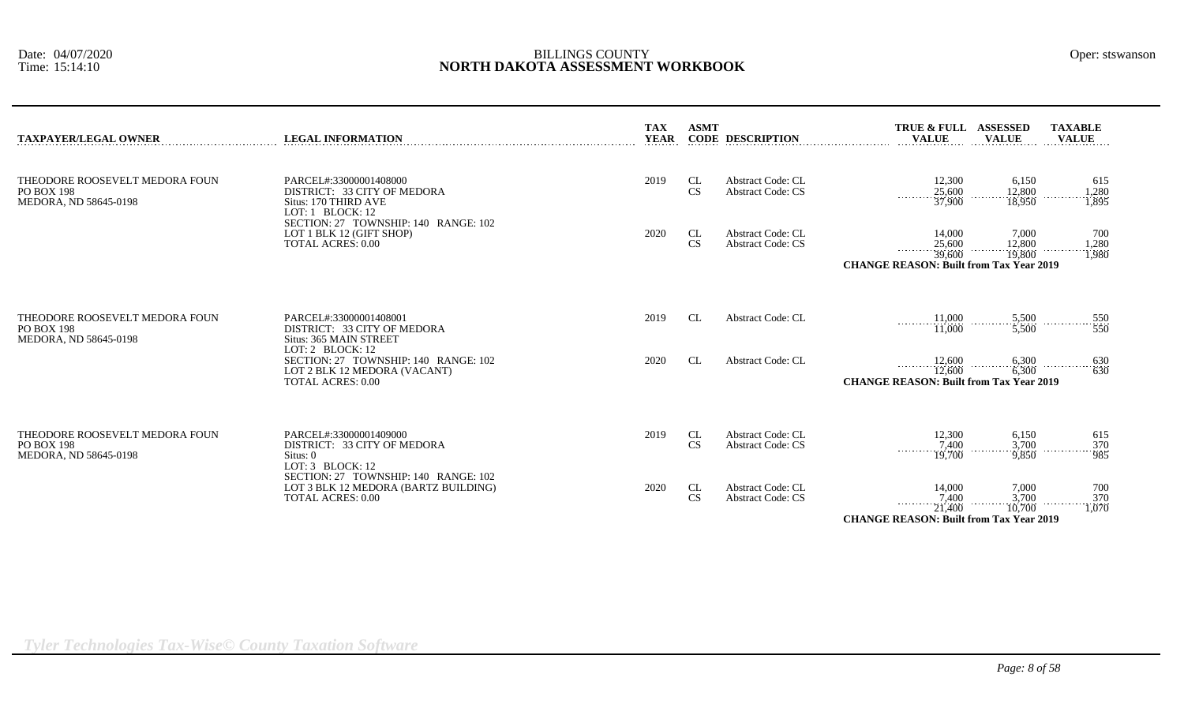| TRUE & FULL ASSESSED<br><b>ASMT</b><br>TAXABLE |                  |                         |                              |              |
|------------------------------------------------|------------------|-------------------------|------------------------------|--------------|
| .<br>.<br>.                                    | TAX<br>YEAR<br>. | <b>CODE DESCRIPTION</b> | <b>VALIE</b><br><b>VALUE</b> | <b>VALUE</b> |

| THEODORE ROOSEVELT MEDORA FOUN<br><b>PO BOX 198</b><br>MEDORA, ND 58645-0198 | PARCEL#:33000001408000<br>DISTRICT: 33 CITY OF MEDORA<br>Situs: 170 THIRD AVE<br>LOT: $1$ BLOCK: $12$<br>SECTION: 27 TOWNSHIP: 140 RANGE: 102<br>LOT 1 BLK 12 (GIFT SHOP)<br><b>TOTAL ACRES: 0.00</b>   | 2019<br>2020 | CL<br>CS<br>CL<br>CS                                   | Abstract Code: CL<br><b>Abstract Code: CS</b><br>Abstract Code: CL<br><b>Abstract Code: CS</b>               | 12,300<br>615<br>6,150<br>12,800<br>1,280<br>1,895<br>25,600<br>.<br>37,900<br>18,950<br>14,000<br>7,000<br>700<br>25,600<br>12,800<br>1,280<br>.<br>39,600<br>1,980<br>19,800<br><b>CHANGE REASON: Built from Tax Year 2019</b>                                                            |
|------------------------------------------------------------------------------|---------------------------------------------------------------------------------------------------------------------------------------------------------------------------------------------------------|--------------|--------------------------------------------------------|--------------------------------------------------------------------------------------------------------------|---------------------------------------------------------------------------------------------------------------------------------------------------------------------------------------------------------------------------------------------------------------------------------------------|
| THEODORE ROOSEVELT MEDORA FOUN<br><b>PO BOX 198</b><br>MEDORA, ND 58645-0198 | PARCEL#:33000001408001<br>DISTRICT: 33 CITY OF MEDORA<br>Situs: 365 MAIN STREET<br>LOT: 2 BLOCK: 12<br>SECTION: 27 TOWNSHIP: 140 RANGE: 102<br>LOT 2 BLK 12 MEDORA (VACANT)<br><b>TOTAL ACRES: 0.00</b> | 2019<br>2020 | <b>CL</b><br><b>CL</b>                                 | <b>Abstract Code: CL</b><br><b>Abstract Code: CL</b>                                                         | 11,000<br>$\frac{5,500}{5,500}$<br>$-\frac{550}{550}$<br>.<br>.<br>.<br>$\frac{1}{11,000}$<br>12,600<br>12,600<br>6,300<br>$\cdots$ 630<br>630<br>.<br>.<br>6,300<br><b>CHANGE REASON: Built from Tax Year 2019</b>                                                                         |
| THEODORE ROOSEVELT MEDORA FOUN<br><b>PO BOX 198</b><br>MEDORA, ND 58645-0198 | PARCEL#:33000001409000<br>DISTRICT: 33 CITY OF MEDORA<br>Situs: 0<br>LOT: 3 BLOCK: 12<br>SECTION: 27 TOWNSHIP: 140 RANGE: 102<br>LOT 3 BLK 12 MEDORA (BARTZ BUILDING)<br><b>TOTAL ACRES: 0.00</b>       | 2019<br>2020 | <b>CL</b><br><b>CS</b><br>CL<br>$\mathbf{C}\mathbf{S}$ | <b>Abstract Code: CL</b><br><b>Abstract Code: CS</b><br><b>Abstract Code: CL</b><br><b>Abstract Code: CS</b> | 12,300<br>6,150<br>615<br>$-\frac{370}{985}$<br>$\frac{3,700}{9,850}$<br>7,400<br>.<br>19,700<br>14,000<br>7,000<br>700<br>$\begin{array}{c}\n 370 \\  \overline{)1,070}\n \end{array}$<br>$\frac{3,700}{10,700}$<br>7,400<br>21,400<br>.<br><b>CHANGE REASON: Built from Tax Year 2019</b> |

*Tyler Technologies Tax-Wise© County Taxation Software*

**TAXPAYER/LEGAL OWNER LEGAL INFORMATION CONDERVERTION CONDERVERTIES**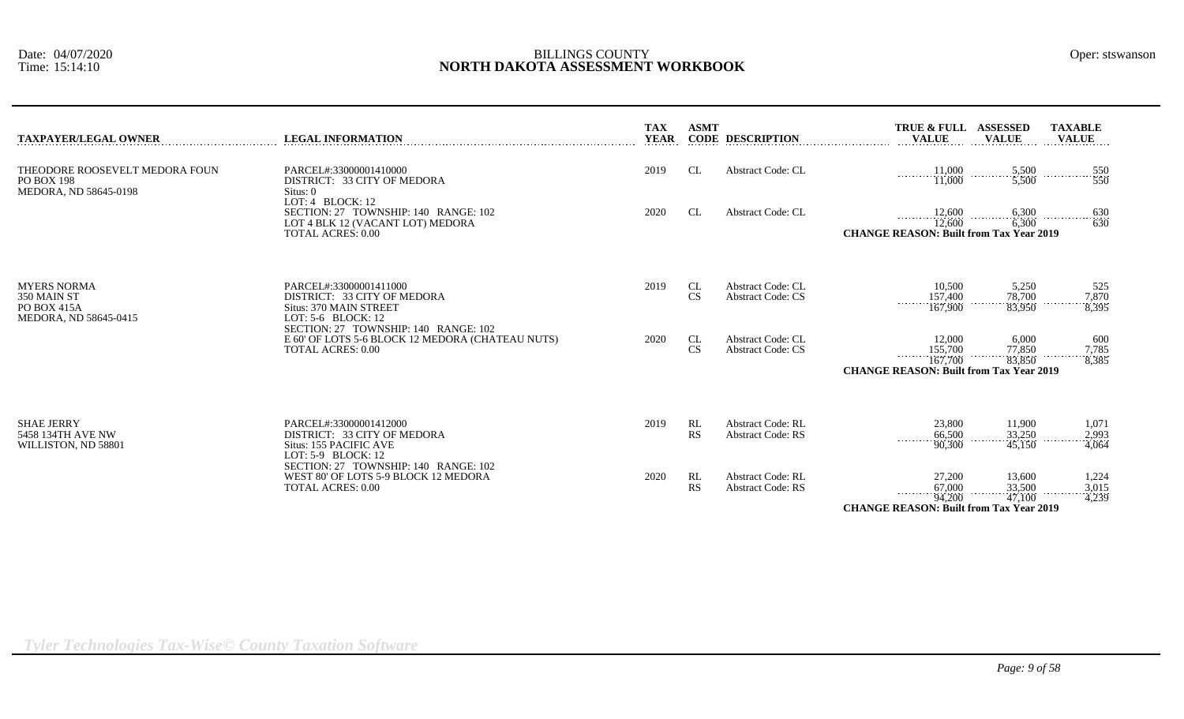| <b>TAXPAYER/LEGAL OWNER</b>                                                      | <b>LEGAL INFORMATION</b>                                                                                                 | <b>TAX</b><br><b>YEAR</b> | <b>ASMT</b>     | <b>CODE DESCRIPTION</b>                              | TRUE & FULL ASSESSED<br><b>TAXABLE</b><br><b>VALUE</b><br><b>VALUE</b><br><b>VALUE</b>                                                                                    |
|----------------------------------------------------------------------------------|--------------------------------------------------------------------------------------------------------------------------|---------------------------|-----------------|------------------------------------------------------|---------------------------------------------------------------------------------------------------------------------------------------------------------------------------|
| THEODORE ROOSEVELT MEDORA FOUN<br><b>PO BOX 198</b><br>MEDORA, ND 58645-0198     | PARCEL#:33000001410000<br>DISTRICT: 33 CITY OF MEDORA<br>Situs: 0                                                        | 2019                      | CL              | <b>Abstract Code: CL</b>                             | $\begin{array}{ccc}\n& 11,000 \\ & 11,000\n\end{array}$<br>$\frac{5,500}{5,500}$<br>$-\frac{550}{550}$<br>.                                                               |
|                                                                                  | LOT: 4 BLOCK: 12<br>SECTION: 27 TOWNSHIP: 140 RANGE: 102<br>LOT 4 BLK 12 (VACANT LOT) MEDORA<br><b>TOTAL ACRES: 0.00</b> | 2020                      | CL              | <b>Abstract Code: CL</b>                             | $12,600$ $6,300$ $6,300$ $630$ $630$<br><b>CHANGE REASON: Built from Tax Year 2019</b>                                                                                    |
| <b>MYERS NORMA</b><br>350 MAIN ST<br><b>PO BOX 415A</b><br>MEDORA, ND 58645-0415 | PARCEL#:33000001411000<br>DISTRICT: 33 CITY OF MEDORA<br>Situs: 370 MAIN STREET<br>LOT: 5-6 BLOCK: 12                    | 2019                      | CL<br>CS        | <b>Abstract Code: CL</b><br><b>Abstract Code: CS</b> | 10,500<br>5,250<br>525<br>$\frac{78,700}{83,950}$<br>$\frac{157,400}{167,900}$<br>$-7,870$<br>$8,395$<br>.                                                                |
|                                                                                  | SECTION: 27 TOWNSHIP: 140 RANGE: 102<br>E 60' OF LOTS 5-6 BLOCK 12 MEDORA (CHATEAU NUTS)<br><b>TOTAL ACRES: 0.00</b>     | 2020                      | CL<br>CS        | <b>Abstract Code: CL</b><br><b>Abstract Code: CS</b> | 12,000<br>6,000<br>600<br>$\frac{77,850}{83,850}$<br>155,700<br>$\frac{7,785}{8,385}$<br>$\frac{167,700}{167,700}$<br>.<br><b>CHANGE REASON: Built from Tax Year 2019</b> |
| <b>SHAE JERRY</b><br>5458 134TH AVE NW<br>WILLISTON, ND 58801                    | PARCEL#:33000001412000<br>DISTRICT: 33 CITY OF MEDORA<br>Situs: 155 PACIFIC AVE<br>LOT: 5-9 BLOCK: 12                    | 2019                      | RL<br>RS        | <b>Abstract Code: RL</b><br><b>Abstract Code: RS</b> | 23,800<br>11,900<br>1,071<br>33,250<br>$\frac{2,993}{4,064}$<br>66,500<br>$\frac{300}{90,300}$<br>45,150                                                                  |
|                                                                                  | SECTION: 27 TOWNSHIP: 140 RANGE: 102<br>WEST 80' OF LOTS 5-9 BLOCK 12 MEDORA<br><b>TOTAL ACRES: 0.00</b>                 | 2020                      | RL<br><b>RS</b> | <b>Abstract Code: RL</b><br><b>Abstract Code: RS</b> | 13,600<br>27,200<br>1,224<br>33,500<br>67,000<br>$\frac{3,015}{4,239}$<br>.<br>. <i>.</i><br>47,100<br>94,200<br><b>CHANGE REASON: Built from Tax Year 2019</b>           |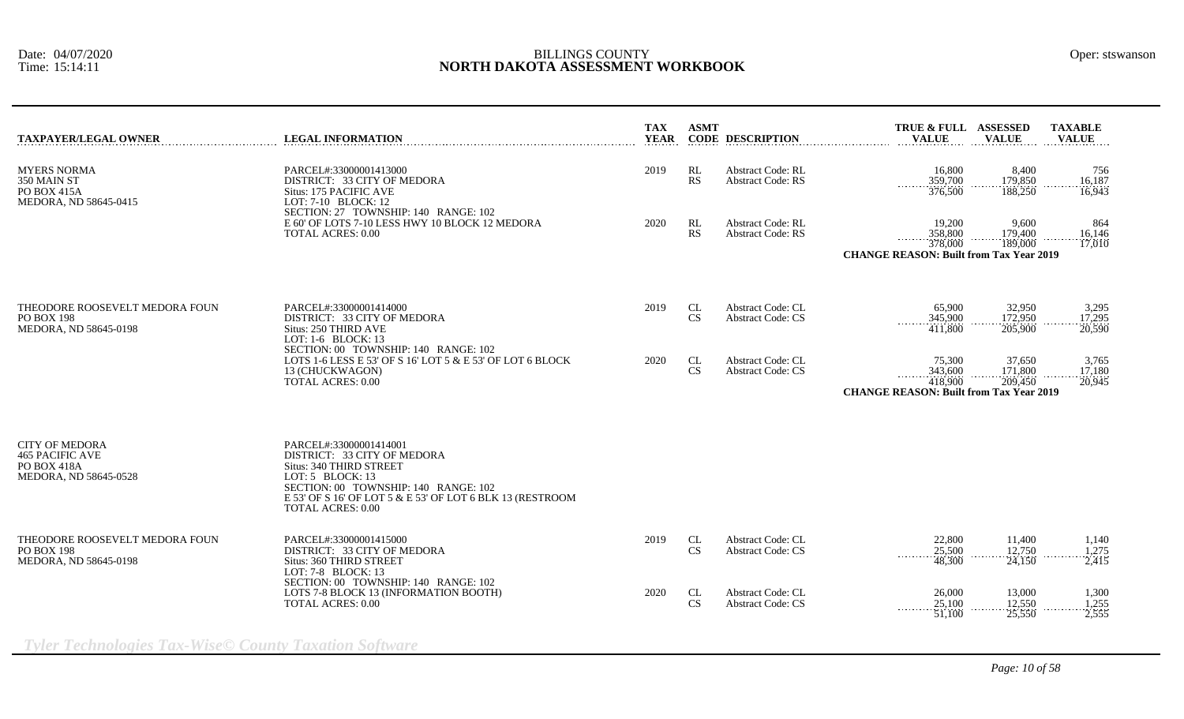| <b>TAXPAYER/LEGAL OWNER</b>                                                                    | <b>LEGAL INFORMATION</b>                                                                                                                                                                                                                | <b>TAX</b><br><b>YEAR</b> | <b>ASMT</b>                  | <b>CODE DESCRIPTION</b>                              | TRUE & FULL ASSESSED<br><b>VALUE</b>                                           | <b>VALUE</b>                 | <b>TAXABLE</b><br><b>VALUE</b> |
|------------------------------------------------------------------------------------------------|-----------------------------------------------------------------------------------------------------------------------------------------------------------------------------------------------------------------------------------------|---------------------------|------------------------------|------------------------------------------------------|--------------------------------------------------------------------------------|------------------------------|--------------------------------|
| <b>MYERS NORMA</b><br>350 MAIN ST<br><b>PO BOX 415A</b><br>MEDORA, ND 58645-0415               | PARCEL#:33000001413000<br>DISTRICT: 33 CITY OF MEDORA<br>Situs: 175 PACIFIC AVE<br>LOT: 7-10 BLOCK: 12                                                                                                                                  | 2019                      | RL<br>RS                     | <b>Abstract Code: RL</b><br><b>Abstract Code: RS</b> | 16,800<br>359,700<br>1.1.1.1.1.1<br>376,500                                    | 8,400<br>179,850<br>188,250  | 756<br>16,187<br>16,943        |
|                                                                                                | SECTION: 27 TOWNSHIP: 140 RANGE: 102<br>E 60' OF LOTS 7-10 LESS HWY 10 BLOCK 12 MEDORA<br><b>TOTAL ACRES: 0.00</b>                                                                                                                      | 2020                      | RL<br>RS                     | <b>Abstract Code: RL</b><br><b>Abstract Code: RS</b> | 19,200<br>358,800<br>378,000<br><b>CHANGE REASON: Built from Tax Year 2019</b> | 9,600<br>179,400<br>189,000  | 864<br>16,146<br>17,010        |
|                                                                                                |                                                                                                                                                                                                                                         |                           |                              |                                                      |                                                                                |                              |                                |
| THEODORE ROOSEVELT MEDORA FOUN<br><b>PO BOX 198</b><br>MEDORA, ND 58645-0198                   | PARCEL#:33000001414000<br>DISTRICT: 33 CITY OF MEDORA<br>Situs: 250 THIRD AVE<br>LOT: $1-6$ BLOCK: $13$                                                                                                                                 | 2019                      | CL<br><b>CS</b>              | <b>Abstract Code: CL</b><br><b>Abstract Code: CS</b> | 65,900<br>345,900<br>411,800                                                   | 32,950<br>172,950<br>205,900 | 3,295<br>17,295<br>20,590      |
|                                                                                                | SECTION: 00 TOWNSHIP: 140 RANGE: 102<br>LOTS 1-6 LESS E 53' OF S 16' LOT 5 & E 53' OF LOT 6 BLOCK<br>13 (CHUCKWAGON)<br><b>TOTAL ACRES: 0.00</b>                                                                                        | 2020                      | CL<br><b>CS</b>              | Abstract Code: CL<br><b>Abstract Code: CS</b>        | 75,300<br>343,600<br>418,900<br><b>CHANGE REASON: Built from Tax Year 2019</b> | 37,650<br>171,800<br>209,450 | 3,765<br>17,180<br>20,945      |
|                                                                                                |                                                                                                                                                                                                                                         |                           |                              |                                                      |                                                                                |                              |                                |
| <b>CITY OF MEDORA</b><br><b>465 PACIFIC AVE</b><br><b>PO BOX 418A</b><br>MEDORA, ND 58645-0528 | PARCEL#:33000001414001<br>DISTRICT: 33 CITY OF MEDORA<br>Situs: 340 THIRD STREET<br>LOT: $5$ BLOCK: 13<br>SECTION: 00 TOWNSHIP: 140 RANGE: 102<br>E 53' OF S 16' OF LOT 5 & E 53' OF LOT 6 BLK 13 (RESTROOM<br><b>TOTAL ACRES: 0.00</b> |                           |                              |                                                      |                                                                                |                              |                                |
| THEODORE ROOSEVELT MEDORA FOUN<br><b>PO BOX 198</b><br>MEDORA, ND 58645-0198                   | PARCEL#:33000001415000<br>DISTRICT: 33 CITY OF MEDORA<br>Situs: 360 THIRD STREET<br>LOT: 7-8 BLOCK: 13                                                                                                                                  | 2019                      | CL<br><b>CS</b>              | Abstract Code: CL<br><b>Abstract Code: CS</b>        | 22,800<br>25,500<br>1.1.1.1.1.1<br>48,300                                      | 11,400<br>12,750<br>24,150   | 1,140<br>1,275<br>2,415        |
|                                                                                                | SECTION: 00 TOWNSHIP: 140 RANGE: 102<br>LOTS 7-8 BLOCK 13 (INFORMATION BOOTH)<br>TOTAL ACRES: 0.00                                                                                                                                      | 2020                      | CL<br>$\mathbf{C}\mathbf{S}$ | Abstract Code: CL<br><b>Abstract Code: CS</b>        | 26,000<br>25,100<br>.<br>51,100                                                | 13,000<br>12,550<br>25,550   | 1,300<br>1,255<br>2,555        |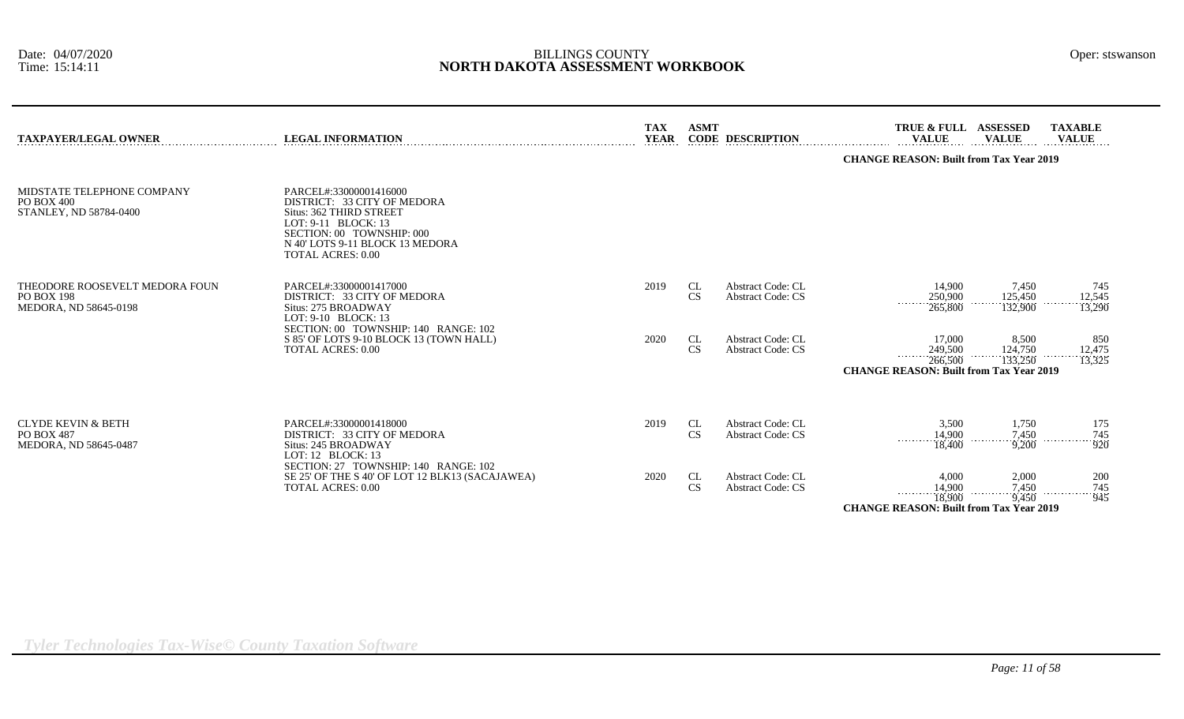| <b>TAXPAYER/LEGAL OWNER</b>                                                  | <b>LEGAL INFORMATION</b>                                                                                                                                                                            | <b>TAX</b><br><b>YEAR</b> | <b>ASMT</b> | <b>CODE DESCRIPTION</b>                              | TRUE & FULL ASSESSED<br><b>VALUE</b>                                           | <b>VALUE</b>                | <b>TAXABLE</b><br><b>VALUE</b> |  |  |  |
|------------------------------------------------------------------------------|-----------------------------------------------------------------------------------------------------------------------------------------------------------------------------------------------------|---------------------------|-------------|------------------------------------------------------|--------------------------------------------------------------------------------|-----------------------------|--------------------------------|--|--|--|
|                                                                              |                                                                                                                                                                                                     |                           |             |                                                      | <b>CHANGE REASON: Built from Tax Year 2019</b>                                 |                             |                                |  |  |  |
| MIDSTATE TELEPHONE COMPANY<br>PO BOX 400<br>STANLEY, ND 58784-0400           | PARCEL#:33000001416000<br>DISTRICT: 33 CITY OF MEDORA<br>Situs: 362 THIRD STREET<br>LOT: 9-11 BLOCK: 13<br>SECTION: 00 TOWNSHIP: 000<br>N 40' LOTS 9-11 BLOCK 13 MEDORA<br><b>TOTAL ACRES: 0.00</b> |                           |             |                                                      |                                                                                |                             |                                |  |  |  |
| THEODORE ROOSEVELT MEDORA FOUN<br><b>PO BOX 198</b><br>MEDORA, ND 58645-0198 | PARCEL#:33000001417000<br>DISTRICT: 33 CITY OF MEDORA<br>Situs: 275 BROADWAY<br>LOT: 9-10 BLOCK: 13<br>SECTION: 00 TOWNSHIP: 140 RANGE: 102                                                         | 2019                      | CL<br>CS    | <b>Abstract Code: CL</b><br><b>Abstract Code: CS</b> | 14,900<br>250,900<br>265,800                                                   | 7,450<br>125,450<br>132,900 | 745<br>12,545<br>13,290        |  |  |  |
|                                                                              | S 85' OF LOTS 9-10 BLOCK 13 (TOWN HALL)<br><b>TOTAL ACRES: 0.00</b>                                                                                                                                 | 2020                      | CL<br>CS    | Abstract Code: CL<br><b>Abstract Code: CS</b>        | 17,000<br>249,500<br>266,500<br><b>CHANGE REASON: Built from Tax Year 2019</b> | 8.500<br>124,750<br>133,250 | 850<br>12,475<br>13,325        |  |  |  |
| <b>CLYDE KEVIN &amp; BETH</b><br><b>PO BOX 487</b><br>MEDORA, ND 58645-0487  | PARCEL#:33000001418000<br>DISTRICT: 33 CITY OF MEDORA<br>Situs: 245 BROADWAY<br>LOT: $12$ BLOCK: $13$<br>SECTION: 27 TOWNSHIP: 140 RANGE: 102                                                       | 2019                      | CL<br>CS    | <b>Abstract Code: CL</b><br><b>Abstract Code: CS</b> | 3.500<br>14,900<br>.<br>18,400                                                 | 1,750<br>7,450<br>9,200     | 175<br>745<br>920              |  |  |  |
|                                                                              | SE 25' OF THE S 40' OF LOT 12 BLK13 (SACAJAWEA)<br><b>TOTAL ACRES: 0.00</b>                                                                                                                         | 2020                      | CL<br>CS    | <b>Abstract Code: CL</b><br><b>Abstract Code: CS</b> | 4.000<br>14,900<br>.<br>18,900                                                 | 2,000<br>7,450              | 200<br>745<br>945              |  |  |  |
|                                                                              |                                                                                                                                                                                                     |                           |             |                                                      | <b>CHANGE REASON: Built from Tax Year 2019</b>                                 | 9.450                       |                                |  |  |  |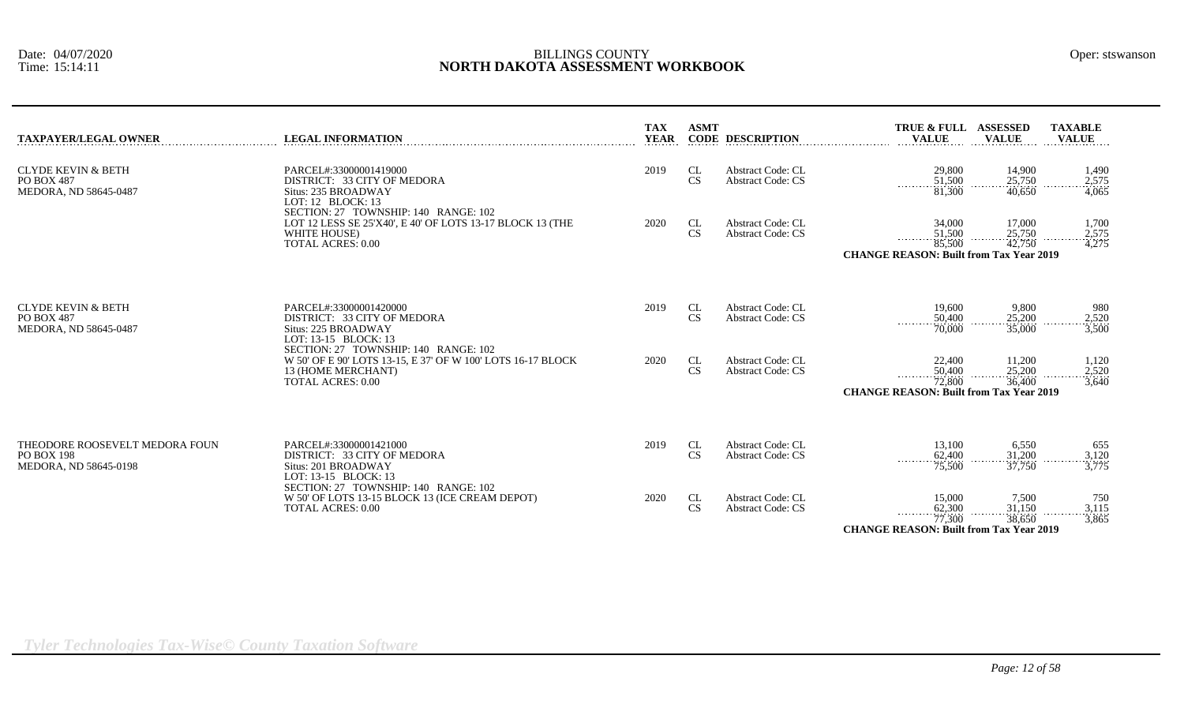| <b>TAXPAYER/LEGAL OWNER</b>                                                  | <b>LEGAL INFORMATION</b>                                                                                                                              | TAX<br><b>YEAR</b> | <b>ASMT</b>                  | <b>CODE DESCRIPTION</b>                              | <b>TRUE &amp; FULL</b><br><b>VALUE</b>                                                    | <b>ASSESSED</b><br><b>VALUE</b>   | <b>TAXABLE</b><br><b>VALUE</b> |
|------------------------------------------------------------------------------|-------------------------------------------------------------------------------------------------------------------------------------------------------|--------------------|------------------------------|------------------------------------------------------|-------------------------------------------------------------------------------------------|-----------------------------------|--------------------------------|
| <b>CLYDE KEVIN &amp; BETH</b><br><b>PO BOX 487</b><br>MEDORA, ND 58645-0487  | PARCEL#:33000001419000<br>DISTRICT: 33 CITY OF MEDORA<br>Situs: 235 BROADWAY<br>LOT: 12 BLOCK: 13                                                     | 2019               | CL<br>$\mathbf{C}\mathbf{S}$ | <b>Abstract Code: CL</b><br><b>Abstract Code: CS</b> | 29,800<br>51,500<br>$\overline{81,300}$                                                   | 14,900<br>25,750<br>40,650        | 1,490<br>2,575<br>4,065        |
|                                                                              | SECTION: 27 TOWNSHIP: 140 RANGE: 102<br>LOT 12 LESS SE 25'X40', E 40' OF LOTS 13-17 BLOCK 13 (THE<br>WHITE HOUSE)<br><b>TOTAL ACRES: 0.00</b>         | 2020               | CL<br>CS                     | <b>Abstract Code: CL</b><br><b>Abstract Code: CS</b> | 34,000<br>51,500<br>1.1.1.1.1<br>85,500<br><b>CHANGE REASON: Built from Tax Year 2019</b> | 17,000<br>25,750<br>42,750        | 1,700<br>$\frac{2,575}{4,275}$ |
| <b>CLYDE KEVIN &amp; BETH</b><br>PO BOX 487<br>MEDORA, ND 58645-0487         | PARCEL#:33000001420000<br>DISTRICT: 33 CITY OF MEDORA<br>Situs: 225 BROADWAY<br>LOT: 13-15 BLOCK: 13                                                  | 2019               | CL<br>CS                     | <b>Abstract Code: CL</b><br><b>Abstract Code: CS</b> | 19,600<br>50,400<br>.<br>70,000                                                           | 9,800<br>25,200<br>35,000         | 980<br>2,520<br>3,500          |
|                                                                              | SECTION: 27 TOWNSHIP: 140 RANGE: 102<br>W 50' OF E 90' LOTS 13-15, E 37' OF W 100' LOTS 16-17 BLOCK<br>13 (HOME MERCHANT)<br><b>TOTAL ACRES: 0.00</b> | 2020               | CL<br>CS                     | <b>Abstract Code: CL</b><br><b>Abstract Code: CS</b> | 22,400<br>50,400<br>.<br>72,800<br><b>CHANGE REASON: Built from Tax Year 2019</b>         | 11,200<br>$\frac{25,200}{36,400}$ | 1,120<br>$\frac{2,520}{3,640}$ |
| THEODORE ROOSEVELT MEDORA FOUN<br><b>PO BOX 198</b><br>MEDORA, ND 58645-0198 | PARCEL#:33000001421000<br>DISTRICT: 33 CITY OF MEDORA<br>Situs: 201 BROADWAY<br>LOT: 13-15 BLOCK: 13<br>SECTION: 27 TOWNSHIP: 140 RANGE: 102          | 2019               | CL<br>CS                     | <b>Abstract Code: CL</b><br><b>Abstract Code: CS</b> | 13,100<br>62,400<br>$\overline{75,500}$                                                   | 6,550<br>31,200<br>37,750         | 655<br>3,120<br>3,775          |
|                                                                              | W 50' OF LOTS 13-15 BLOCK 13 (ICE CREAM DEPOT)<br><b>TOTAL ACRES: 0.00</b>                                                                            | 2020               | CL<br><b>CS</b>              | Abstract Code: CL<br><b>Abstract Code: CS</b>        | 15,000<br>62,300<br>.<br>77,300<br><b>CHANGE REASON: Built from Tax Year 2019</b>         | 7,500<br>31,150<br>38,650         | 750<br>$\frac{3,115}{3,865}$   |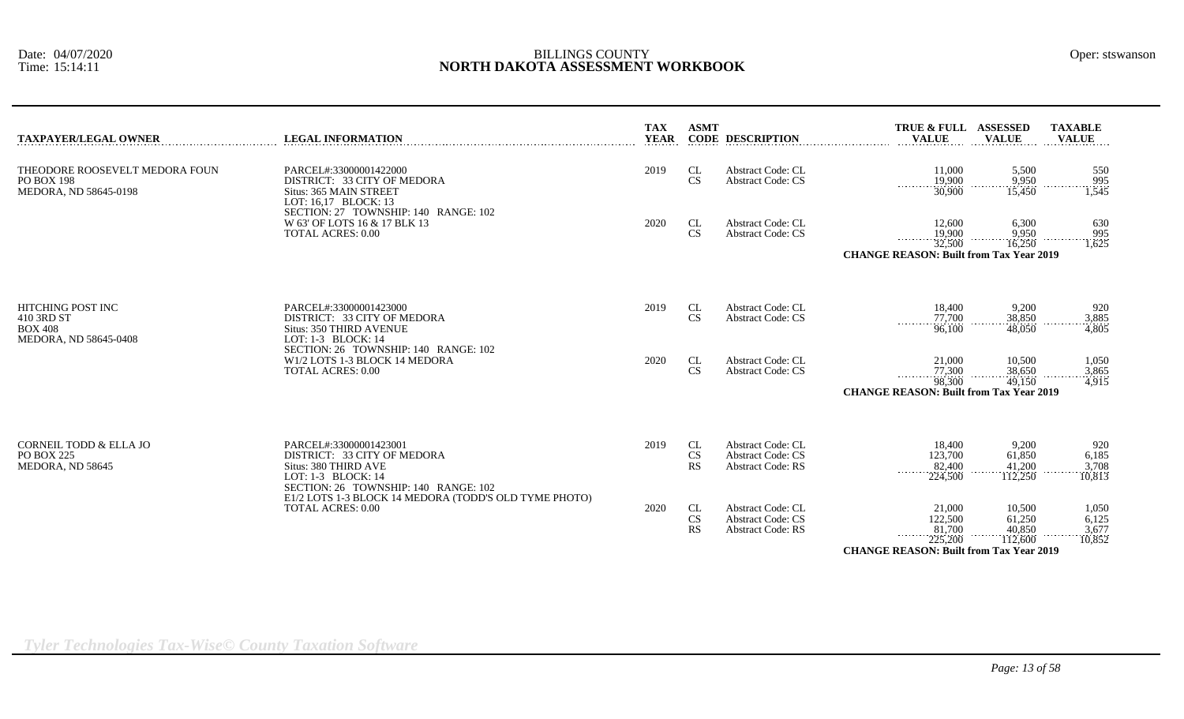| <b>LEGAL INFORMATION</b>                                                                                                                    | <b>TAX</b><br><b>YEAR</b>                                                                     | <b>ASMT</b>                  |                                                                                  | <b>VALUE</b>                                                |                                       | <b>TAXABLE</b><br><b>VALUE</b>                                                                                                                                                                       |
|---------------------------------------------------------------------------------------------------------------------------------------------|-----------------------------------------------------------------------------------------------|------------------------------|----------------------------------------------------------------------------------|-------------------------------------------------------------|---------------------------------------|------------------------------------------------------------------------------------------------------------------------------------------------------------------------------------------------------|
| PARCEL#:33000001422000<br>DISTRICT: 33 CITY OF MEDORA<br>Situs: 365 MAIN STREET<br>LOT: 16,17 BLOCK: 13                                     | 2019                                                                                          | CL<br>CS                     | <b>Abstract Code: CL</b><br><b>Abstract Code: CS</b>                             | 11,000<br>19,900<br>1.1.1.1.1.1<br>30,900                   | 5,500<br>9,950<br>15,450              | 550<br>995<br>1,545                                                                                                                                                                                  |
| W 63' OF LOTS 16 & 17 BLK 13<br><b>TOTAL ACRES: 0.00</b>                                                                                    | 2020                                                                                          | CL<br>CS                     | <b>Abstract Code: CL</b><br><b>Abstract Code: CS</b>                             | 12,600<br>19,900<br>32,500                                  | 6,300<br>9,950<br>16.250              | 630<br>995<br>1,625                                                                                                                                                                                  |
| PARCEL#:33000001423000<br>DISTRICT: 33 CITY OF MEDORA<br>Situs: 350 THIRD AVENUE<br>LOT: 1-3 BLOCK: 14                                      | 2019                                                                                          | CL<br><b>CS</b>              | <b>Abstract Code: CL</b><br><b>Abstract Code: CS</b>                             | 18,400<br>77,700<br>.<br>96,100                             | 9,200<br>38,850<br>48,050             | 920<br>3,885<br>4,805                                                                                                                                                                                |
| SECTION: 26 TOWNSHIP: 140 RANGE: 102<br>W1/2 LOTS 1-3 BLOCK 14 MEDORA<br><b>TOTAL ACRES: 0.00</b>                                           | 2020                                                                                          | CL<br>CS                     | <b>Abstract Code: CL</b><br><b>Abstract Code: CS</b>                             | 21,000<br>77,300<br>.<br>98,300                             | 10,500<br>38,650<br>49,150            | 1,050<br>3,865<br>4,915                                                                                                                                                                              |
|                                                                                                                                             |                                                                                               |                              |                                                                                  |                                                             |                                       |                                                                                                                                                                                                      |
| PARCEL#:33000001423001<br>DISTRICT: 33 CITY OF MEDORA<br>Situs: 380 THIRD AVE<br>LOT: 1-3 BLOCK: 14<br>SECTION: 26 TOWNSHIP: 140 RANGE: 102 | 2019                                                                                          | CL<br><b>CS</b><br><b>RS</b> | <b>Abstract Code: CL</b><br><b>Abstract Code: CS</b><br><b>Abstract Code: RS</b> | 18,400<br>123,700<br>82,400<br>224,500                      | 9,200<br>61,850<br>41,200<br>112,250  | 920<br>6,185<br>3,708<br>10,813                                                                                                                                                                      |
| <b>TOTAL ACRES: 0.00</b>                                                                                                                    | 2020                                                                                          | CL<br>CS<br><b>RS</b>        | <b>Abstract Code: CL</b><br><b>Abstract Code: CS</b><br><b>Abstract Code: RS</b> | 21,000<br>122,500<br>81,700<br>1.1.1.1.1.1.1.1.1<br>225,200 | 10,500<br>61,250<br>40,850<br>112,600 | 1,050<br>6,125<br>3,677<br>10,852                                                                                                                                                                    |
|                                                                                                                                             | SECTION: 27 TOWNSHIP: 140 RANGE: 102<br>E1/2 LOTS 1-3 BLOCK 14 MEDORA (TODD'S OLD TYME PHOTO) |                              |                                                                                  | <b>CODE DESCRIPTION</b>                                     |                                       | TRUE & FULL ASSESSED<br><b>VALUE</b><br><b>CHANGE REASON: Built from Tax Year 2019</b><br>.<br>.<br><b>CHANGE REASON: Built from Tax Year 2019</b><br><b>CHANGE REASON: Built from Tax Year 2019</b> |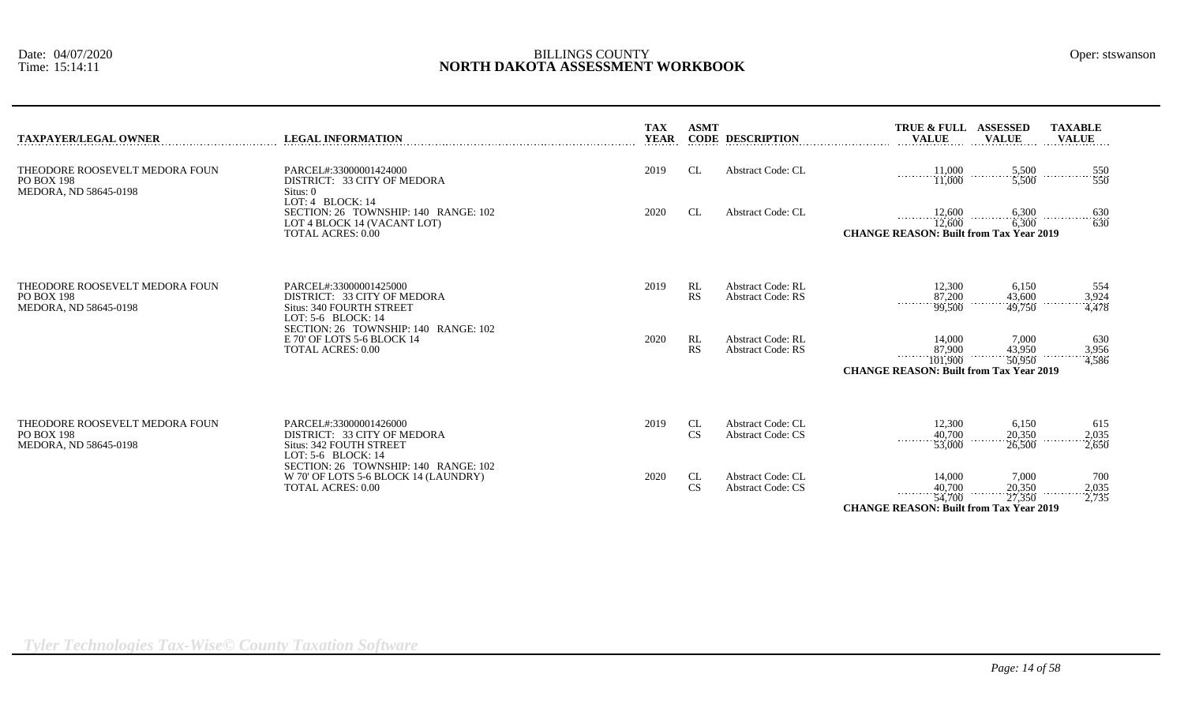| <b>TAXPAYER/LEGAL OWNER</b>                                                  | <b>LEGAL INFORMATION</b>                                                                                              | <b>TAX</b><br><b>YEAR</b> | <b>ASMT</b>     | <b>CODE DESCRIPTION</b>                              | TRUE & FULL<br><b>VALUE</b>                                                               | <b>ASSESSED</b><br><b>VALUE</b>                             | <b>TAXABLE</b><br><b>VALUE</b> |
|------------------------------------------------------------------------------|-----------------------------------------------------------------------------------------------------------------------|---------------------------|-----------------|------------------------------------------------------|-------------------------------------------------------------------------------------------|-------------------------------------------------------------|--------------------------------|
| THEODORE ROOSEVELT MEDORA FOUN<br><b>PO BOX 198</b><br>MEDORA, ND 58645-0198 | PARCEL#:33000001424000<br>DISTRICT: 33 CITY OF MEDORA<br>Situs: 0                                                     | 2019                      | <b>CL</b>       | <b>Abstract Code: CL</b>                             | $\frac{11,000}{11,000}$ $\frac{5,500}{5,500}$                                             |                                                             | 550<br>$\frac{1}{550}$         |
|                                                                              | LOT: $4$ BLOCK: 14<br>SECTION: 26 TOWNSHIP: 140 RANGE: 102<br>LOT 4 BLOCK 14 (VACANT LOT)<br><b>TOTAL ACRES: 0.00</b> | 2020                      | <b>CL</b>       | <b>Abstract Code: CL</b>                             | 12,600<br>12,600<br><b>CHANGE REASON: Built from Tax Year 2019</b>                        | $\begin{array}{c}\n 6,300 \\  \hline\n 6,300\n \end{array}$ | $-\frac{630}{630}$<br>.        |
| THEODORE ROOSEVELT MEDORA FOUN<br>PO BOX 198<br>MEDORA, ND 58645-0198        | PARCEL#:33000001425000<br>DISTRICT: 33 CITY OF MEDORA<br><b>Situs: 340 FOURTH STREET</b><br>LOT: $5-6$ BLOCK: $14$    | 2019                      | RL<br><b>RS</b> | <b>Abstract Code: RL</b><br><b>Abstract Code: RS</b> | 12,300<br>$\frac{87,200}{99,500}$                                                         | 6,150<br>43,600<br>49,750                                   | 554<br>3,924<br>4,478          |
|                                                                              | SECTION: 26 TOWNSHIP: 140 RANGE: 102<br>E 70' OF LOTS 5-6 BLOCK 14<br><b>TOTAL ACRES: 0.00</b>                        | 2020                      | RL<br>RS        | <b>Abstract Code: RL</b><br><b>Abstract Code: RS</b> | 14,000<br>$\frac{87,900}{101,900}$<br>.<br><b>CHANGE REASON: Built from Tax Year 2019</b> | 7,000<br>43,950<br>50,950<br>.                              | 630<br>3,956<br>.<br>4,586     |
| THEODORE ROOSEVELT MEDORA FOUN<br><b>PO BOX 198</b><br>MEDORA, ND 58645-0198 | PARCEL#:33000001426000<br>DISTRICT: 33 CITY OF MEDORA<br><b>Situs: 342 FOUTH STREET</b><br>LOT: $5-6$ BLOCK: $14$     | 2019                      | CL<br><b>CS</b> | <b>Abstract Code: CL</b><br><b>Abstract Code: CS</b> | 12,300<br>$\frac{40,700}{53,000}$                                                         | 6,150<br>20,350<br>26,500                                   | 615<br>$\frac{2,035}{2,650}$   |
|                                                                              | SECTION: 26 TOWNSHIP: 140 RANGE: 102<br>W 70' OF LOTS 5-6 BLOCK 14 (LAUNDRY)<br><b>TOTAL ACRES: 0.00</b>              | 2020                      | CL<br><b>CS</b> | <b>Abstract Code: CL</b><br><b>Abstract Code: CS</b> | 14,000<br>40,700                                                                          | 7,000<br>20,350                                             | 700<br>2,035                   |

*Tyler Technologies Tax-Wise© County Taxation Software*

54,700 27,350 2,735

**CHANGE REASON: Built from Tax Year 2019**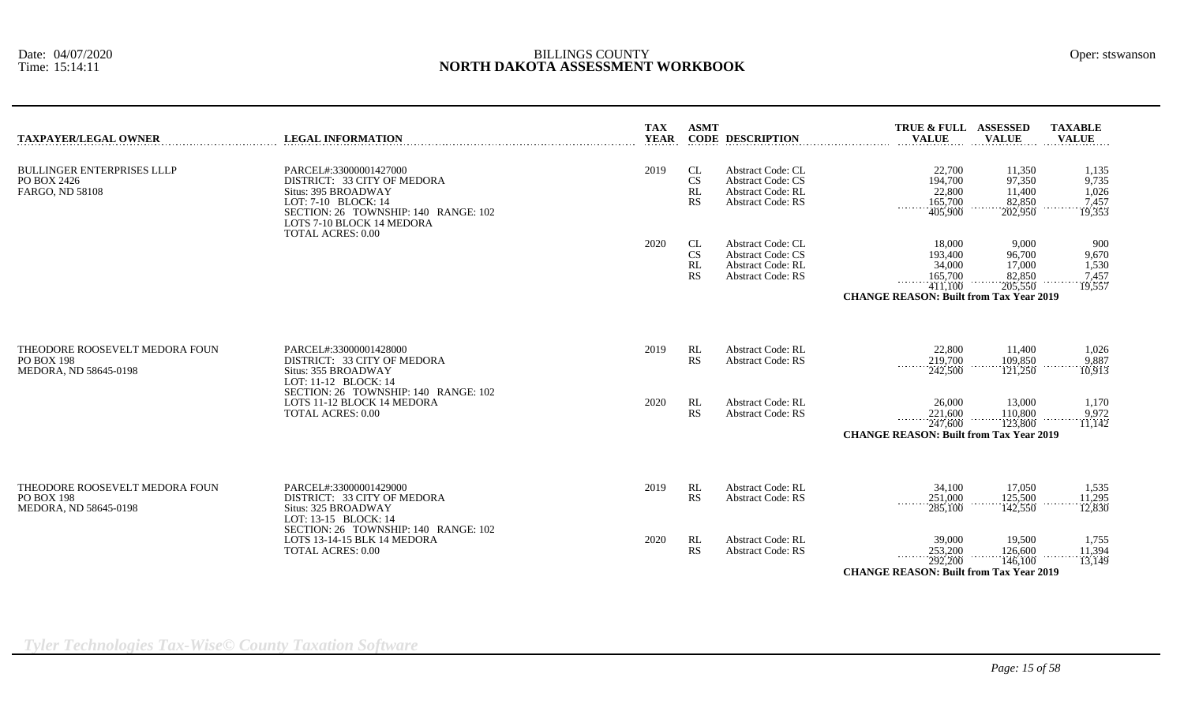|  | Oper: stswansor |
|--|-----------------|
|--|-----------------|

| <b>TAXPAYER/LEGAL OWNER</b>                                                  | <b>LEGAL INFORMATION</b>                                                                                                                                                                             | <b>TAX</b><br><b>YEAR</b> | <b>ASMT</b>                                      | <b>CODE DESCRIPTION</b>                                                                                      | TRUE & FULL ASSESSED<br><b>VALUE</b>                                                                | <b>VALUE</b>                                    | <b>TAXABLE</b><br><b>VALUE</b>             |
|------------------------------------------------------------------------------|------------------------------------------------------------------------------------------------------------------------------------------------------------------------------------------------------|---------------------------|--------------------------------------------------|--------------------------------------------------------------------------------------------------------------|-----------------------------------------------------------------------------------------------------|-------------------------------------------------|--------------------------------------------|
| <b>BULLINGER ENTERPRISES LLLP</b><br>PO BOX 2426<br>FARGO, ND 58108          | PARCEL#:33000001427000<br>DISTRICT: 33 CITY OF MEDORA<br>Situs: 395 BROADWAY<br>LOT: 7-10 BLOCK: 14<br>SECTION: 26 TOWNSHIP: 140 RANGE: 102<br>LOTS 7-10 BLOCK 14 MEDORA<br><b>TOTAL ACRES: 0.00</b> | 2019                      | <b>CL</b><br><b>CS</b><br><b>RL</b><br><b>RS</b> | <b>Abstract Code: CL</b><br><b>Abstract Code: CS</b><br><b>Abstract Code: RL</b><br><b>Abstract Code: RS</b> | 22,700<br>194,700<br>22,800<br>165,700<br>.<br>405,900                                              | 11.350<br>97,350<br>11,400<br>82,850<br>202,950 | 1,135<br>9,735<br>1,026<br>7,457<br>19,353 |
|                                                                              |                                                                                                                                                                                                      | 2020                      | CL<br><b>CS</b><br>RL<br><b>RS</b>               | <b>Abstract Code: CL</b><br><b>Abstract Code: CS</b><br><b>Abstract Code: RL</b><br><b>Abstract Code: RS</b> | 18,000<br>193,400<br>34,000<br>165,700<br>411,100<br><b>CHANGE REASON: Built from Tax Year 2019</b> | 9.000<br>96,700<br>17,000<br>82,850<br>205,550  | 900<br>9,670<br>1,530<br>7,457<br>19,557   |
| THEODORE ROOSEVELT MEDORA FOUN<br><b>PO BOX 198</b><br>MEDORA, ND 58645-0198 | PARCEL#:33000001428000<br>DISTRICT: 33 CITY OF MEDORA<br>Situs: 355 BROADWAY<br>LOT: 11-12 BLOCK: 14                                                                                                 | 2019                      | RL<br><b>RS</b>                                  | <b>Abstract Code: RL</b><br><b>Abstract Code: RS</b>                                                         | 22,800<br>219,700<br>242,500                                                                        | 11,400<br>109,850<br>121,250                    | 1,026<br>9,887<br>10,913                   |
|                                                                              | SECTION: 26 TOWNSHIP: 140 RANGE: 102<br>LOTS 11-12 BLOCK 14 MEDORA<br><b>TOTAL ACRES: 0.00</b>                                                                                                       | 2020                      | RL<br>RS                                         | <b>Abstract Code: RL</b><br><b>Abstract Code: RS</b>                                                         | 26,000<br>221,600<br>.<br>247,600<br><b>CHANGE REASON: Built from Tax Year 2019</b>                 | 13,000<br>110,800<br>123,800                    | 1,170<br>9,972<br>11,142                   |
| THEODORE ROOSEVELT MEDORA FOUN<br><b>PO BOX 198</b><br>MEDORA, ND 58645-0198 | PARCEL#:33000001429000<br>DISTRICT: 33 CITY OF MEDORA<br>Situs: 325 BROADWAY<br>LOT: 13-15 BLOCK: 14<br>SECTION: 26 TOWNSHIP: 140 RANGE: 102                                                         | 2019                      | RL<br>RS                                         | <b>Abstract Code: RL</b><br><b>Abstract Code: RS</b>                                                         | 34,100<br>251,000<br>285,100                                                                        | 17,050<br>125,500<br>142,550                    | 1,535<br>11,295<br>12,830                  |
|                                                                              | LOTS 13-14-15 BLK 14 MEDORA<br><b>TOTAL ACRES: 0.00</b>                                                                                                                                              | 2020                      | RL<br><b>RS</b>                                  | <b>Abstract Code: RL</b><br><b>Abstract Code: RS</b>                                                         | 39,000<br>253,200<br>.<br>292,200<br><b>CHANGE REASON: Built from Tax Year 2019</b>                 | 19,500<br>126,600<br>146,100                    | 1,755<br>11,394<br>13,149                  |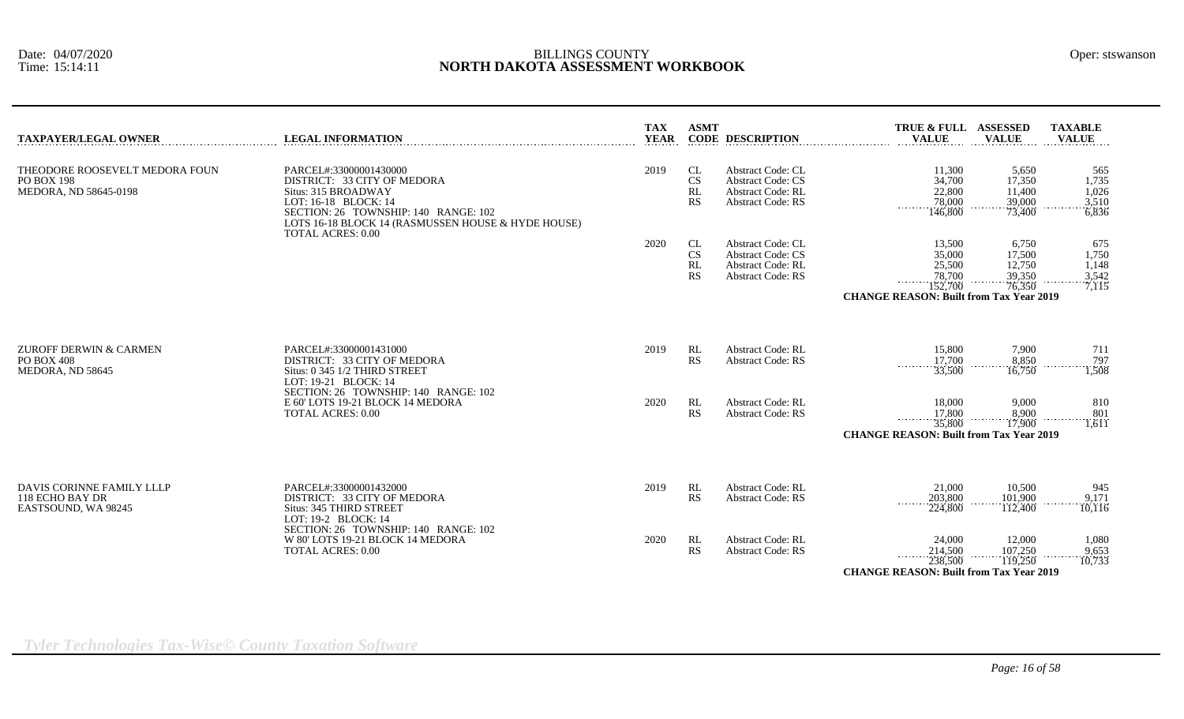| <b>TAXPAYER/LEGAL OWNER</b>                                                  | <b>LEGAL INFORMATION</b>                                                                                                                                                                                                       | <b>TAX</b><br><b>YEAR</b> | <b>ASMT</b>                              | <b>CODE DESCRIPTION</b>                                                                                      | TRUE & FULL ASSESSED<br><b>VALUE</b>                                                              | <b>VALUE</b>                                  | <b>TAXABLE</b><br><b>VALUE</b>          |
|------------------------------------------------------------------------------|--------------------------------------------------------------------------------------------------------------------------------------------------------------------------------------------------------------------------------|---------------------------|------------------------------------------|--------------------------------------------------------------------------------------------------------------|---------------------------------------------------------------------------------------------------|-----------------------------------------------|-----------------------------------------|
| THEODORE ROOSEVELT MEDORA FOUN<br><b>PO BOX 198</b><br>MEDORA, ND 58645-0198 | PARCEL#:33000001430000<br>DISTRICT: 33 CITY OF MEDORA<br>Situs: 315 BROADWAY<br>LOT: 16-18 BLOCK: 14<br>SECTION: 26 TOWNSHIP: 140 RANGE: 102<br>LOTS 16-18 BLOCK 14 (RASMUSSEN HOUSE & HYDE HOUSE)<br><b>TOTAL ACRES: 0.00</b> | 2019                      | CL<br>$\mathbf{C}\mathbf{S}$<br>RL<br>RS | <b>Abstract Code: CL</b><br><b>Abstract Code: CS</b><br><b>Abstract Code: RL</b><br><b>Abstract Code: RS</b> | 11,300<br>34,700<br>22,800<br>78,000<br>$\sim$ $\sim$ $\sim$ $\sim$ $\sim$ $\sim$<br>146,800      | 5,650<br>17,350<br>11,400<br>39,000<br>73,400 | 565<br>1,735<br>1,026<br>3,510<br>6,836 |
|                                                                              |                                                                                                                                                                                                                                | 2020                      | CL<br>$\mathbf{C}\mathbf{S}$<br>RL<br>RS | <b>Abstract Code: CL</b><br><b>Abstract Code: CS</b><br><b>Abstract Code: RL</b><br><b>Abstract Code: RS</b> | 13,500<br>35,000<br>25,500<br>78,700<br>152,700<br><b>CHANGE REASON: Built from Tax Year 2019</b> | 6,750<br>17,500<br>12,750<br>39,350<br>76,350 | 675<br>1,750<br>1,148<br>3,542<br>7,115 |
| ZUROFF DERWIN & CARMEN<br><b>PO BOX 408</b><br>MEDORA, ND 58645              | PARCEL#:33000001431000<br>DISTRICT: 33 CITY OF MEDORA<br>Situs: 0 345 1/2 THIRD STREET<br>LOT: 19-21 BLOCK: 14                                                                                                                 | 2019                      | RL<br>RS                                 | <b>Abstract Code: RL</b><br><b>Abstract Code: RS</b>                                                         | 15,800<br>17,700<br>33,500                                                                        | 7,900<br>8,850<br>16,750                      | 711<br>797<br>1.1.1<br>1,508            |
|                                                                              | SECTION: 26 TOWNSHIP: 140 RANGE: 102<br>E 60' LOTS 19-21 BLOCK 14 MEDORA<br><b>TOTAL ACRES: 0.00</b>                                                                                                                           | 2020                      | RL<br>RS                                 | <b>Abstract Code: RL</b><br><b>Abstract Code: RS</b>                                                         | 18,000<br>17,800<br>.<br>35,800<br><b>CHANGE REASON: Built from Tax Year 2019</b>                 | 9,000<br>8,900<br>17,900                      | 810<br>801<br>$\overline{1,611}$        |
| DAVIS CORINNE FAMILY LLLP<br>118 ECHO BAY DR<br>EASTSOUND, WA 98245          | PARCEL#:33000001432000<br>DISTRICT: 33 CITY OF MEDORA<br>Situs: 345 THIRD STREET<br>LOT: 19-2 BLOCK: 14                                                                                                                        | 2019                      | RL<br>RS                                 | <b>Abstract Code: RL</b><br><b>Abstract Code: RS</b>                                                         | 21,000<br>203,800<br>1.1.1.1.1<br>224,800                                                         | 10,500<br>101,900<br>112,400                  | 945<br>9.171<br>10,116                  |
|                                                                              | SECTION: 26 TOWNSHIP: 140 RANGE: 102<br>W 80' LOTS 19-21 BLOCK 14 MEDORA<br><b>TOTAL ACRES: 0.00</b>                                                                                                                           | 2020                      | RL<br>RS                                 | <b>Abstract Code: RL</b><br><b>Abstract Code: RS</b>                                                         | 24,000<br>214,500<br>.<br>238,500<br><b>CHANGE REASON: Built from Tax Year 2019</b>               | 12,000<br>107,250<br>119,250                  | 1,080<br>9,653<br>10,733                |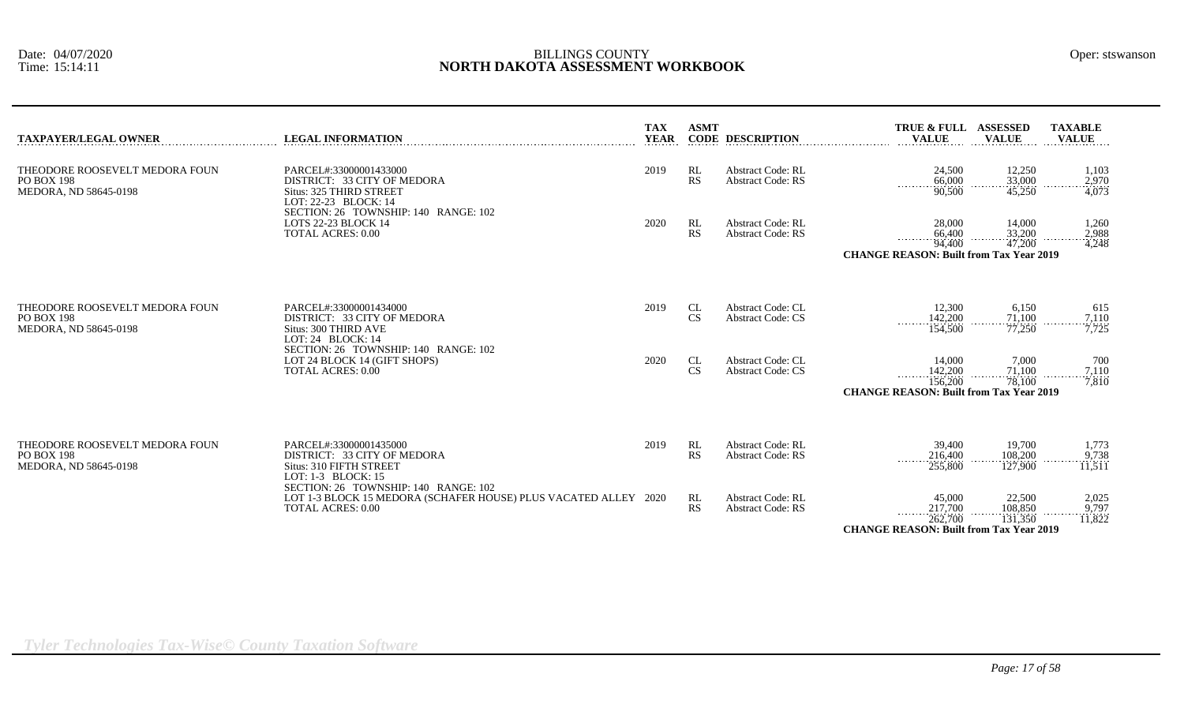| <b>TAXPAYER/LEGAL OWNER</b>                                           | <b>LEGAL INFORMATION</b>                                                                                                            | <b>TAX</b><br><b>YEAR</b> | <b>ASMT</b>     | <b>CODE DESCRIPTION</b>                              | <b>TRUE &amp; FULL</b><br><b>VALUE</b>                                              | <b>ASSESSED</b><br><b>VALUE</b>                | <b>TAXABLE</b><br><b>VALUE</b>                           |
|-----------------------------------------------------------------------|-------------------------------------------------------------------------------------------------------------------------------------|---------------------------|-----------------|------------------------------------------------------|-------------------------------------------------------------------------------------|------------------------------------------------|----------------------------------------------------------|
| THEODORE ROOSEVELT MEDORA FOUN<br>PO BOX 198<br>MEDORA, ND 58645-0198 | PARCEL#:33000001433000<br>DISTRICT: 33 CITY OF MEDORA<br>Situs: 325 THIRD STREET<br>LOT: 22-23 BLOCK: 14                            | 2019                      | RL<br>RS        | <b>Abstract Code: RL</b><br><b>Abstract Code: RS</b> | 24,500<br>66,000<br>90,500                                                          | 12,250<br>33,000<br>45,250                     | 1,103<br>2,970<br>4,073                                  |
|                                                                       | SECTION: 26 TOWNSHIP: 140 RANGE: 102<br>LOTS 22-23 BLOCK 14<br><b>TOTAL ACRES: 0.00</b>                                             | 2020                      | RL<br>RS        | <b>Abstract Code: RL</b><br><b>Abstract Code: RS</b> | 28,000<br>66,400<br>94,400<br><b>CHANGE REASON: Built from Tax Year 2019</b>        | 14,000<br>33,200<br>47,200                     | 1,260<br>2,988<br>4,248                                  |
| THEODORE ROOSEVELT MEDORA FOUN<br>PO BOX 198<br>MEDORA, ND 58645-0198 | PARCEL#:33000001434000<br>DISTRICT: 33 CITY OF MEDORA<br>Situs: 300 THIRD AVE<br>LOT: 24 BLOCK: 14                                  | 2019                      | CL<br>CS        | <b>Abstract Code: CL</b><br><b>Abstract Code: CS</b> | 12,300<br>142,200<br>154,500                                                        | 6,150<br>71,100<br>77,250                      | 615<br>$\frac{7,110}{7,725}$                             |
|                                                                       | SECTION: 26 TOWNSHIP: 140 RANGE: 102<br>LOT 24 BLOCK 14 (GIFT SHOPS)<br><b>TOTAL ACRES: 0.00</b>                                    | 2020                      | CL<br><b>CS</b> | <b>Abstract Code: CL</b><br><b>Abstract Code: CS</b> | 14,000<br>142,200<br>.<br>156,200<br><b>CHANGE REASON: Built from Tax Year 2019</b> | 7,000<br>$\frac{71,100}{78,100}$               | 700<br>$\begin{array}{c}\n 7,110 \\  7,810\n\end{array}$ |
| THEODORE ROOSEVELT MEDORA FOUN<br>PO BOX 198<br>MEDORA, ND 58645-0198 | PARCEL#:33000001435000<br>DISTRICT: 33 CITY OF MEDORA<br>Situs: 310 FIFTH STREET<br>LOT: $1-3$ BLOCK: $15$                          | 2019                      | RL<br>RS        | <b>Abstract Code: RL</b><br><b>Abstract Code: RS</b> | 39,400<br>216,400<br>255,800                                                        | 19,700<br>108,200<br>127,900                   | 1,773<br>9,738<br>11,511                                 |
|                                                                       | SECTION: 26 TOWNSHIP: 140 RANGE: 102<br>LOT 1-3 BLOCK 15 MEDORA (SCHAFER HOUSE) PLUS VACATED ALLEY 2020<br><b>TOTAL ACRES: 0.00</b> |                           | RL<br>RS        | <b>Abstract Code: RL</b><br><b>Abstract Code: RS</b> | 45,000<br>217,700<br>.<br>262,700<br><b>CHANGE REASON: Built from Tax Year 2019</b> | 22,500<br>108,850<br>$\frac{131,350}{131,350}$ | 2,025<br>$\frac{9,797}{11,822}$                          |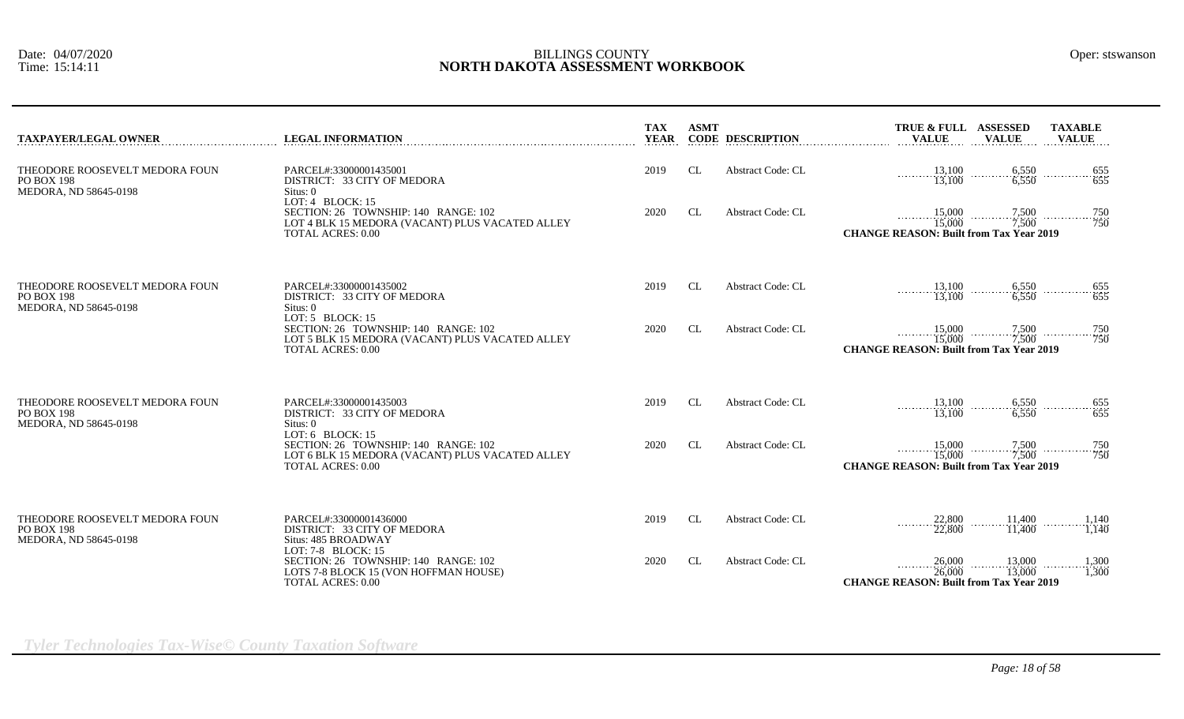| <b>TAXPAYER/LEGAL OWNER</b>                                                  | <b>LEGAL INFORMATION</b>                                                                                                                  | <b>TAX</b><br><b>YEAR</b> | <b>ASMT</b> | <b>CODE DESCRIPTION</b>  | TRUE & FULL ASSESSED<br><b>VALUE</b>                                                                                                         | <b>VALUE</b>               | <b>TAXABLE</b><br><b>VALUE</b>                       |
|------------------------------------------------------------------------------|-------------------------------------------------------------------------------------------------------------------------------------------|---------------------------|-------------|--------------------------|----------------------------------------------------------------------------------------------------------------------------------------------|----------------------------|------------------------------------------------------|
| THEODORE ROOSEVELT MEDORA FOUN<br><b>PO BOX 198</b><br>MEDORA, ND 58645-0198 | PARCEL#:33000001435001<br>DISTRICT: 33 CITY OF MEDORA<br>Situs: 0                                                                         | 2019                      | CL          | <b>Abstract Code: CL</b> | $\begin{array}{ccc}\n 13,100 & 6,550 \\  \hline\n 13,100 & 6,550\n \end{array}$ $\begin{array}{ccc}\n 655 & 655 \\  655 & 655\n \end{array}$ |                            |                                                      |
|                                                                              | LOT: $4$ BLOCK: 15<br>SECTION: 26 TOWNSHIP: 140 RANGE: 102<br>LOT 4 BLK 15 MEDORA (VACANT) PLUS VACATED ALLEY<br><b>TOTAL ACRES: 0.00</b> | 2020                      | CL          | <b>Abstract Code: CL</b> | 15,000<br>15,000<br><b>CHANGE REASON: Built from Tax Year 2019</b>                                                                           | $\frac{7,500}{7,500}$      | $\ldots \ldots \ldots \ldots \ldots \frac{750}{750}$ |
| THEODORE ROOSEVELT MEDORA FOUN<br><b>PO BOX 198</b><br>MEDORA, ND 58645-0198 | PARCEL#:33000001435002<br>DISTRICT: 33 CITY OF MEDORA<br>Situs: 0                                                                         | 2019                      | CL          | <b>Abstract Code: CL</b> | 13,100<br>13,100                                                                                                                             | $\frac{6,550}{6,550}$<br>. | $-\frac{655}{655}$<br>.                              |
|                                                                              | LOT: $5$ BLOCK: 15<br>SECTION: 26 TOWNSHIP: 140 RANGE: 102<br>LOT 5 BLK 15 MEDORA (VACANT) PLUS VACATED ALLEY<br><b>TOTAL ACRES: 0.00</b> | 2020                      | <b>CL</b>   | <b>Abstract Code: CL</b> | 15,000<br>15,000<br><b>CHANGE REASON: Built from Tax Year 2019</b>                                                                           | $\frac{7,500}{7,500}$      | 750<br>750                                           |
| THEODORE ROOSEVELT MEDORA FOUN<br><b>PO BOX 198</b><br>MEDORA, ND 58645-0198 | PARCEL#:33000001435003<br>DISTRICT: 33 CITY OF MEDORA<br>Situs: 0                                                                         | 2019                      | CL          | <b>Abstract Code: CL</b> | $\frac{13,100}{13,100}$                                                                                                                      | $\frac{6,550}{6,550}$<br>. | $-\frac{655}{655}$<br>.                              |
|                                                                              | LOT: $6$ BLOCK: 15<br>SECTION: 26 TOWNSHIP: 140 RANGE: 102<br>LOT 6 BLK 15 MEDORA (VACANT) PLUS VACATED ALLEY<br><b>TOTAL ACRES: 0.00</b> | 2020                      | CL.         | <b>Abstract Code: CL</b> | 15,000<br>15,000<br><b>CHANGE REASON: Built from Tax Year 2019</b>                                                                           | $\frac{7,500}{7,500}$      | 750<br>$\cdots$ 750                                  |
| THEODORE ROOSEVELT MEDORA FOUN<br><b>PO BOX 198</b><br>MEDORA, ND 58645-0198 | PARCEL#:33000001436000<br>DISTRICT: 33 CITY OF MEDORA<br>Situs: 485 BROADWAY                                                              | 2019                      | <b>CL</b>   | <b>Abstract Code: CL</b> | 22,800<br>22,800                                                                                                                             | 11,400<br>11,400           | 1,140<br>1.140                                       |
|                                                                              | LOT: 7-8 BLOCK: 15<br>SECTION: 26 TOWNSHIP: 140 RANGE: 102<br>LOTS 7-8 BLOCK 15 (VON HOFFMAN HOUSE)<br><b>TOTAL ACRES: 0.00</b>           | 2020                      | CL          | <b>Abstract Code: CL</b> | 26,000<br>26,000<br><b>CHANGE REASON: Built from Tax Year 2019</b>                                                                           | 13,000<br>.<br>13,000      | 1,300<br>1,300                                       |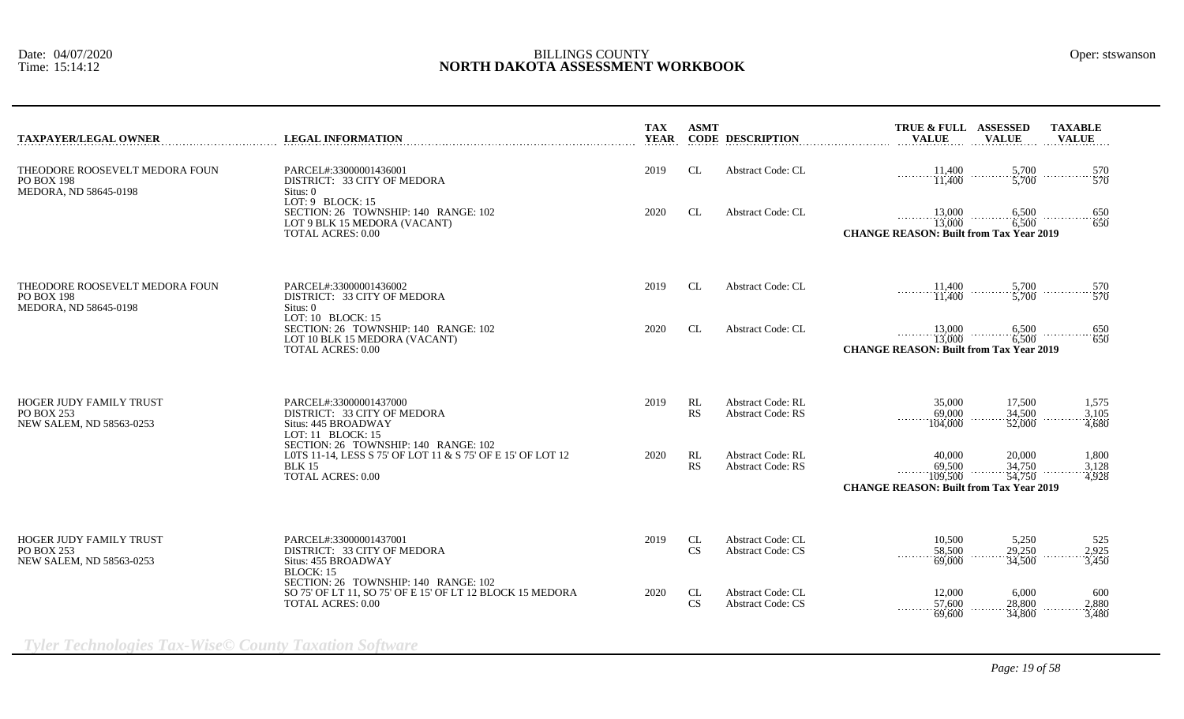| <b>TAXPAYER/LEGAL OWNER</b>                                              | <b>LEGAL INFORMATION</b>                                                                                                                          | <b>TAX</b><br><b>YEAR</b> | <b>ASMT</b>            | <b>CODE DESCRIPTION</b>                              | <b>TAXABLE</b><br>TRUE & FULL ASSESSED<br><b>VALUE</b><br><b>VALUE</b><br><b>VALUE</b>                                                 |
|--------------------------------------------------------------------------|---------------------------------------------------------------------------------------------------------------------------------------------------|---------------------------|------------------------|------------------------------------------------------|----------------------------------------------------------------------------------------------------------------------------------------|
| THEODORE ROOSEVELT MEDORA FOUN<br>PO BOX 198<br>MEDORA, ND 58645-0198    | PARCEL#:33000001436001<br>DISTRICT: 33 CITY OF MEDORA<br>Situs: 0<br>LOT: $9$ BLOCK: 15                                                           | 2019                      | CL                     | <b>Abstract Code: CL</b>                             | $\begin{array}{ccc}\n11,400 & \dots & 5,700 \\ 11,400 & \dots & 5,700 \\ 11,400 & \dots & 5,700\n\end{array}$                          |
|                                                                          | SECTION: 26 TOWNSHIP: 140 RANGE: 102<br>LOT 9 BLK 15 MEDORA (VACANT)<br><b>TOTAL ACRES: 0.00</b>                                                  | 2020                      | <b>CL</b>              | <b>Abstract Code: CL</b>                             | 650<br>650<br><b>CHANGE REASON: Built from Tax Year 2019</b>                                                                           |
| THEODORE ROOSEVELT MEDORA FOUN<br>PO BOX 198<br>MEDORA, ND 58645-0198    | PARCEL#:33000001436002<br>DISTRICT: 33 CITY OF MEDORA<br>Situs: 0                                                                                 | 2019                      | CL                     | <b>Abstract Code: CL</b>                             | $\frac{11,400}{11,400}$<br>5,700<br>570<br>1.1.1.1.1<br>5,700<br>570                                                                   |
|                                                                          | LOT: 10 BLOCK: 15<br>SECTION: 26 TOWNSHIP: 140 RANGE: 102<br>LOT 10 BLK 15 MEDORA (VACANT)<br><b>TOTAL ACRES: 0.00</b>                            | 2020                      | <b>CL</b>              | <b>Abstract Code: CL</b>                             | $13,000$ 6,500<br>13,000 6,500<br>$-\frac{650}{650}$<br>.<br><b>CHANGE REASON: Built from Tax Year 2019</b>                            |
| HOGER JUDY FAMILY TRUST<br><b>PO BOX 253</b><br>NEW SALEM. ND 58563-0253 | PARCEL#:33000001437000<br>DISTRICT: 33 CITY OF MEDORA<br>Situs: 445 BROADWAY<br>LOT: 11 BLOCK: 15                                                 | 2019                      | RL<br>RS               | <b>Abstract Code: RL</b><br><b>Abstract Code: RS</b> | 17,500<br>35,000<br>1,575<br>34,500<br>69,000<br>3,105<br>.<br>$-4.680$<br>104,000<br>52,000                                           |
|                                                                          | SECTION: 26 TOWNSHIP: 140 RANGE: 102<br>LOTS 11-14, LESS S 75' OF LOT 11 & S 75' OF E 15' OF LOT 12<br><b>BLK 15</b><br><b>TOTAL ACRES: 0.00</b>  | 2020                      | RL<br>RS               | <b>Abstract Code: RL</b><br><b>Abstract Code: RS</b> | 20,000<br>40,000<br>1,800<br>69,500<br>34,750<br>3,128<br>109.500<br>54,750<br>4,928<br><b>CHANGE REASON: Built from Tax Year 2019</b> |
| HOGER JUDY FAMILY TRUST<br>PO BOX 253<br>NEW SALEM, ND 58563-0253        | PARCEL#:33000001437001<br>DISTRICT: 33 CITY OF MEDORA<br>Situs: 455 BROADWAY                                                                      | 2019                      | CL<br><b>CS</b>        | <b>Abstract Code: CL</b><br><b>Abstract Code: CS</b> | 5,250<br>10,500<br>525<br>29,250<br>58,500<br>2,925<br>69,000<br>34,500<br>3,450                                                       |
|                                                                          | <b>BLOCK: 15</b><br>SECTION: 26 TOWNSHIP: 140 RANGE: 102<br>SO 75' OF LT 11, SO 75' OF E 15' OF LT 12 BLOCK 15 MEDORA<br><b>TOTAL ACRES: 0.00</b> | 2020                      | <b>CL</b><br><b>CS</b> | <b>Abstract Code: CL</b><br><b>Abstract Code: CS</b> | 12,000<br>6,000<br>600<br>57,600<br>28,800<br>2.880                                                                                    |

*Tyler Technologies Tax-Wise© County Taxation Software*

69,600 34,800 3,480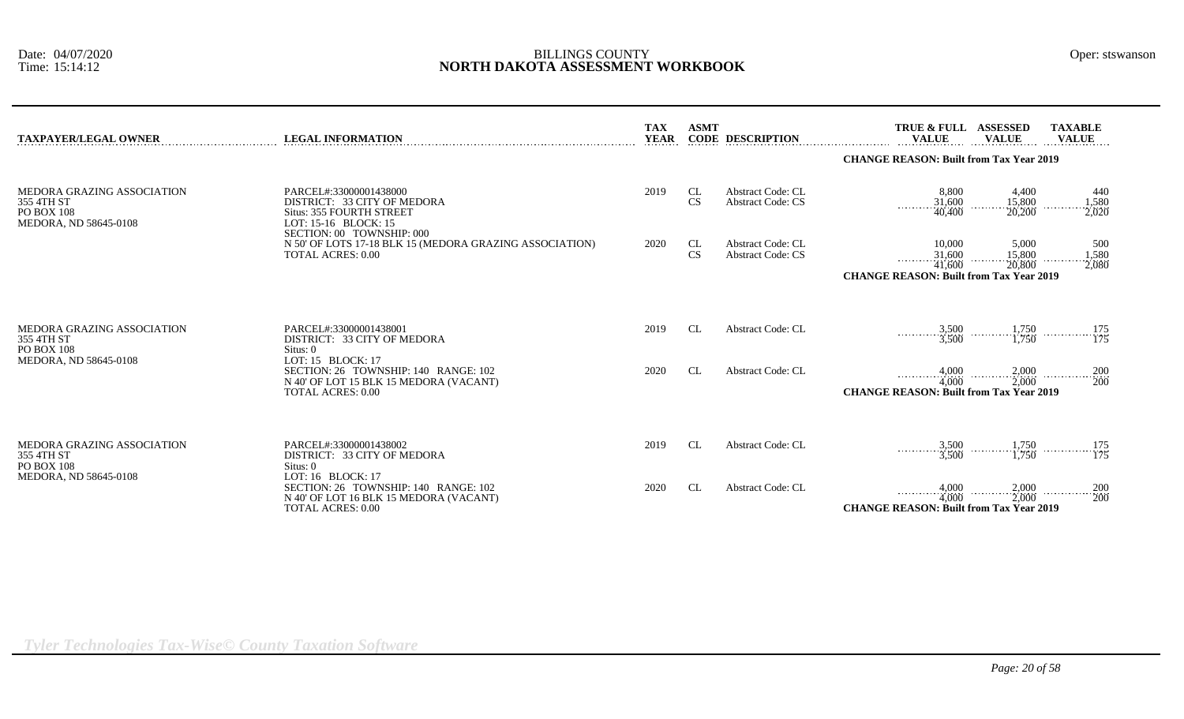| <b>TAXPAYER/LEGAL OWNER</b>                                                            | <b>LEGAL INFORMATION</b>                                                                                                        | <b>TAX</b><br><b>YEAR</b> | <b>ASMT</b>     | <b>CODE DESCRIPTION</b>                              | <b>TRUE &amp; FULL</b><br><b>VALUE</b>                                                                                | <b>ASSESSED</b><br><b>VALUE</b>                | <b>TAXABLE</b><br><b>VALUE</b> |  |  |
|----------------------------------------------------------------------------------------|---------------------------------------------------------------------------------------------------------------------------------|---------------------------|-----------------|------------------------------------------------------|-----------------------------------------------------------------------------------------------------------------------|------------------------------------------------|--------------------------------|--|--|
|                                                                                        |                                                                                                                                 |                           |                 |                                                      |                                                                                                                       | <b>CHANGE REASON: Built from Tax Year 2019</b> |                                |  |  |
| MEDORA GRAZING ASSOCIATION<br>355 4TH ST<br><b>PO BOX 108</b><br>MEDORA, ND 58645-0108 | PARCEL#:33000001438000<br>DISTRICT: 33 CITY OF MEDORA<br><b>Situs: 355 FOURTH STREET</b><br>LOT: 15-16 BLOCK: 15                | 2019                      | CL<br><b>CS</b> | <b>Abstract Code: CL</b><br><b>Abstract Code: CS</b> | 8,800<br>$\frac{31,600}{40,400}$                                                                                      | 4,400<br>15,800<br>20,200                      | 440<br>1,580<br>2,020          |  |  |
|                                                                                        | SECTION: 00 TOWNSHIP: 000<br>N 50' OF LOTS 17-18 BLK 15 (MEDORA GRAZING ASSOCIATION)<br><b>TOTAL ACRES: 0.00</b>                | 2020                      | CL<br><b>CS</b> | <b>Abstract Code: CL</b><br><b>Abstract Code: CS</b> | 10.000<br>$\frac{31,600}{41,600}$<br><b><i><u>ALLASSARE</u></i></b><br><b>CHANGE REASON: Built from Tax Year 2019</b> | 5,000<br>15,800<br>20,800                      | 500<br>1,580<br>2,080          |  |  |
| MEDORA GRAZING ASSOCIATION<br>355 4TH ST<br><b>PO BOX 108</b>                          | PARCEL#:33000001438001<br>DISTRICT: 33 CITY OF MEDORA<br>Situs: 0                                                               | 2019                      | CL              | <b>Abstract Code: CL</b>                             | $\frac{3,500}{3,500}$ $\frac{1,750}{1,750}$ $\frac{175}{175}$                                                         |                                                |                                |  |  |
| MEDORA, ND 58645-0108                                                                  | LOT: 15 BLOCK: 17<br>SECTION: 26 TOWNSHIP: 140 RANGE: 102<br>N 40' OF LOT 15 BLK 15 MEDORA (VACANT)<br><b>TOTAL ACRES: 0.00</b> | 2020                      | <b>CL</b>       | Abstract Code: CL                                    | $\begin{array}{c}\n4,000 \\ 4,000\n\end{array}$<br><b>CHANGE REASON: Built from Tax Year 2019</b>                     |                                                | $2,000$ 200 200 200 200        |  |  |
| MEDORA GRAZING ASSOCIATION<br>355 4TH ST<br><b>PO BOX 108</b>                          | PARCEL#:33000001438002<br>DISTRICT: 33 CITY OF MEDORA<br>Situs: 0                                                               | 2019                      | CL              | <b>Abstract Code: CL</b>                             | $\frac{3,500}{3,500}$ $\frac{1,750}{1,750}$ $\frac{175}{175}$                                                         |                                                |                                |  |  |
| MEDORA, ND 58645-0108                                                                  | LOT: 16 BLOCK: 17<br>SECTION: 26 TOWNSHIP: 140 RANGE: 102<br>N 40' OF LOT 16 BLK 15 MEDORA (VACANT)<br><b>TOTAL ACRES: 0.00</b> | 2020                      | CL              | <b>Abstract Code: CL</b>                             | 4,000<br>$-4,000$<br><b>CHANGE REASON: Built from Tax Year 2019</b>                                                   |                                                | $2,000$ 200 200 200 200        |  |  |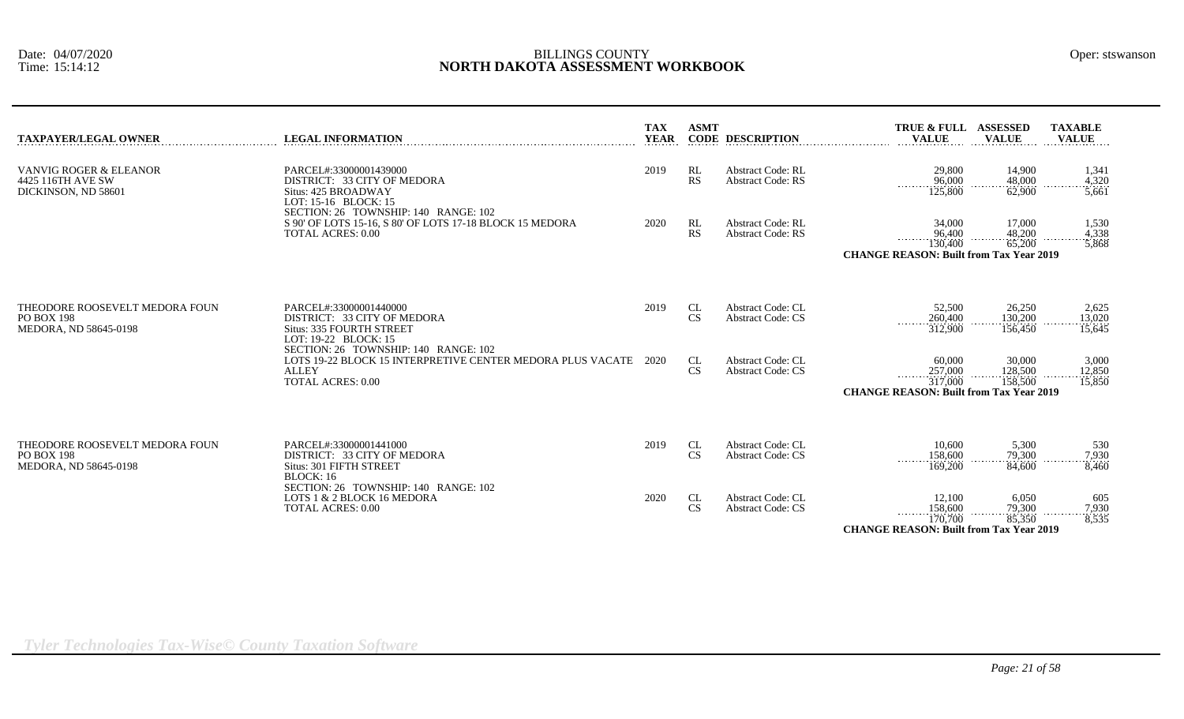| TAXPAYER/LEGAL OWNER                                                  | <b>LEGAL INFORMATION</b>                                                                                                                       | <b>TAX</b><br><b>YEAR</b> | <b>ASMT</b>     | <b>CODE DESCRIPTION</b>                              | TRUE & FULL ASSESSED<br><b>VALUE</b>                                                             | <b>VALUE</b>                 | <b>TAXABLE</b><br><b>VALUE</b> |
|-----------------------------------------------------------------------|------------------------------------------------------------------------------------------------------------------------------------------------|---------------------------|-----------------|------------------------------------------------------|--------------------------------------------------------------------------------------------------|------------------------------|--------------------------------|
| VANVIG ROGER & ELEANOR<br>4425 116TH AVE SW<br>DICKINSON, ND 58601    | PARCEL#:33000001439000<br>DISTRICT: 33 CITY OF MEDORA<br>Situs: 425 BROADWAY<br>LOT: 15-16 BLOCK: 15<br>SECTION: 26 TOWNSHIP: 140 RANGE: 102   | 2019                      | RL<br>RS        | <b>Abstract Code: RL</b><br><b>Abstract Code: RS</b> | 29,800<br>96,000<br>125,800                                                                      | 14,900<br>48,000<br>62,900   | 1,341<br>4,320<br>5,661        |
|                                                                       | S 90' OF LOTS 15-16, S 80' OF LOTS 17-18 BLOCK 15 MEDORA<br><b>TOTAL ACRES: 0.00</b>                                                           | 2020                      | RL<br><b>RS</b> | <b>Abstract Code: RL</b><br><b>Abstract Code: RS</b> | 34,000<br>96,400<br>130,400<br><b>CHANGE REASON: Built from Tax Year 2019</b>                    | 17,000<br>48,200<br>65,200   | 1,530<br>4,338<br>5,868        |
| THEODORE ROOSEVELT MEDORA FOUN<br>PO BOX 198<br>MEDORA, ND 58645-0198 | PARCEL#:33000001440000<br>DISTRICT: 33 CITY OF MEDORA<br><b>Situs: 335 FOURTH STREET</b><br>LOT: 19-22 BLOCK: 15                               | 2019                      | CL<br>CS        | <b>Abstract Code: CL</b><br><b>Abstract Code: CS</b> | 52,500<br>260,400<br>312,900                                                                     | 26,250<br>130,200<br>156,450 | 2,625<br>13,020<br>15,645      |
|                                                                       | SECTION: 26 TOWNSHIP: 140 RANGE: 102<br>LOTS 19-22 BLOCK 15 INTERPRETIVE CENTER MEDORA PLUS VACATE<br><b>ALLEY</b><br><b>TOTAL ACRES: 0.00</b> | 2020                      | CL<br><b>CS</b> | <b>Abstract Code: CL</b><br><b>Abstract Code: CS</b> | 60,000<br>257,000<br>317,000<br><b>CHANGE REASON: Built from Tax Year 2019</b>                   | 30,000<br>128,500<br>158,500 | 3,000<br>12,850<br>15,850      |
| THEODORE ROOSEVELT MEDORA FOUN<br>PO BOX 198<br>MEDORA. ND 58645-0198 | PARCEL#:33000001441000<br>DISTRICT: 33 CITY OF MEDORA<br>Situs: 301 FIFTH STREET<br>BLOCK:16                                                   | 2019                      | <b>CL</b><br>CS | <b>Abstract Code: CL</b><br><b>Abstract Code: CS</b> | 10.600<br>158,600<br>169,200                                                                     | 5,300<br>79.300<br>84,600    | 530<br>7,930<br>8,460          |
|                                                                       | SECTION: 26 TOWNSHIP: 140 RANGE: 102<br>LOTS 1 & 2 BLOCK 16 MEDORA<br><b>TOTAL ACRES: 0.00</b>                                                 | 2020                      | CL<br><b>CS</b> | <b>Abstract Code: CL</b><br><b>Abstract Code: CS</b> | 12,100<br>158,600<br>$\frac{170,700}{170,700}$<br><b>CHANGE REASON: Built from Tax Year 2019</b> | 6,050<br>79,300<br>85,350    | 605<br>$\frac{7,930}{8,535}$   |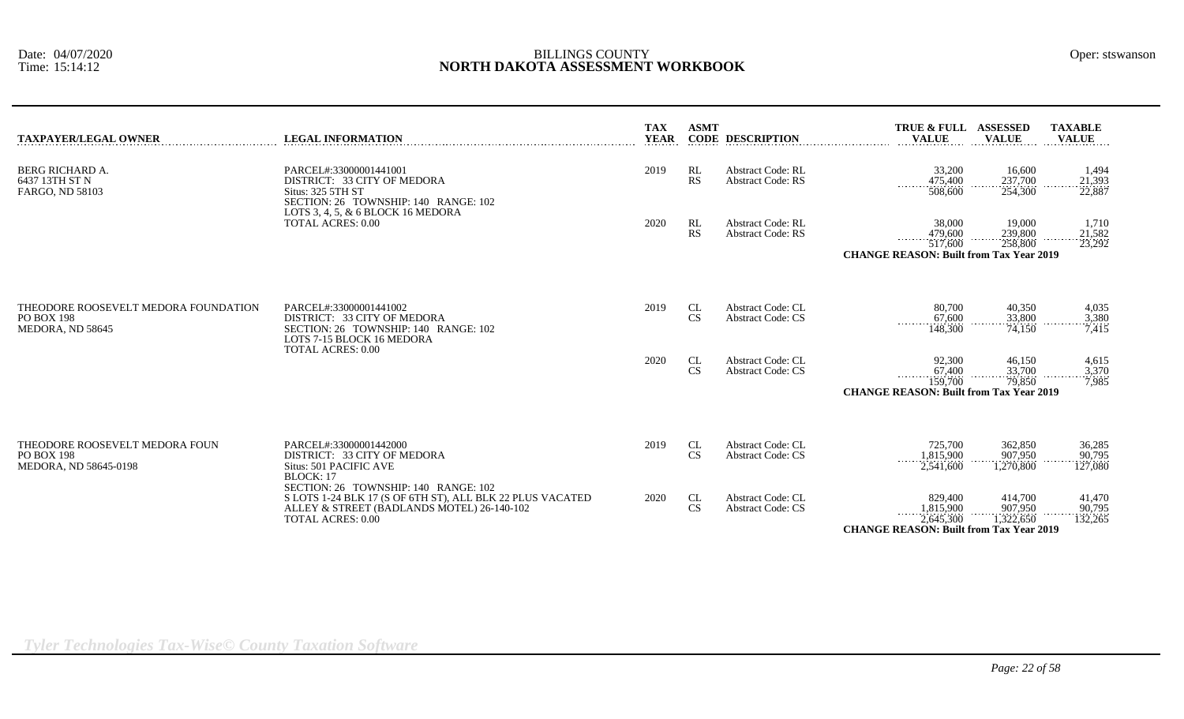| <b>TAXPAYER/LEGAL OWNER</b>                                                   | <b>LEGAL INFORMATION</b>                                                                                                                                   | <b>TAX</b><br><b>YEAR</b> | <b>ASMT</b>                  | <b>CODE DESCRIPTION</b>                              | TRUE & FULL ASSESSED<br><b>VALUE</b>                                                         | <b>VALUE</b>                       | <b>TAXABLE</b><br><b>VALUE</b>         |
|-------------------------------------------------------------------------------|------------------------------------------------------------------------------------------------------------------------------------------------------------|---------------------------|------------------------------|------------------------------------------------------|----------------------------------------------------------------------------------------------|------------------------------------|----------------------------------------|
| <b>BERG RICHARD A.</b><br>6437 13TH ST N<br><b>FARGO, ND 58103</b>            | PARCEL#:33000001441001<br>DISTRICT: 33 CITY OF MEDORA<br>Situs: 325 5TH ST<br>SECTION: 26 TOWNSHIP: 140 RANGE: 102<br>LOTS 3, 4, 5, $\&$ 6 BLOCK 16 MEDORA | 2019                      | RL<br>RS                     | <b>Abstract Code: RL</b><br><b>Abstract Code: RS</b> | 33,200<br>475,400<br>.<br>508,600                                                            | 16,600<br>237,700<br>254,300       | 1,494<br>21,393<br>22,887              |
|                                                                               | <b>TOTAL ACRES: 0.00</b>                                                                                                                                   | 2020                      | RL<br><b>RS</b>              | <b>Abstract Code: RL</b><br><b>Abstract Code: RS</b> | 38,000<br>479,600<br>. <i>.</i><br>517,600<br><b>CHANGE REASON: Built from Tax Year 2019</b> | 19,000<br>239,800<br>258,800       | 1,710<br>$-\frac{21,582}{23,292}$<br>. |
| THEODORE ROOSEVELT MEDORA FOUNDATION<br><b>PO BOX 198</b><br>MEDORA, ND 58645 | PARCEL#:33000001441002<br>DISTRICT: 33 CITY OF MEDORA<br>SECTION: 26 TOWNSHIP: 140 RANGE: 102<br>LOTS 7-15 BLOCK 16 MEDORA                                 | 2019                      | CL<br>CS                     | <b>Abstract Code: CL</b><br><b>Abstract Code: CS</b> | 80,700<br>67,600<br>.<br>148,300                                                             | 40,350<br>33,800<br>74,150         | 4,035<br>3,380<br>7,415                |
|                                                                               | <b>TOTAL ACRES: 0.00</b>                                                                                                                                   | 2020                      | CL<br>$\mathbf{C}\mathbf{S}$ | Abstract Code: CL<br><b>Abstract Code: CS</b>        | 92,300<br>67,400<br>1.1.1.1.1.1<br>159,700<br><b>CHANGE REASON: Built from Tax Year 2019</b> | 46,150<br>33,700<br>79,850         | 4,615<br>3,370<br>7,985                |
| THEODORE ROOSEVELT MEDORA FOUN<br><b>PO BOX 198</b><br>MEDORA, ND 58645-0198  | PARCEL#:33000001442000<br>DISTRICT: 33 CITY OF MEDORA<br>Situs: 501 PACIFIC AVE<br>BLOCK: 17<br>SECTION: 26 TOWNSHIP: 140 RANGE: 102                       | 2019                      | CL<br><b>CS</b>              | <b>Abstract Code: CL</b><br><b>Abstract Code: CS</b> | 725,700<br>1,815,900<br>2,541,600                                                            | 362,850<br>907.950<br>1,270,800    | 36,285<br>90,795<br>127,080            |
|                                                                               | S LOTS 1-24 BLK 17 (S OF 6TH ST), ALL BLK 22 PLUS VACATED<br>ALLEY & STREET (BADLANDS MOTEL) 26-140-102<br><b>TOTAL ACRES: 0.00</b>                        | 2020                      | CL<br><b>CS</b>              | Abstract Code: CL<br><b>Abstract Code: CS</b>        | 829,400<br>1,815,900<br>2,645,300<br><b>CHANGE REASON: Built from Tax Year 2019</b>          | 414,700<br>907,950<br>$-1,322,650$ | 41,470<br>90,795<br>132,265            |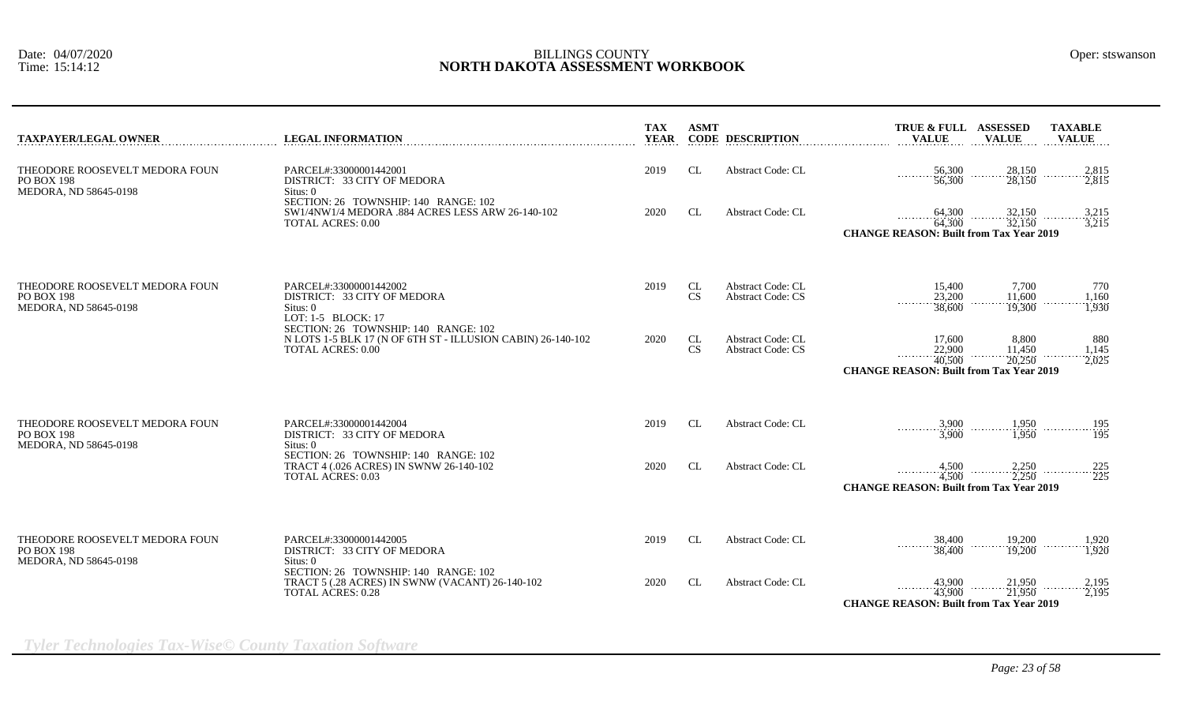| <b>TAXPAYER/LEGAL OWNER</b>                                                                                                                                                                                                                                                                                | <b>LEGAL INFORMATION</b>                                                                                            | <b>TAX</b><br><b>YEAR</b> | <b>ASMT</b>                                          | <b>CODE DESCRIPTION</b>                                                                                                            | TRUE & FULL ASSESSED<br><b>TAXABLE</b><br><b>VALUE</b><br><b>VALUE</b><br><b>VALUE</b>                                                       |
|------------------------------------------------------------------------------------------------------------------------------------------------------------------------------------------------------------------------------------------------------------------------------------------------------------|---------------------------------------------------------------------------------------------------------------------|---------------------------|------------------------------------------------------|------------------------------------------------------------------------------------------------------------------------------------|----------------------------------------------------------------------------------------------------------------------------------------------|
| THEODORE ROOSEVELT MEDORA FOUN<br><b>PO BOX 198</b><br>MEDORA, ND 58645-0198                                                                                                                                                                                                                               | PARCEL#:33000001442001<br>DISTRICT: 33 CITY OF MEDORA<br>Situs: 0<br>SECTION: 26 TOWNSHIP: 140 RANGE: 102           | 2019                      | <b>CL</b>                                            | <b>Abstract Code: CL</b>                                                                                                           | $56,300$<br>$56,300$<br>$\frac{28,150}{28,150}$<br>$\begin{array}{c}\n 2,815 \\  \hline\n 2,815\n \end{array}$                               |
|                                                                                                                                                                                                                                                                                                            | SW1/4NW1/4 MEDORA .884 ACRES LESS ARW 26-140-102<br><b>TOTAL ACRES: 0.00</b>                                        | 2020                      | CL                                                   | Abstract Code: CL                                                                                                                  | $64,300$<br>$64,300$<br>$32,150$<br>$32,150$<br>$\frac{3,215}{3,215}$<br>.<br><b>CHANGE REASON: Built from Tax Year 2019</b>                 |
| THEODORE ROOSEVELT MEDORA FOUN<br>PARCEL#:33000001442002<br><b>PO BOX 198</b><br>DISTRICT: 33 CITY OF MEDORA<br>MEDORA, ND 58645-0198<br>Situs: 0<br>LOT: 1-5 BLOCK: 17<br>SECTION: 26 TOWNSHIP: 140 RANGE: 102<br>N LOTS 1-5 BLK 17 (N OF 6TH ST - ILLUSION CABIN) 26-140-102<br><b>TOTAL ACRES: 0.00</b> |                                                                                                                     | 2019                      | CL<br>CS                                             | <b>Abstract Code: CL</b><br><b>Abstract Code: CS</b>                                                                               | 7.700<br>15.400<br>770<br>23,200<br>11.600<br>1,160<br>.<br>.<br>38,600<br>19,300<br>1.930                                                   |
|                                                                                                                                                                                                                                                                                                            | 2020                                                                                                                | CL<br><b>CS</b>           | <b>Abstract Code: CL</b><br><b>Abstract Code: CS</b> | 17,600<br>8.800<br>880<br>22,900<br>11,450<br>1,145<br>40,500<br>20,250<br>2,025<br><b>CHANGE REASON: Built from Tax Year 2019</b> |                                                                                                                                              |
| THEODORE ROOSEVELT MEDORA FOUN<br><b>PO BOX 198</b><br>MEDORA, ND 58645-0198                                                                                                                                                                                                                               | PARCEL#:33000001442004<br>DISTRICT: 33 CITY OF MEDORA<br>Situs: 0                                                   | 2019                      | CL                                                   | <b>Abstract Code: CL</b>                                                                                                           | $\frac{3,900}{3,900}$ $\frac{1,950}{1,950}$ $\frac{195}{195}$                                                                                |
|                                                                                                                                                                                                                                                                                                            | SECTION: 26 TOWNSHIP: 140 RANGE: 102<br>TRACT 4 (.026 ACRES) IN SWNW 26-140-102<br><b>TOTAL ACRES: 0.03</b>         | 2020                      | <b>CL</b>                                            | <b>Abstract Code: CL</b>                                                                                                           | $4,500$ $2,250$<br>$4,500$ $2,250$<br>$\cdots \cdots \cdots \cdots \cdots \frac{225}{225}$<br><b>CHANGE REASON: Built from Tax Year 2019</b> |
| THEODORE ROOSEVELT MEDORA FOUN<br><b>PO BOX 198</b><br>MEDORA, ND 58645-0198                                                                                                                                                                                                                               | PARCEL#:33000001442005<br>DISTRICT: 33 CITY OF MEDORA<br>Situs: 0                                                   | 2019                      | CL                                                   | Abstract Code: CL                                                                                                                  | 19,200<br>19,200<br>$\frac{38,400}{38,400}$<br>$\frac{1,920}{1,920}$<br>.<br>.                                                               |
|                                                                                                                                                                                                                                                                                                            | SECTION: 26 TOWNSHIP: 140 RANGE: 102<br>TRACT 5 (.28 ACRES) IN SWNW (VACANT) 26-140-102<br><b>TOTAL ACRES: 0.28</b> | 2020                      | CL                                                   | Abstract Code: CL                                                                                                                  | 43,900<br>$\frac{21,950}{21,950}$<br>2,195<br>43,900<br>.<br>2,195<br><b>CHANGE REASON: Built from Tax Year 2019</b>                         |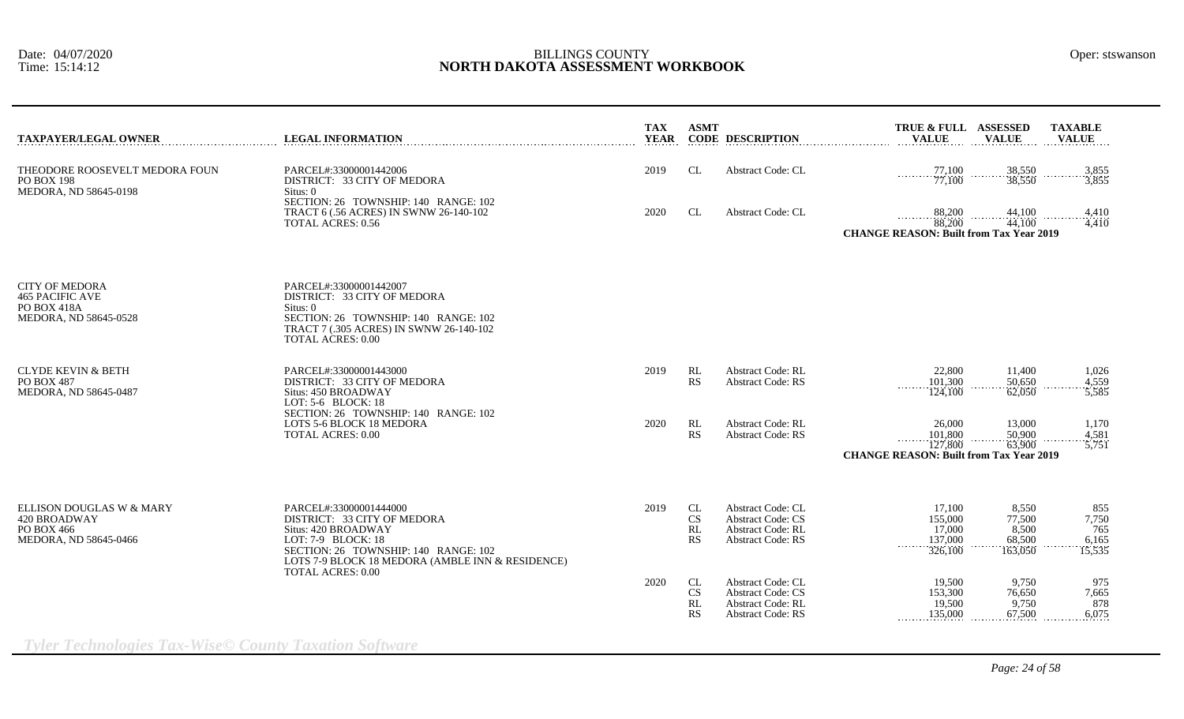| <b>TAXPAYER/LEGAL OWNER</b>                                                             | <b>LEGAL INFORMATION</b>                                                                                                                                                                                                   | <b>TAX</b><br><b>YEAR</b> | <b>ASMT</b>                 | <b>CODE DESCRIPTION</b>                                                                               | TRUE & FULL ASSESSED<br><b>VALUE</b>                                           | <b>VALUE</b>                                  | <b>TAXABLE</b><br><b>VALUE</b>         |
|-----------------------------------------------------------------------------------------|----------------------------------------------------------------------------------------------------------------------------------------------------------------------------------------------------------------------------|---------------------------|-----------------------------|-------------------------------------------------------------------------------------------------------|--------------------------------------------------------------------------------|-----------------------------------------------|----------------------------------------|
| THEODORE ROOSEVELT MEDORA FOUN<br>PO BOX 198<br>MEDORA, ND 58645-0198                   | PARCEL#:33000001442006<br>DISTRICT: 33 CITY OF MEDORA<br>Situs: 0                                                                                                                                                          | 2019                      | CL                          | Abstract Code: CL                                                                                     | 77,100<br>77,100                                                               | 38,550<br>38,550                              | 3,855<br>3,855                         |
|                                                                                         | SECTION: 26 TOWNSHIP: 140 RANGE: 102<br>TRACT 6 (.56 ACRES) IN SWNW 26-140-102<br><b>TOTAL ACRES: 0.56</b>                                                                                                                 | 2020                      | CL                          | Abstract Code: CL                                                                                     | 88,200<br>88,200<br><b>CHANGE REASON: Built from Tax Year 2019</b>             | $\frac{44,100}{44,100}$                       | 4,410<br>.<br>4,410                    |
| <b>CITY OF MEDORA</b><br><b>465 PACIFIC AVE</b><br>PO BOX 418A<br>MEDORA, ND 58645-0528 | PARCEL#:33000001442007<br>DISTRICT: 33 CITY OF MEDORA<br>Situs: 0<br>SECTION: 26 TOWNSHIP: 140 RANGE: 102<br>TRACT 7 (.305 ACRES) IN SWNW 26-140-102<br><b>TOTAL ACRES: 0.00</b>                                           |                           |                             |                                                                                                       |                                                                                |                                               |                                        |
| <b>CLYDE KEVIN &amp; BETH</b><br>PO BOX 487<br>MEDORA, ND 58645-0487                    | PARCEL#:33000001443000<br>DISTRICT: 33 CITY OF MEDORA<br>Situs: 450 BROADWAY<br>LOT: 5-6 BLOCK: 18                                                                                                                         | 2019                      | RL<br>RS                    | <b>Abstract Code: RL</b><br><b>Abstract Code: RS</b>                                                  | 22,800<br>101,300<br>124,100                                                   | 11,400<br>50,650<br>62,050                    | 1,026<br>4,559<br>5,585                |
|                                                                                         | SECTION: 26 TOWNSHIP: 140 RANGE: 102<br>LOTS 5-6 BLOCK 18 MEDORA<br><b>TOTAL ACRES: 0.00</b>                                                                                                                               | 2020                      | RL<br>RS                    | <b>Abstract Code: RL</b><br><b>Abstract Code: RS</b>                                                  | 26,000<br>101,800<br>127,800<br><b>CHANGE REASON: Built from Tax Year 2019</b> | 13,000<br>50,900<br>63,900                    | 1,170<br>4,581<br>5,751                |
| ELLISON DOUGLAS W & MARY<br>420 BROADWAY<br>PO BOX 466<br>MEDORA, ND 58645-0466         | PARCEL#:33000001444000<br>DISTRICT: 33 CITY OF MEDORA<br>Situs: 420 BROADWAY<br>LOT: 7-9 BLOCK: 18<br>SECTION: 26 TOWNSHIP: 140 RANGE: 102<br>LOTS 7-9 BLOCK 18 MEDORA (AMBLE INN & RESIDENCE)<br><b>TOTAL ACRES: 0.00</b> | 2019                      | CL<br><b>CS</b><br>RL<br>RS | Abstract Code: CL<br><b>Abstract Code: CS</b><br><b>Abstract Code: RL</b><br><b>Abstract Code: RS</b> | 17,100<br>155,000<br>17,000<br>137,000<br>1.1.1.1.1.1.1<br>326,100             | 8,550<br>77,500<br>8.500<br>68,500<br>163,050 | 855<br>7,750<br>765<br>6,165<br>15,535 |
|                                                                                         |                                                                                                                                                                                                                            | 2020                      | CL<br><b>CS</b><br>RL<br>RS | Abstract Code: CL<br><b>Abstract Code: CS</b><br><b>Abstract Code: RL</b><br><b>Abstract Code: RS</b> | 19,500<br>153,300<br>19,500<br>135,000                                         | 9,750<br>76,650<br>9,750<br>67,500            | 975<br>7,665<br>878<br>6,075           |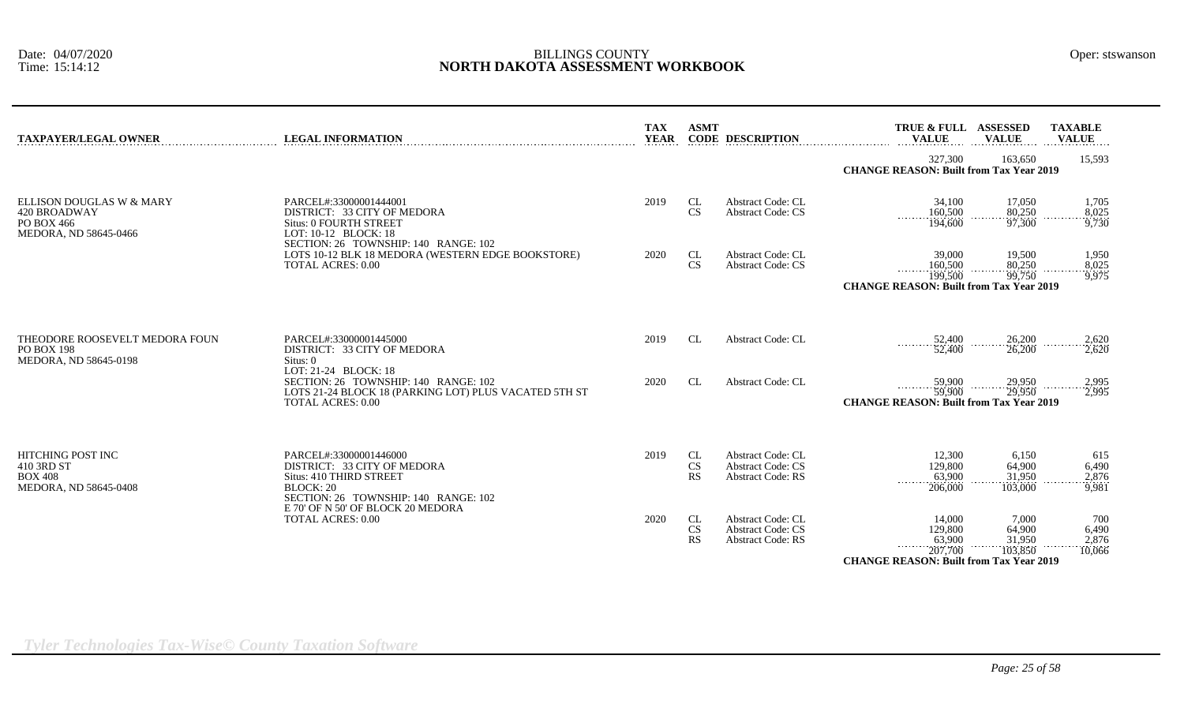| <b>TAXPAYER/LEGAL OWNER</b>                                                       | <b>LEGAL INFORMATION</b>                                                                                                                               | <b>TAX</b><br><b>YEAR</b> | <b>ASMT</b>                         | <b>CODE DESCRIPTION</b>                                                          | TRUE & FULL ASSESSED<br><b>VALUE</b>                                                          | <b>VALUE</b>                         | <b>TAXABLE</b><br><b>VALUE</b>  |
|-----------------------------------------------------------------------------------|--------------------------------------------------------------------------------------------------------------------------------------------------------|---------------------------|-------------------------------------|----------------------------------------------------------------------------------|-----------------------------------------------------------------------------------------------|--------------------------------------|---------------------------------|
|                                                                                   |                                                                                                                                                        |                           |                                     |                                                                                  | 327,300<br><b>CHANGE REASON: Built from Tax Year 2019</b>                                     | 163.650                              | 15,593                          |
| ELLISON DOUGLAS W & MARY<br>420 BROADWAY<br>PO BOX 466<br>MEDORA, ND 58645-0466   | PARCEL#:33000001444001<br>DISTRICT: 33 CITY OF MEDORA<br><b>Situs: 0 FOURTH STREET</b><br>LOT: 10-12 BLOCK: 18<br>SECTION: 26 TOWNSHIP: 140 RANGE: 102 | 2019                      | <b>CL</b><br>$\mathbf{C}\mathbf{S}$ | <b>Abstract Code: CL</b><br><b>Abstract Code: CS</b>                             | 34,100<br>160,500<br>194,600                                                                  | 17.050<br>80,250<br>97,300           | 1,705<br>8,025<br>9,730         |
|                                                                                   | LOTS 10-12 BLK 18 MEDORA (WESTERN EDGE BOOKSTORE)<br><b>TOTAL ACRES: 0.00</b>                                                                          | 2020                      | <b>CL</b><br>CS                     | <b>Abstract Code: CL</b><br><b>Abstract Code: CS</b>                             | 39,000<br>160,500<br>.<br>199,500<br><b>CHANGE REASON: Built from Tax Year 2019</b>           | 19,500<br>80,250<br>99,750           | 1,950<br>8,025<br>9,975         |
| THEODORE ROOSEVELT MEDORA FOUN<br><b>PO BOX 198</b><br>MEDORA, ND 58645-0198      | PARCEL#:33000001445000<br>DISTRICT: 33 CITY OF MEDORA<br>Situs: 0                                                                                      | 2019                      | <b>CL</b>                           | Abstract Code: CL                                                                | 52,400<br>.<br>52,400                                                                         | 26,200<br>26,200                     | 2,620<br>2,620                  |
|                                                                                   | LOT: 21-24 BLOCK: 18<br>SECTION: 26 TOWNSHIP: 140 RANGE: 102<br>LOTS 21-24 BLOCK 18 (PARKING LOT) PLUS VACATED 5TH ST<br><b>TOTAL ACRES: 0.00</b>      | 2020                      | CL                                  | <b>Abstract Code: CL</b>                                                         | 59,900<br>.<br>59,900<br><b>CHANGE REASON: Built from Tax Year 2019</b>                       | 29,950<br>29,950                     | 2,995<br>2.995                  |
| <b>HITCHING POST INC</b><br>410 3RD ST<br><b>BOX 408</b><br>MEDORA, ND 58645-0408 | PARCEL#:33000001446000<br>DISTRICT: 33 CITY OF MEDORA<br>Situs: 410 THIRD STREET<br><b>BLOCK: 20</b><br>SECTION: 26 TOWNSHIP: 140 RANGE: 102           | 2019                      | CL<br>$\mathbf{C}\mathbf{S}$<br>RS  | Abstract Code: CL<br><b>Abstract Code: CS</b><br><b>Abstract Code: RS</b>        | 12,300<br>129,800<br>63,900<br>206,000                                                        | 6,150<br>64,900<br>31,950<br>103,000 | 615<br>6,490<br>2,876<br>9,981  |
|                                                                                   | E 70' OF N 50' OF BLOCK 20 MEDORA<br><b>TOTAL ACRES: 0.00</b>                                                                                          | 2020                      | CL<br>CS<br>RS                      | <b>Abstract Code: CL</b><br><b>Abstract Code: CS</b><br><b>Abstract Code: RS</b> | 14.000<br>129,800<br>63,900<br>.<br>207,700<br><b>CHANGE REASON: Built from Tax Year 2019</b> | 7.000<br>64,900<br>31.950<br>103,850 | 700<br>6,490<br>2,876<br>10,066 |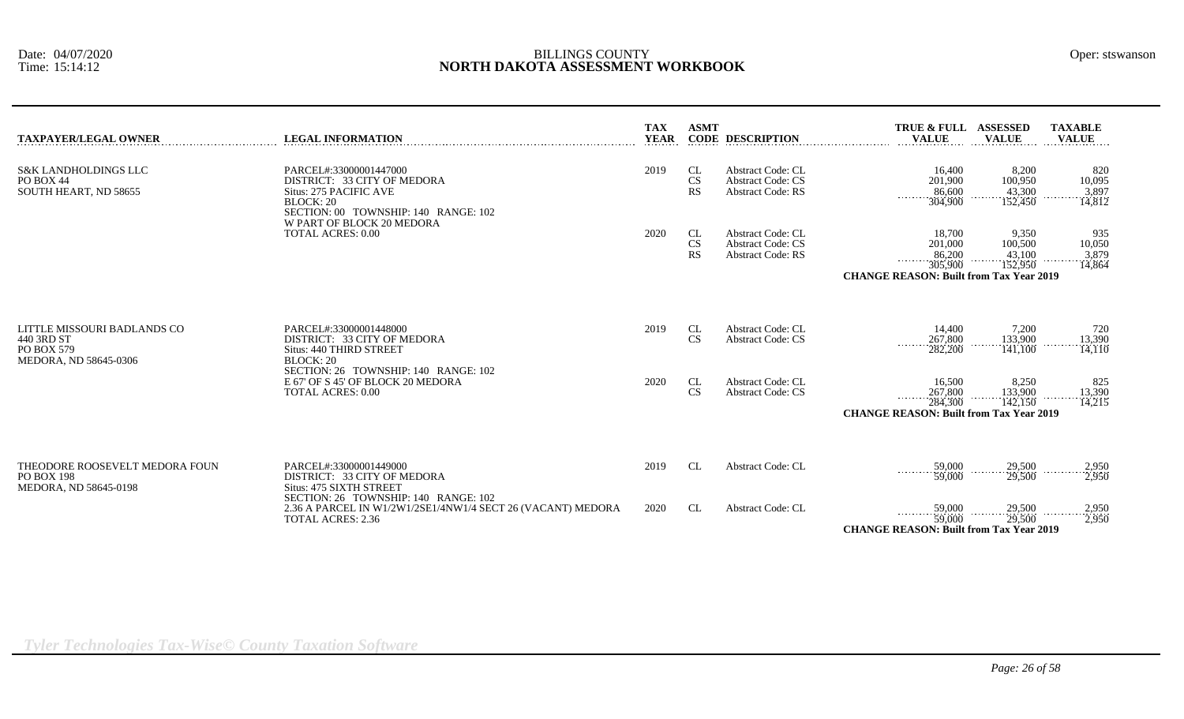| <b>TAXPAYER/LEGAL OWNER</b>                                                      | <b>LEGAL INFORMATION</b>                                                                                                                                                 | <b>TAX</b><br><b>YEAR</b> | <b>ASMT</b>                  | <b>CODE DESCRIPTION</b>                                                          | <b>TRUE &amp; FULL</b><br><b>VALUE</b>                                                   | <b>ASSESSED</b><br><b>VALUE</b>       | <b>TAXABLE</b><br><b>VALUE</b>   |
|----------------------------------------------------------------------------------|--------------------------------------------------------------------------------------------------------------------------------------------------------------------------|---------------------------|------------------------------|----------------------------------------------------------------------------------|------------------------------------------------------------------------------------------|---------------------------------------|----------------------------------|
| <b>S&amp;K LANDHOLDINGS LLC</b><br>PO BOX 44<br>SOUTH HEART, ND 58655            | PARCEL#:33000001447000<br>DISTRICT: 33 CITY OF MEDORA<br>Situs: 275 PACIFIC AVE<br><b>BLOCK: 20</b><br>SECTION: 00 TOWNSHIP: 140 RANGE: 102<br>W PART OF BLOCK 20 MEDORA | 2019                      | CL<br>CS<br><b>RS</b>        | Abstract Code: CL<br><b>Abstract Code: CS</b><br><b>Abstract Code: RS</b>        | 16,400<br>201,900<br>86,600<br>304,900                                                   | 8,200<br>100,950<br>43,300<br>152,450 | 820<br>10,095<br>3,897<br>14.812 |
|                                                                                  | <b>TOTAL ACRES: 0.00</b>                                                                                                                                                 | 2020                      | CL<br><b>CS</b><br><b>RS</b> | <b>Abstract Code: CL</b><br><b>Abstract Code: CS</b><br><b>Abstract Code: RS</b> | 18,700<br>201,000<br>86,200<br>305,900<br><b>CHANGE REASON: Built from Tax Year 2019</b> | 9,350<br>100,500<br>43,100<br>152,950 | 935<br>10,050<br>3,879<br>14,864 |
| LITTLE MISSOURI BADLANDS CO<br>440 3RD ST<br>PO BOX 579<br>MEDORA, ND 58645-0306 | PARCEL#:33000001448000<br>DISTRICT: 33 CITY OF MEDORA<br>Situs: 440 THIRD STREET<br><b>BLOCK: 20</b>                                                                     | 2019                      | CL<br><b>CS</b>              | Abstract Code: CL<br><b>Abstract Code: CS</b>                                    | 14,400<br>267,800<br>.<br>282,200                                                        | 7,200<br>133,900<br>141,100           | 720<br>13,390<br>14,110          |
|                                                                                  | SECTION: 26 TOWNSHIP: 140 RANGE: 102<br>E 67' OF S 45' OF BLOCK 20 MEDORA<br><b>TOTAL ACRES: 0.00</b>                                                                    | 2020                      | CL<br><b>CS</b>              | <b>Abstract Code: CL</b><br><b>Abstract Code: CS</b>                             | 16,500<br>267,800<br>284,300<br><b>CHANGE REASON: Built from Tax Year 2019</b>           | 8,250<br>133,900<br>.<br>142,150      | 825<br>13,390<br>.<br>14,215     |
| THEODORE ROOSEVELT MEDORA FOUN<br><b>PO BOX 198</b><br>MEDORA, ND 58645-0198     | PARCEL#:33000001449000<br>DISTRICT: 33 CITY OF MEDORA<br>Situs: 475 SIXTH STREET                                                                                         | 2019                      | CL                           | <b>Abstract Code: CL</b>                                                         | 59,000<br>59,000                                                                         | 29,500<br>29,500                      | 2,950<br>2,950                   |
|                                                                                  | SECTION: 26 TOWNSHIP: 140 RANGE: 102<br>2.36 A PARCEL IN W1/2W1/2SE1/4NW1/4 SECT 26 (VACANT) MEDORA<br><b>TOTAL ACRES: 2.36</b>                                          | 2020                      | CL                           | <b>Abstract Code: CL</b>                                                         | 59,000<br>.<br>59,000<br><b>CHANGE REASON: Built from Tax Year 2019</b>                  | 29,500<br>$\overline{29,500}$         | $\frac{2,950}{2,950}$            |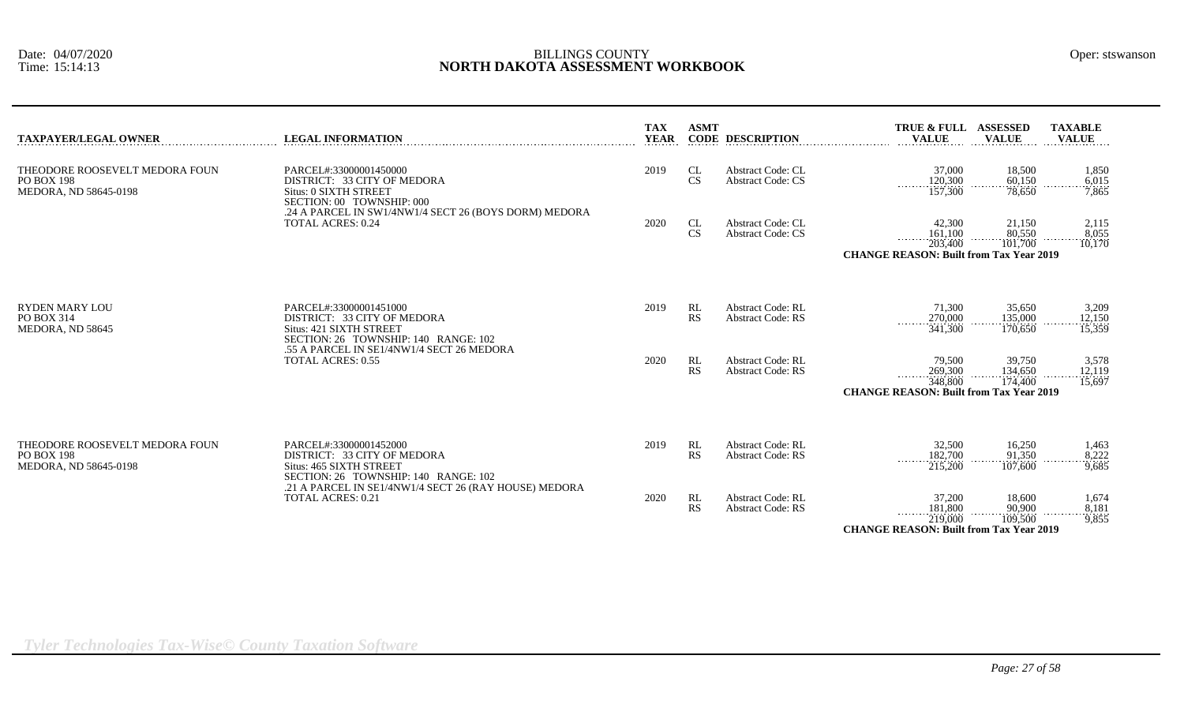| <b>TAXPAYER/LEGAL OWNER</b>                                                  | <b>LEGAL INFORMATION</b>                                                                                                 | <b>TAX</b><br><b>YEAR</b> | <b>ASMT</b>     | <b>CODE DESCRIPTION</b>                              | TRUE & FULL ASSESSED<br><b>VALUE</b>                                                        | <b>VALUE</b>                 | <b>TAXABLE</b><br><b>VALUE</b> |
|------------------------------------------------------------------------------|--------------------------------------------------------------------------------------------------------------------------|---------------------------|-----------------|------------------------------------------------------|---------------------------------------------------------------------------------------------|------------------------------|--------------------------------|
| THEODORE ROOSEVELT MEDORA FOUN<br><b>PO BOX 198</b><br>MEDORA, ND 58645-0198 | PARCEL#:33000001450000<br>DISTRICT: 33 CITY OF MEDORA<br><b>Situs: 0 SIXTH STREET</b><br>SECTION: 00 TOWNSHIP: 000       | 2019                      | CL<br>CS        | Abstract Code: CL<br><b>Abstract Code: CS</b>        | 37,000<br>120,300<br>$\cdots \cdots \cdots$<br>157,300                                      | 18,500<br>60,150<br>78,650   | 1,850<br>6,015<br>7,865        |
|                                                                              | .24 A PARCEL IN SW1/4NW1/4 SECT 26 (BOYS DORM) MEDORA<br><b>TOTAL ACRES: 0.24</b>                                        | 2020                      | CL<br>CS        | <b>Abstract Code: CL</b><br><b>Abstract Code: CS</b> | 42,300<br>161,100<br>203,400<br><b>CHANGE REASON: Built from Tax Year 2019</b>              | 21,150<br>80,550<br>101,700  | 2,115<br>8,055<br>10,170       |
| <b>RYDEN MARY LOU</b><br>PO BOX 314<br>MEDORA, ND 58645                      | PARCEL#:33000001451000<br>DISTRICT: 33 CITY OF MEDORA<br>Situs: 421 SIXTH STREET<br>SECTION: 26 TOWNSHIP: 140 RANGE: 102 | 2019                      | RL<br><b>RS</b> | <b>Abstract Code: RL</b><br><b>Abstract Code: RS</b> | 71,300<br>270,000<br>341,300                                                                | 35,650<br>135,000<br>170,650 | 3,209<br>12,150<br>15,359      |
|                                                                              | .55 A PARCEL IN SE1/4NW1/4 SECT 26 MEDORA<br><b>TOTAL ACRES: 0.55</b>                                                    | 2020                      | RL<br>RS        | <b>Abstract Code: RL</b><br><b>Abstract Code: RS</b> | 79,500<br>269,300<br>.<br>348,800<br><b>CHANGE REASON: Built from Tax Year 2019</b>         | 39,750<br>134,650<br>174,400 | 3,578<br>12,119<br>15,697      |
| THEODORE ROOSEVELT MEDORA FOUN<br><b>PO BOX 198</b><br>MEDORA, ND 58645-0198 | PARCEL#:33000001452000<br>DISTRICT: 33 CITY OF MEDORA<br>Situs: 465 SIXTH STREET<br>SECTION: 26 TOWNSHIP: 140 RANGE: 102 | 2019                      | RL<br>RS        | <b>Abstract Code: RL</b><br><b>Abstract Code: RS</b> | 32,500<br>182,700<br>215,200                                                                | 16,250<br>91.350<br>107,600  | 1,463<br>8,222<br>9,685        |
|                                                                              | .21 A PARCEL IN SE1/4NW1/4 SECT 26 (RAY HOUSE) MEDORA<br><b>TOTAL ACRES: 0.21</b>                                        | 2020                      | RL<br><b>RS</b> | <b>Abstract Code: RL</b><br><b>Abstract Code: RS</b> | 37,200<br>181,800<br>1.1.1.1.1<br>219,000<br><b>CHANGE REASON: Built from Tax Year 2019</b> | 18,600<br>90,900<br>109,500  | 1,674<br>8,181<br>9,855        |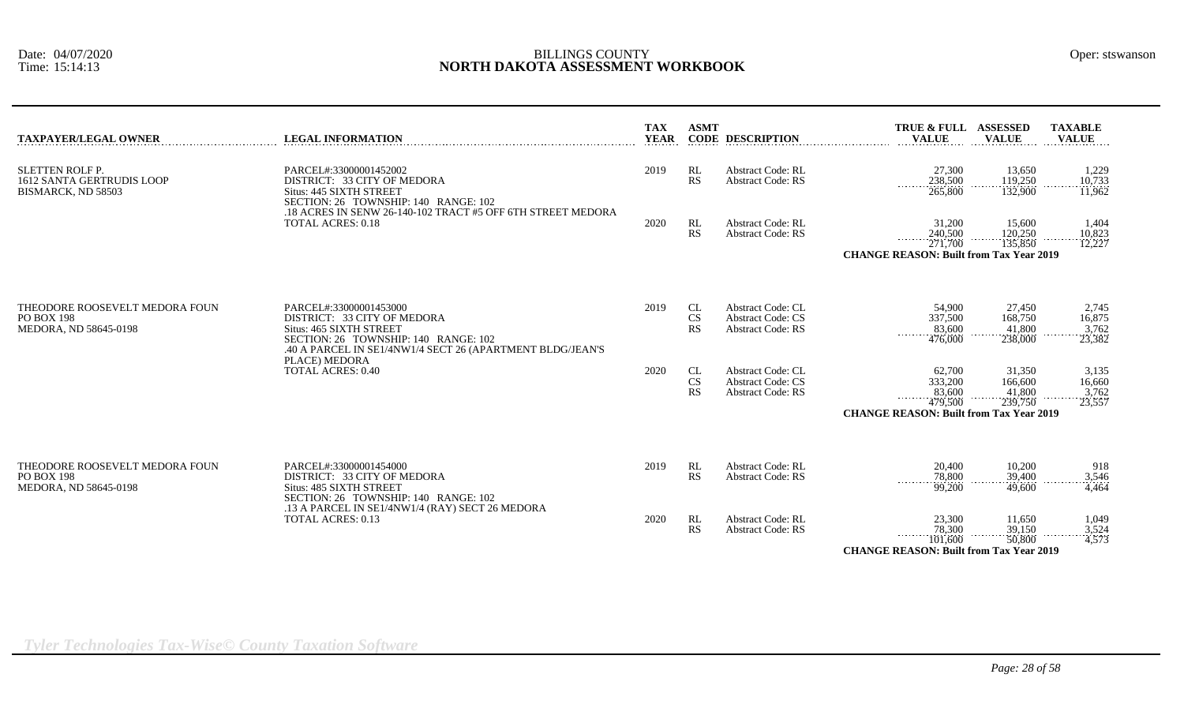| <b>TAXPAYER/LEGAL OWNER</b>                                                      | <b>LEGAL INFORMATION</b>                                                                                                                                                              | <b>TAX</b><br><b>YEAR</b> | <b>ASMT</b>           | <b>CODE DESCRIPTION</b>                                                          | TRUE & FULL ASSESSED<br><b>VALUE</b>                                                                               | <b>VALUE</b>                           | <b>TAXABLE</b><br><b>VALUE</b>     |
|----------------------------------------------------------------------------------|---------------------------------------------------------------------------------------------------------------------------------------------------------------------------------------|---------------------------|-----------------------|----------------------------------------------------------------------------------|--------------------------------------------------------------------------------------------------------------------|----------------------------------------|------------------------------------|
| <b>SLETTEN ROLF P.</b><br><b>1612 SANTA GERTRUDIS LOOP</b><br>BISMARCK, ND 58503 | PARCEL#:33000001452002<br>DISTRICT: 33 CITY OF MEDORA<br>Situs: 445 SIXTH STREET<br>SECTION: 26 TOWNSHIP: 140 RANGE: 102                                                              | 2019                      | RL<br>RS              | <b>Abstract Code: RL</b><br><b>Abstract Code: RS</b>                             | 27,300<br>238,500<br>.<br>265,800                                                                                  | 13,650<br>119,250<br>132,900           | 1,229<br>10,733<br>11,962          |
|                                                                                  | .18 ACRES IN SENW 26-140-102 TRACT #5 OFF 6TH STREET MEDORA<br><b>TOTAL ACRES: 0.18</b>                                                                                               | 2020                      | RL<br><b>RS</b>       | <b>Abstract Code: RL</b><br><b>Abstract Code: RS</b>                             | 31,200<br>240,500<br>271,700<br><b>CHANGE REASON: Built from Tax Year 2019</b>                                     | 15,600<br>120,250<br>135,850           | 1,404<br>10,823<br>12,227          |
| THEODORE ROOSEVELT MEDORA FOUN<br>PO BOX 198<br>MEDORA, ND 58645-0198            | PARCEL#:33000001453000<br>DISTRICT: 33 CITY OF MEDORA<br>Situs: 465 SIXTH STREET<br>SECTION: 26 TOWNSHIP: 140 RANGE: 102<br>.40 A PARCEL IN SE1/4NW1/4 SECT 26 (APARTMENT BLDG/JEAN'S | 2019                      | CL<br><b>CS</b><br>RS | <b>Abstract Code: CL</b><br><b>Abstract Code: CS</b><br><b>Abstract Code: RS</b> | 54,900<br>337,500<br>83,600<br>476,000                                                                             | 27,450<br>168,750<br>41,800<br>238,000 | 2,745<br>16,875<br>3,762<br>23,382 |
|                                                                                  | PLACE) MEDORA<br><b>TOTAL ACRES: 0.40</b>                                                                                                                                             | 2020                      | CL<br>CS<br>RS        | <b>Abstract Code: CL</b><br><b>Abstract Code: CS</b><br><b>Abstract Code: RS</b> | 62,700<br>333,200<br>83,600<br>$\cdots \cdots \cdots$<br>479,500<br><b>CHANGE REASON: Built from Tax Year 2019</b> | 31,350<br>166,600<br>41,800<br>239,750 | 3,135<br>16,660<br>3,762<br>23,557 |
| THEODORE ROOSEVELT MEDORA FOUN<br>PO BOX 198<br>MEDORA, ND 58645-0198            | PARCEL#:33000001454000<br>DISTRICT: 33 CITY OF MEDORA<br>Situs: 485 SIXTH STREET<br>SECTION: 26 TOWNSHIP: 140 RANGE: 102                                                              | 2019                      | RL<br>RS              | <b>Abstract Code: RL</b><br><b>Abstract Code: RS</b>                             | 20,400<br>78,800<br>99,200                                                                                         | 10,200<br>39,400<br>49,600             | 918<br>$\frac{3,546}{4,464}$       |
|                                                                                  | .13 A PARCEL IN SE1/4NW1/4 (RAY) SECT 26 MEDORA<br><b>TOTAL ACRES: 0.13</b>                                                                                                           | 2020                      | RL<br>RS              | <b>Abstract Code: RL</b><br><b>Abstract Code: RS</b>                             | 23,300<br>78,300<br>$\cdots \cdots \cdots \cdots$<br>101,600<br><b>CHANGE REASON: Built from Tax Year 2019</b>     | 11,650<br>39,150<br>50,800             | 1,049<br>$\frac{3,524}{4,573}$     |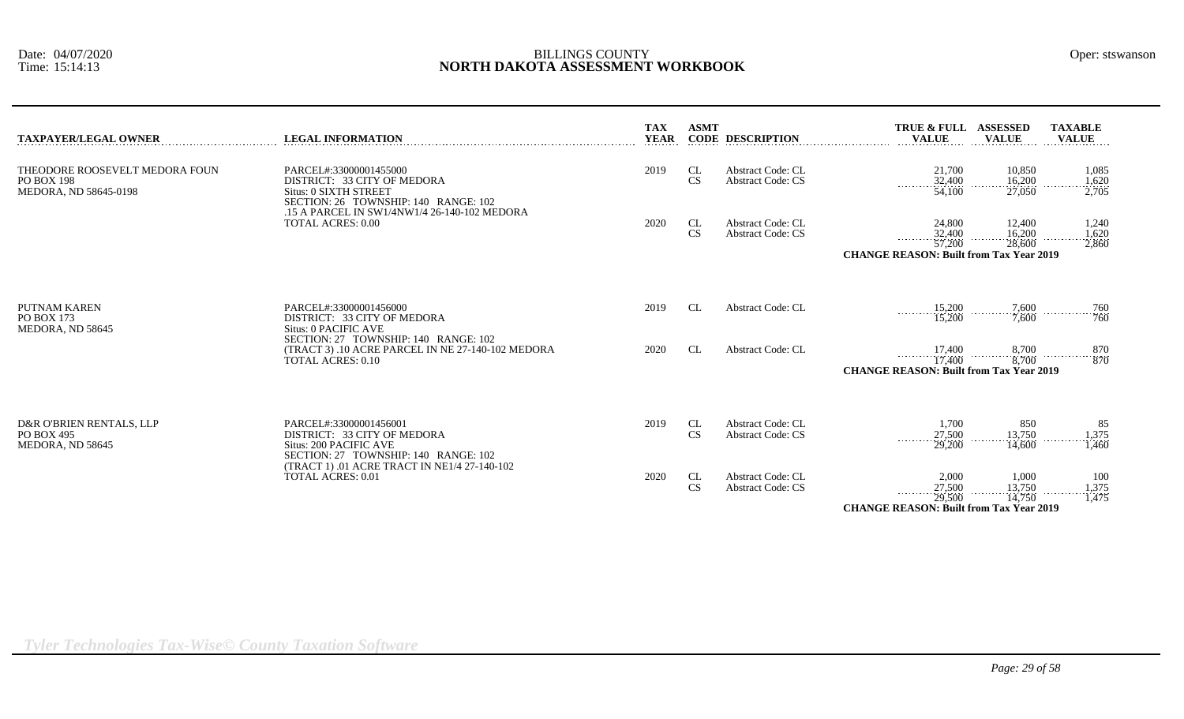| TAXPAYER/LEGAL OWNER                                                  | <b>LEGAL INFORMATION</b>                                                                                                                                               | <b>TAX</b><br><b>YEAR</b> | <b>ASMT</b>     | <b>CODE DESCRIPTION</b>                              | TRUE & FULL ASSESSED<br><b>VALUE</b>                                                | <b>VALUE</b>                      | <b>TAXABLE</b><br><b>VALUE</b>                                                                              |
|-----------------------------------------------------------------------|------------------------------------------------------------------------------------------------------------------------------------------------------------------------|---------------------------|-----------------|------------------------------------------------------|-------------------------------------------------------------------------------------|-----------------------------------|-------------------------------------------------------------------------------------------------------------|
| THEODORE ROOSEVELT MEDORA FOUN<br>PO BOX 198<br>MEDORA, ND 58645-0198 | PARCEL#:33000001455000<br>DISTRICT: 33 CITY OF MEDORA<br>Situs: 0 SIXTH STREET<br>SECTION: 26 TOWNSHIP: 140 RANGE: 102<br>.15 A PARCEL IN SW1/4NW1/4 26-140-102 MEDORA | 2019                      | CL<br><b>CS</b> | <b>Abstract Code: CL</b><br><b>Abstract Code: CS</b> | 21,700<br>$\frac{32,400}{54,100}$                                                   | 10,850<br>$\frac{16,200}{27,050}$ | 1,085<br>$\frac{1,620}{2,705}$<br>.                                                                         |
|                                                                       | <b>TOTAL ACRES: 0.00</b>                                                                                                                                               | 2020                      | CL<br><b>CS</b> | <b>Abstract Code: CL</b><br><b>Abstract Code: CS</b> | 24,800<br>$\frac{32,400}{57,200}$<br><b>CHANGE REASON: Built from Tax Year 2019</b> | 12,400<br>$\frac{16,200}{28,600}$ | 1,240<br>1,620<br>.<br>2,860                                                                                |
| PUTNAM KAREN<br>PO BOX 173<br>MEDORA, ND 58645                        | PARCEL#:33000001456000<br>DISTRICT: 33 CITY OF MEDORA<br>Situs: 0 PACIFIC AVE                                                                                          | 2019                      | CL              | <b>Abstract Code: CL</b>                             |                                                                                     | $\frac{15,200}{15,200}$<br>7,600  | 760                                                                                                         |
|                                                                       | SECTION: 27 TOWNSHIP: 140 RANGE: 102<br>(TRACT 3) .10 ACRE PARCEL IN NE 27-140-102 MEDORA<br><b>TOTAL ACRES: 0.10</b>                                                  | 2020                      | CL              | <b>Abstract Code: CL</b>                             | .<br><b>CHANGE REASON: Built from Tax Year 2019</b>                                 |                                   | $\begin{array}{cccc} 17{,}400 & 8{,}700 & \ldots & 870 \\ 17{,}400 & 8{,}700 & \ldots & 870 \\ \end{array}$ |
| D&R O'BRIEN RENTALS, LLP<br>PO BOX 495<br>MEDORA, ND 58645            | PARCEL#:33000001456001<br>DISTRICT: 33 CITY OF MEDORA<br>Situs: 200 PACIFIC AVE<br>SECTION: 27 TOWNSHIP: 140 RANGE: 102                                                | 2019                      | CL<br><b>CS</b> | <b>Abstract Code: CL</b><br><b>Abstract Code: CS</b> | 1,700<br>27,500<br>29,200                                                           | 850<br>13,750<br>14,600           | 85<br>1,375<br>1.460                                                                                        |
|                                                                       | (TRACT 1) .01 ACRE TRACT IN NE1/4 27-140-102<br>TOTAL ACRES: 0.01                                                                                                      | 2020                      | CL<br><b>CS</b> | <b>Abstract Code: CL</b><br><b>Abstract Code: CS</b> | 2,000<br>27,500<br>29,500<br>.<br><b>CHANGE REASON: Built from Tax Year 2019</b>    | 1,000<br>$\frac{13,750}{14,750}$  | 100<br>1,375<br>1,475                                                                                       |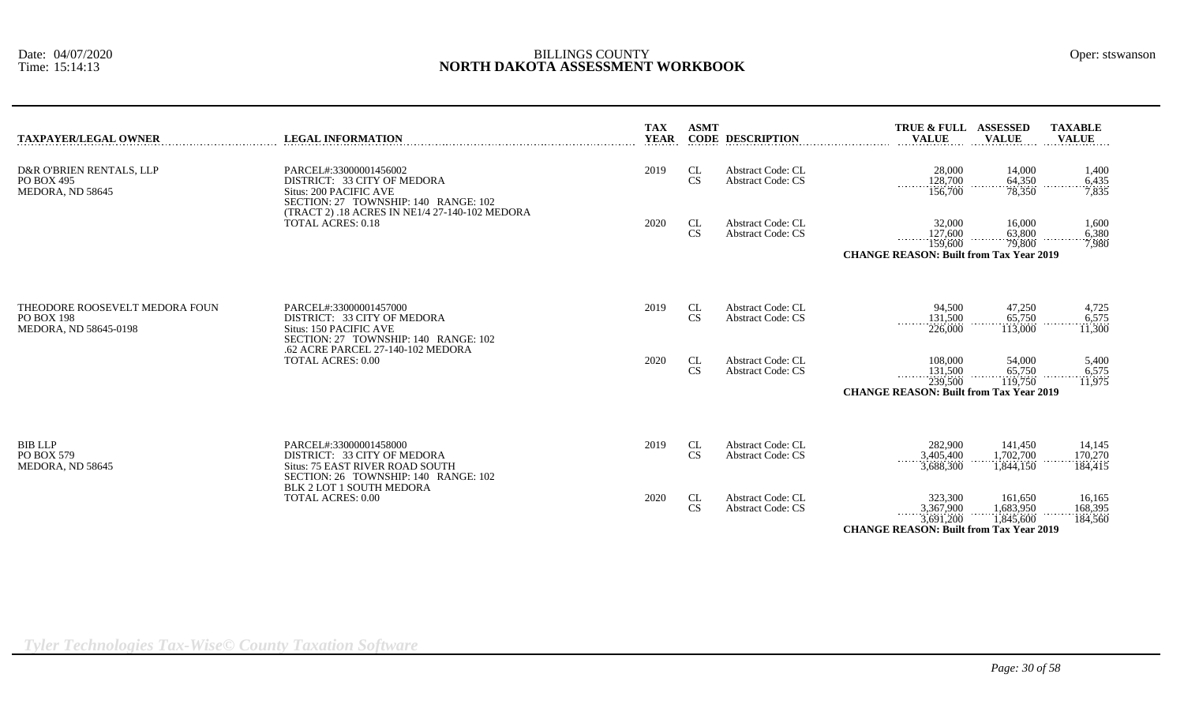| <b>TAXPAYER/LEGAL OWNER</b>                                           | <b>LEGAL INFORMATION</b>                                                                                                         | <b>TAX</b><br><b>YEAR</b> | <b>ASMT</b>     | <b>CODE DESCRIPTION</b>                              | TRUE & FULL ASSESSED<br><b>VALUE</b>                                                | <b>VALUE</b>                      | <b>TAXABLE</b><br><b>VALUE</b> |
|-----------------------------------------------------------------------|----------------------------------------------------------------------------------------------------------------------------------|---------------------------|-----------------|------------------------------------------------------|-------------------------------------------------------------------------------------|-----------------------------------|--------------------------------|
| D&R O'BRIEN RENTALS, LLP<br>PO BOX 495<br>MEDORA, ND 58645            | PARCEL#:33000001456002<br>DISTRICT: 33 CITY OF MEDORA<br>Situs: 200 PACIFIC AVE<br>SECTION: 27 TOWNSHIP: 140 RANGE: 102          | 2019                      | CL<br>CS        | Abstract Code: CL<br><b>Abstract Code: CS</b>        | 28,000<br>128,700<br>.<br>156,700                                                   | 14,000<br>64.350<br>78,350        | 1,400<br>6,435<br>7.835        |
|                                                                       | (TRACT 2) .18 ACRES IN NE1/4 27-140-102 MEDORA<br><b>TOTAL ACRES: 0.18</b>                                                       | 2020                      | CL<br>CS        | <b>Abstract Code: CL</b><br><b>Abstract Code: CS</b> | 32,000<br>127,600<br>159,600<br>.<br><b>CHANGE REASON: Built from Tax Year 2019</b> | 16,000<br>63,800<br>79,800        | 1,600<br>6,380<br>7.980        |
| THEODORE ROOSEVELT MEDORA FOUN<br>PO BOX 198<br>MEDORA, ND 58645-0198 | PARCEL#:33000001457000<br>DISTRICT: 33 CITY OF MEDORA<br>Situs: 150 PACIFIC AVE<br>SECTION: 27 TOWNSHIP: 140 RANGE: 102          | 2019                      | CL<br><b>CS</b> | <b>Abstract Code: CL</b><br><b>Abstract Code: CS</b> | 94,500<br>131,500<br>.<br>226,000                                                   | 47,250<br>65,750<br>113,000       | 4,725<br>6,575<br>11,300       |
|                                                                       | .62 ACRE PARCEL 27-140-102 MEDORA<br><b>TOTAL ACRES: 0.00</b>                                                                    | 2020                      | CL<br>CS        | <b>Abstract Code: CL</b><br><b>Abstract Code: CS</b> | 108,000<br>131,500<br>239,500<br><b>CHANGE REASON: Built from Tax Year 2019</b>     | 54,000<br>65,750<br>119,750       | 5,400<br>6,575<br>11,975       |
| BIB LLP<br>PO BOX 579<br>MEDORA, ND 58645                             | PARCEL#:33000001458000<br>DISTRICT: 33 CITY OF MEDORA<br>Situs: 75 EAST RIVER ROAD SOUTH<br>SECTION: 26 TOWNSHIP: 140 RANGE: 102 | 2019                      | CL<br><b>CS</b> | <b>Abstract Code: CL</b><br><b>Abstract Code: CS</b> | 282,900<br>3,405,400<br>3,688,300                                                   | 141,450<br>1.702.700<br>1,844,150 | 14,145<br>170,270<br>184,415   |
|                                                                       | <b>BLK 2 LOT 1 SOUTH MEDORA</b><br><b>TOTAL ACRES: 0.00</b>                                                                      | 2020                      | CL<br>CS        | <b>Abstract Code: CL</b><br><b>Abstract Code: CS</b> | 323,300<br>3,367,900<br>3,691,200<br><b>CHANGE REASON: Built from Tax Year 2019</b> | 161,650<br>1,683,950<br>1,845,600 | 16,165<br>168,395<br>184,560   |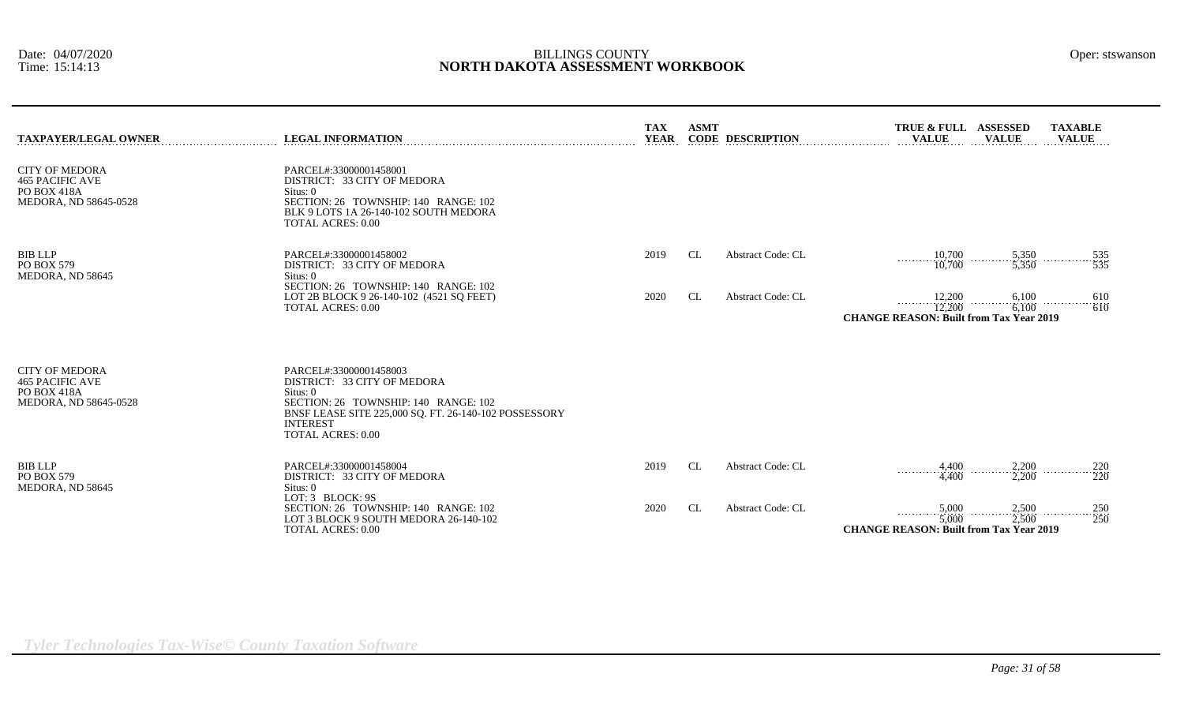| Oper: stswansor |
|-----------------|
|                 |

| <b>TAXPAYER/LEGAL OWNER</b>                                                             | <b>LEGAL INFORMATION</b>                                                                                                                                                                                          | TAX<br><b>YEAR</b> | <b>ASMT</b> | <b>CODE DESCRIPTION</b>  | TRUE & FULL ASSESSED<br><b>VALUE</b><br><b>VALUE</b>                                                                                | <b>TAXABLE</b><br><b>VALUE</b> |                                                         |
|-----------------------------------------------------------------------------------------|-------------------------------------------------------------------------------------------------------------------------------------------------------------------------------------------------------------------|--------------------|-------------|--------------------------|-------------------------------------------------------------------------------------------------------------------------------------|--------------------------------|---------------------------------------------------------|
| <b>CITY OF MEDORA</b><br><b>465 PACIFIC AVE</b><br>PO BOX 418A<br>MEDORA, ND 58645-0528 | PARCEL#:33000001458001<br>DISTRICT: 33 CITY OF MEDORA<br>Situs: 0<br>SECTION: 26 TOWNSHIP: 140 RANGE: 102<br>BLK 9 LOTS 1A 26-140-102 SOUTH MEDORA<br><b>TOTAL ACRES: 0.00</b>                                    |                    |             |                          |                                                                                                                                     |                                |                                                         |
| <b>BIB LLP</b><br>PO BOX 579<br>MEDORA, ND 58645                                        | PARCEL#:33000001458002<br>DISTRICT: 33 CITY OF MEDORA<br>Situs: 0                                                                                                                                                 | 2019               | CL          | <b>Abstract Code: CL</b> | 10,700<br>$5,350$<br>$5,350$<br>$\overrightarrow{10,700}$                                                                           | $\frac{535}{535}$              |                                                         |
|                                                                                         | SECTION: 26 TOWNSHIP: 140 RANGE: 102<br>LOT 2B BLOCK 9 26-140-102 (4521 SQ FEET)<br><b>TOTAL ACRES: 0.00</b>                                                                                                      | 2020               | <b>CL</b>   | <b>Abstract Code: CL</b> | 12,200<br>12,200<br><b>CHANGE REASON: Built from Tax Year 2019</b>                                                                  | $\frac{6,100}{6,100}$          | $\begin{array}{c}\n 610 \\  \hline\n 610\n \end{array}$ |
| <b>CITY OF MEDORA</b><br><b>465 PACIFIC AVE</b><br>PO BOX 418A<br>MEDORA, ND 58645-0528 | PARCEL#:33000001458003<br>DISTRICT: 33 CITY OF MEDORA<br>Situs: 0<br>SECTION: 26 TOWNSHIP: 140 RANGE: 102<br>BNSF LEASE SITE 225,000 SQ. FT. 26-140-102 POSSESSORY<br><b>INTEREST</b><br><b>TOTAL ACRES: 0.00</b> |                    |             |                          |                                                                                                                                     |                                |                                                         |
| <b>BIB LLP</b><br>PO BOX 579<br>MEDORA, ND 58645                                        | PARCEL#:33000001458004<br>DISTRICT: 33 CITY OF MEDORA<br>Situs: $0$<br>LOT: 3 BLOCK: 9S                                                                                                                           | 2019               | <b>CL</b>   | Abstract Code: CL        | 4,400<br>4.400                                                                                                                      | $2,200$<br>$2,200$<br>.        | $\frac{220}{220}$                                       |
|                                                                                         | SECTION: 26 TOWNSHIP: 140 RANGE: 102<br>LOT 3 BLOCK 9 SOUTH MEDORA 26-140-102<br><b>TOTAL ACRES: 0.00</b>                                                                                                         | 2020               | CL          | Abstract Code: CL        | $5,000$<br>$5,000$<br>$\begin{array}{c}\n 2,500 \\  \hline\n 2,500\n \end{array}$<br><b>CHANGE REASON: Built from Tax Year 2019</b> | $\cdots$ 250<br>250            |                                                         |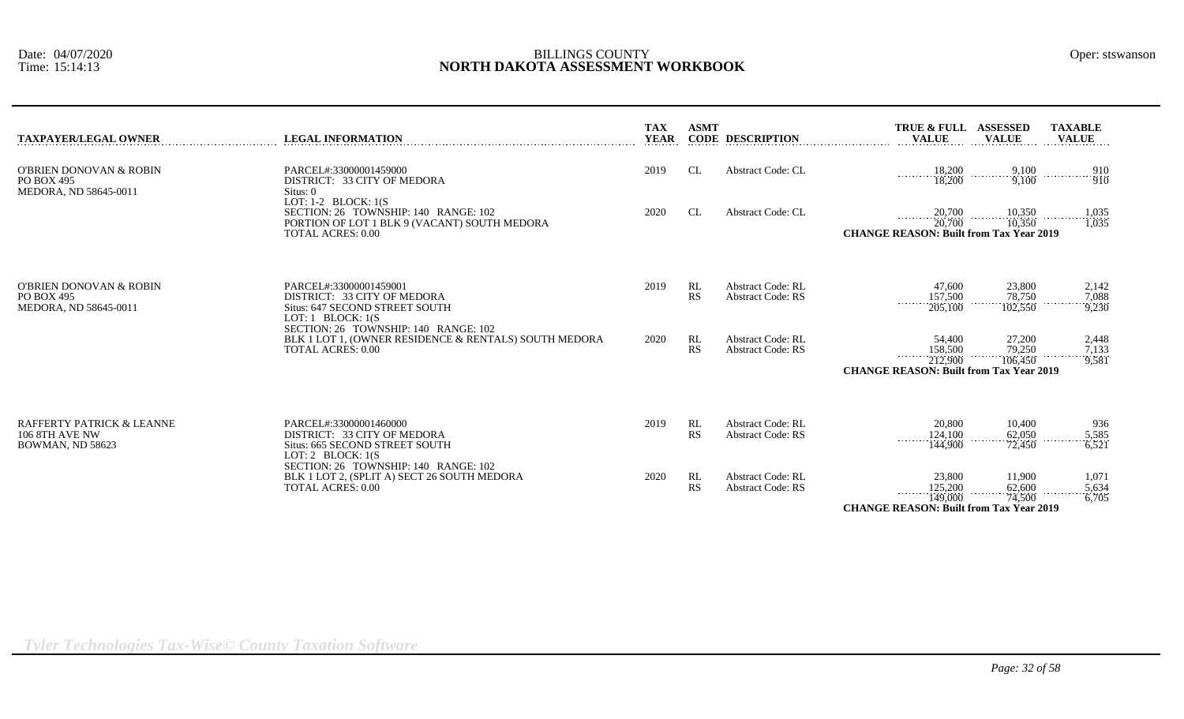| <b>TAXPAYER/LEGAL OWNER</b>                                     | <b>LEGAL INFORMATION</b>                                                                                                                                | <b>TAX</b><br><b>YEAR</b> | <b>ASMT</b>     | <b>CODE DESCRIPTION</b>                              | TRUE & FULL ASSESSED<br><b>TAXABLE</b><br><b>VALUE</b><br><b>VALUE</b><br><b>VALUE</b>                                                          |  |
|-----------------------------------------------------------------|---------------------------------------------------------------------------------------------------------------------------------------------------------|---------------------------|-----------------|------------------------------------------------------|-------------------------------------------------------------------------------------------------------------------------------------------------|--|
| O'BRIEN DONOVAN & ROBIN<br>PO BOX 495<br>MEDORA, ND 58645-0011  | PARCEL#:33000001459000<br>DISTRICT: 33 CITY OF MEDORA<br>Situs: 0                                                                                       | 2019                      | CL              | <b>Abstract Code: CL</b>                             | 18,200<br>$\begin{array}{c}\n 9,100 \\  \hline\n 9,100\n \end{array}$<br>910<br>$\cdots$ $\cdots$ $\ddot{9}\ddot{1}\ddot{0}$<br>18,200          |  |
|                                                                 | LOT: $1-2$ BLOCK: $1(S)$<br>SECTION: 26 TOWNSHIP: 140 RANGE: 102<br>PORTION OF LOT 1 BLK 9 (VACANT) SOUTH MEDORA<br><b>TOTAL ACRES: 0.00</b>            | 2020                      | CL.             | <b>Abstract Code: CL</b>                             | $\frac{10,350}{10,350}$<br>20,700<br>$\frac{1,035}{1,035}$<br>$\frac{1}{20,700}$<br><b>CHANGE REASON: Built from Tax Year 2019</b>              |  |
| O'BRIEN DONOVAN & ROBIN<br>PO BOX 495<br>MEDORA, ND 58645-0011  | PARCEL#:33000001459001<br>DISTRICT: 33 CITY OF MEDORA<br>Situs: 647 SECOND STREET SOUTH<br>LOT: $1$ BLOCK: $1(S)$                                       | 2019                      | RL<br><b>RS</b> | <b>Abstract Code: RL</b><br><b>Abstract Code: RS</b> | 23,800<br>2,142<br>47,600<br>157,500<br>78,750<br>7,088<br>.<br>205,100<br>102,550<br>9,230                                                     |  |
|                                                                 | SECTION: 26 TOWNSHIP: 140 RANGE: 102<br>BLK 1 LOT 1, (OWNER RESIDENCE & RENTALS) SOUTH MEDORA<br><b>TOTAL ACRES: 0.00</b>                               | 2020                      | RL<br><b>RS</b> | <b>Abstract Code: RL</b><br><b>Abstract Code: RS</b> | 27,200<br>2,448<br>54,400<br>79,250<br>158,500<br>$\frac{7,133}{9,581}$<br>106,450<br>212,900<br><b>CHANGE REASON: Built from Tax Year 2019</b> |  |
| RAFFERTY PATRICK & LEANNE<br>106 8TH AVE NW<br>BOWMAN, ND 58623 | PARCEL#:33000001460000<br>DISTRICT: 33 CITY OF MEDORA<br>Situs: 665 SECOND STREET SOUTH<br>LOT: 2 BLOCK: $1(S)$<br>SECTION: 26 TOWNSHIP: 140 RANGE: 102 | 2019                      | RL<br><b>RS</b> | Abstract Code: RL<br><b>Abstract Code: RS</b>        | 20,800<br>10,400<br>936<br>62,050<br>124,100<br>5,585<br>.<br>72,450<br>144,900<br>6.521                                                        |  |
|                                                                 | BLK 1 LOT 2, (SPLIT A) SECT 26 SOUTH MEDORA<br><b>TOTAL ACRES: 0.00</b>                                                                                 | 2020                      | RL<br><b>RS</b> | <b>Abstract Code: RL</b><br><b>Abstract Code: RS</b> | 23,800<br>11,900<br>1,071<br>62,600<br>125,200<br>5,634<br>.<br>$\overline{74,500}$<br>149,000<br>6,705                                         |  |
|                                                                 |                                                                                                                                                         |                           |                 |                                                      | <b>CHANGE REASON: Built from Tax Year 2019</b>                                                                                                  |  |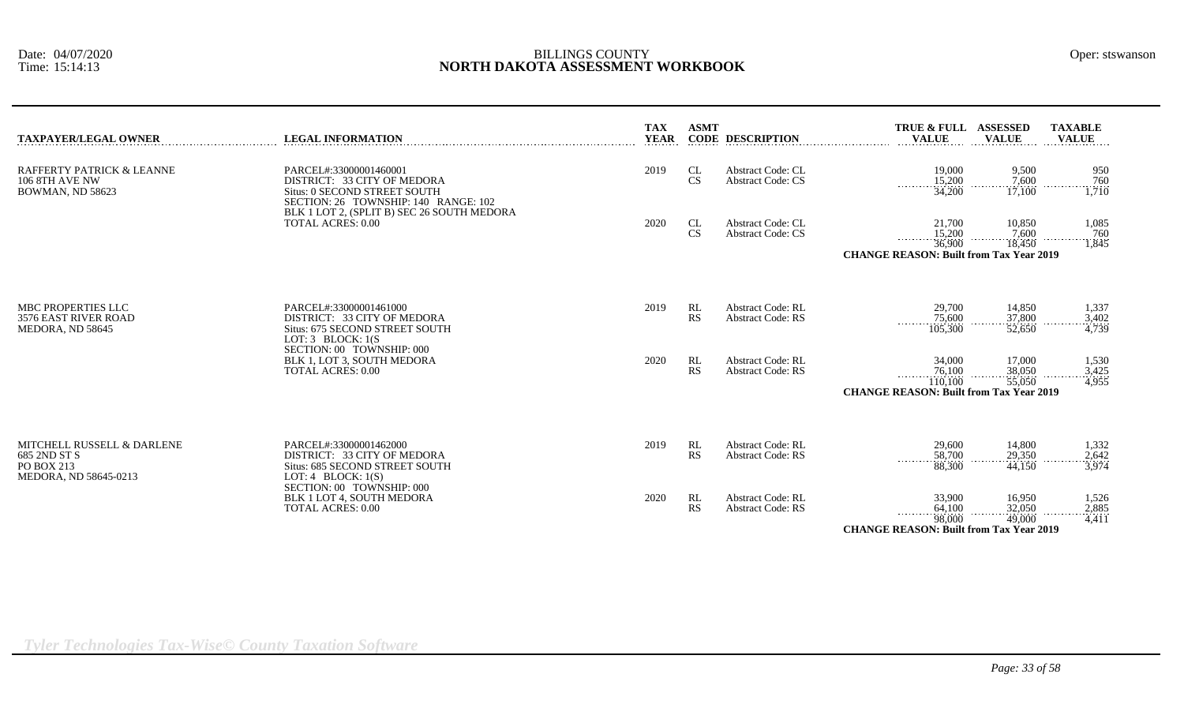| TAXPAYER/LEGAL OWNER                                                              | <b>LEGAL INFORMATION</b>                                                                                          | <b>TAX</b><br><b>YEAR</b> | <b>ASMT</b>     | <b>CODE DESCRIPTION</b>                              | TRUE & FULL ASSESSED<br><b>VALUE</b>                                                | <b>VALUE</b>                      | <b>TAXABLE</b><br><b>VALUE</b>      |
|-----------------------------------------------------------------------------------|-------------------------------------------------------------------------------------------------------------------|---------------------------|-----------------|------------------------------------------------------|-------------------------------------------------------------------------------------|-----------------------------------|-------------------------------------|
| RAFFERTY PATRICK & LEANNE<br>106 8TH AVE NW<br>BOWMAN, ND 58623                   | PARCEL#:33000001460001<br>DISTRICT: 33 CITY OF MEDORA<br>Situs: 0 SECOND STREET SOUTH                             | 2019                      | CL<br><b>CS</b> | <b>Abstract Code: CL</b><br><b>Abstract Code: CS</b> | 19,000<br>15,200<br>34,200                                                          | 9,500<br>7.600<br>17,100          | 950<br>760<br>ï.710                 |
|                                                                                   | SECTION: 26 TOWNSHIP: 140 RANGE: 102<br>BLK 1 LOT 2, (SPLIT B) SEC 26 SOUTH MEDORA<br><b>TOTAL ACRES: 0.00</b>    | 2020                      | CL<br>CS        | <b>Abstract Code: CL</b><br><b>Abstract Code: CS</b> | 21,700<br>$\frac{15,200}{36,900}$<br><b>CHANGE REASON: Built from Tax Year 2019</b> | 10,850<br>$\frac{7,600}{18,450}$  | 1,085<br>760<br>1,845               |
|                                                                                   |                                                                                                                   |                           |                 |                                                      |                                                                                     |                                   |                                     |
| MBC PROPERTIES LLC<br>3576 EAST RIVER ROAD<br>MEDORA, ND 58645                    | PARCEL#:33000001461000<br>DISTRICT: 33 CITY OF MEDORA<br>Situs: 675 SECOND STREET SOUTH<br>LOT: $3$ BLOCK: $1(S)$ | 2019                      | RL<br><b>RS</b> | <b>Abstract Code: RL</b><br><b>Abstract Code: RS</b> | 29,700<br>75,600<br>.<br>105,300                                                    | 14.850<br>37,800<br>52,650        | 1,337<br>3,402<br>4,739             |
|                                                                                   | SECTION: 00 TOWNSHIP: 000<br>BLK 1, LOT 3, SOUTH MEDORA<br><b>TOTAL ACRES: 0.00</b>                               | 2020                      | RL<br><b>RS</b> | <b>Abstract Code: RL</b><br><b>Abstract Code: RS</b> | 34,000<br>76,100<br>.<br>110,100                                                    | 17,000<br>38,050<br>55,050        | 1,530<br>3,425<br>.<br>4,955        |
|                                                                                   |                                                                                                                   |                           |                 |                                                      | <b>CHANGE REASON: Built from Tax Year 2019</b>                                      |                                   |                                     |
| MITCHELL RUSSELL & DARLENE<br>685 2ND ST S<br>PO BOX 213<br>MEDORA, ND 58645-0213 | PARCEL#:33000001462000<br>DISTRICT: 33 CITY OF MEDORA<br>Situs: 685 SECOND STREET SOUTH<br>LOT: 4 BLOCK: $1(S)$   | 2019                      | RL<br>RS        | <b>Abstract Code: RL</b><br><b>Abstract Code: RS</b> | 29,600<br>58,700<br>1.1.1.1.1.1.1<br>88,300                                         | 14,800<br>29,350<br>44.150        | 1,332<br>2,642<br>$\frac{7}{3,974}$ |
|                                                                                   | SECTION: 00 TOWNSHIP: 000<br>BLK 1 LOT 4, SOUTH MEDORA<br><b>TOTAL ACRES: 0.00</b>                                | 2020                      | RL<br><b>RS</b> | <b>Abstract Code: RL</b><br><b>Abstract Code: RS</b> | 33,900<br>64,100<br>.<br>98,000                                                     | 16,950<br>$\frac{32,050}{49,000}$ | 1,526<br>$\frac{2,885}{4,411}$      |
|                                                                                   |                                                                                                                   |                           |                 |                                                      | <b>CHANGE REASON: Built from Tax Year 2019</b>                                      |                                   |                                     |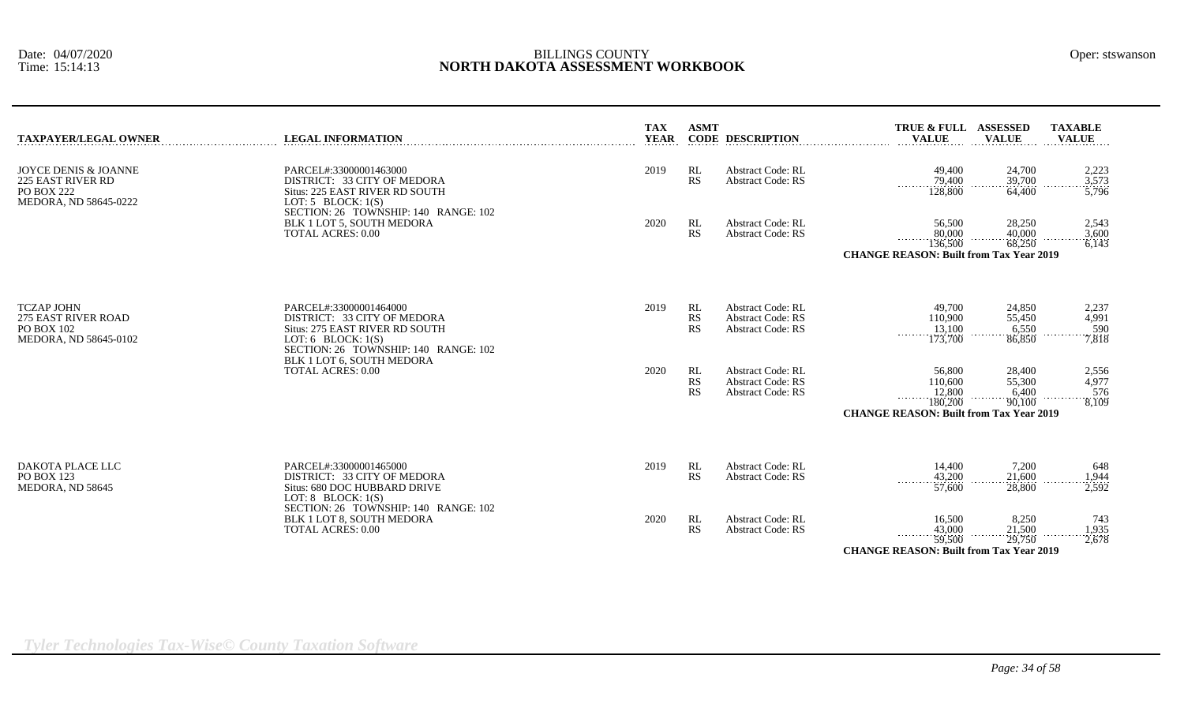| TAXPAYER/LEGAL OWNER                                                                           | <b>LEGAL INFORMATION</b>                                                                                                                                | <b>TAX</b><br><b>YEAR</b> | <b>ASMT</b>           | <b>CODE DESCRIPTION</b>                                                          | TRUE & FULL ASSESSED<br><b>VALUE</b>                                                                               | <b>VALUE</b>                        | <b>TAXABLE</b><br><b>VALUE</b> |
|------------------------------------------------------------------------------------------------|---------------------------------------------------------------------------------------------------------------------------------------------------------|---------------------------|-----------------------|----------------------------------------------------------------------------------|--------------------------------------------------------------------------------------------------------------------|-------------------------------------|--------------------------------|
| JOYCE DENIS & JOANNE<br>225 EAST RIVER RD<br><b>PO BOX 222</b><br><b>MEDORA, ND 58645-0222</b> | PARCEL#:33000001463000<br>DISTRICT: 33 CITY OF MEDORA<br>Situs: 225 EAST RIVER RD SOUTH<br>LOT: $5$ BLOCK: $1(S)$                                       | 2019                      | RL<br><b>RS</b>       | <b>Abstract Code: RL</b><br><b>Abstract Code: RS</b>                             | 49,400<br>$\frac{79,400}{128,800}$                                                                                 | 24,700<br>39,700<br>64,400          | 2,223<br>3,573<br>5,796        |
|                                                                                                | SECTION: 26 TOWNSHIP: 140 RANGE: 102<br>BLK 1 LOT 5, SOUTH MEDORA<br><b>TOTAL ACRES: 0.00</b>                                                           | 2020                      | RL<br><b>RS</b>       | <b>Abstract Code: RL</b><br><b>Abstract Code: RS</b>                             | 56,500<br>80,000<br>136,500<br><b>CHANGE REASON: Built from Tax Year 2019</b>                                      | 28,250<br>40,000<br>68,250          | 2,543<br>3,600<br>6,143        |
| <b>TCZAP JOHN</b><br>275 EAST RIVER ROAD<br>PO BOX 102<br>MEDORA, ND 58645-0102                | PARCEL#:33000001464000<br>DISTRICT: 33 CITY OF MEDORA<br>Situs: 275 EAST RIVER RD SOUTH<br>LOT: 6 BLOCK: $1(S)$<br>SECTION: 26 TOWNSHIP: 140 RANGE: 102 | 2019                      | RL<br>RS<br><b>RS</b> | <b>Abstract Code: RL</b><br><b>Abstract Code: RS</b><br><b>Abstract Code: RS</b> | 49,700<br>110,900<br>13,100<br>173,700                                                                             | 24,850<br>55,450<br>6,550<br>86,850 | 2,237<br>4,991<br>590<br>7,818 |
|                                                                                                | BLK 1 LOT 6, SOUTH MEDORA<br><b>TOTAL ACRES: 0.00</b>                                                                                                   | 2020                      | RL<br>RS<br><b>RS</b> | <b>Abstract Code: RL</b><br><b>Abstract Code: RS</b><br><b>Abstract Code: RS</b> | 56,800<br>110,600<br>12,800<br>$\cdots \cdots \cdots$<br>180,200<br><b>CHANGE REASON: Built from Tax Year 2019</b> | 28,400<br>55,300<br>6,400<br>90.100 | 2,556<br>4,977<br>576<br>8,109 |
| DAKOTA PLACE LLC<br>PO BOX 123<br>MEDORA, ND 58645                                             | PARCEL#:33000001465000<br>DISTRICT: 33 CITY OF MEDORA<br>Situs: 680 DOC HUBBARD DRIVE<br>LOT: $8$ BLOCK: $1(S)$                                         | 2019                      | RL<br><b>RS</b>       | <b>Abstract Code: RL</b><br><b>Abstract Code: RS</b>                             | 14,400<br>43,200<br>.<br>57,600                                                                                    | 7,200<br>21,600<br>.<br>28,800      | 648<br>1,944<br>2,592          |
|                                                                                                | SECTION: 26 TOWNSHIP: 140 RANGE: 102<br>BLK 1 LOT 8, SOUTH MEDORA<br><b>TOTAL ACRES: 0.00</b>                                                           | 2020                      | RL<br>RS              | <b>Abstract Code: RL</b><br><b>Abstract Code: RS</b>                             | 16,500<br>43,000<br>.<br>59,500<br><b>CHANGE REASON: Built from Tax Year 2019</b>                                  | 8,250<br>21,500<br>.<br>29,750      | 743<br>1,935<br>2,678          |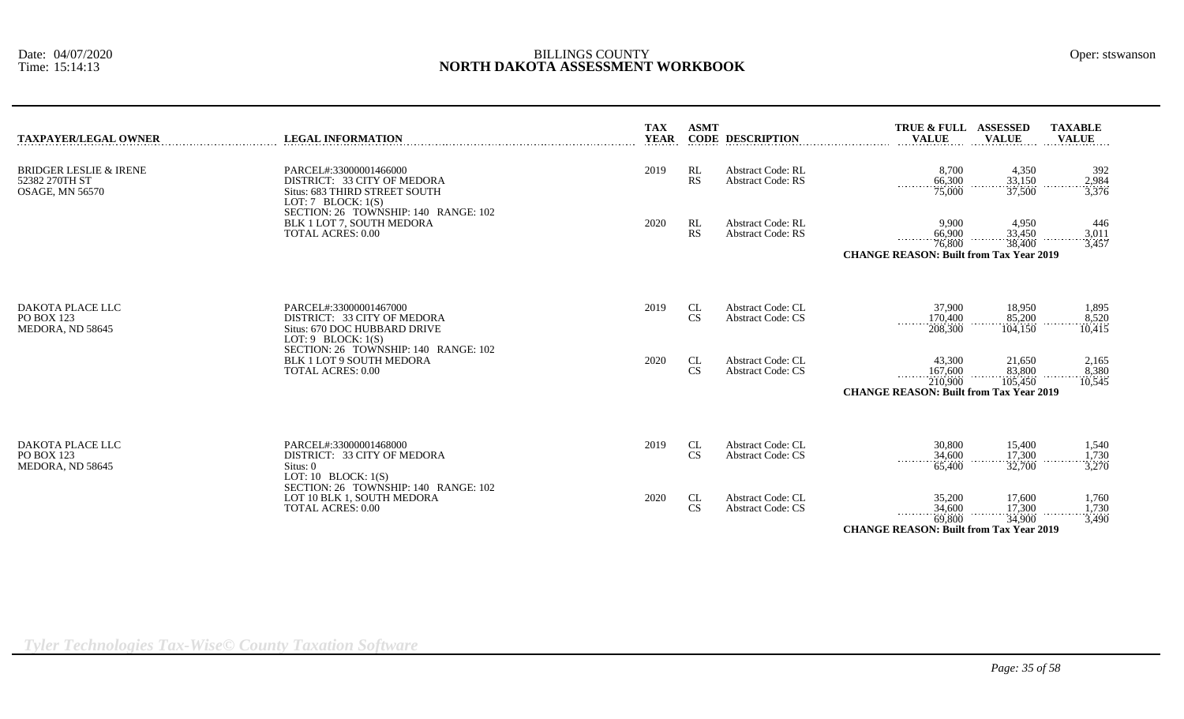| TAXPAYER/LEGAL OWNER                                        | <b>LEGAL INFORMATION</b>                                                                                         | <b>TAX</b><br><b>YEAR</b> | <b>ASMT</b>     | <b>CODE DESCRIPTION</b>                              | TRUE & FULL ASSESSED<br><b>VALUE</b>                                                | <b>VALUE</b>                     | <b>TAXABLE</b><br><b>VALUE</b> |
|-------------------------------------------------------------|------------------------------------------------------------------------------------------------------------------|---------------------------|-----------------|------------------------------------------------------|-------------------------------------------------------------------------------------|----------------------------------|--------------------------------|
| BRIDGER LESLIE & IRENE<br>52382 270TH ST<br>OSAGE, MN 56570 | PARCEL#:33000001466000<br>DISTRICT: 33 CITY OF MEDORA<br>Situs: 683 THIRD STREET SOUTH<br>LOT: $7$ BLOCK: $1(S)$ | 2019                      | RL<br><b>RS</b> | <b>Abstract Code: RL</b><br><b>Abstract Code: RS</b> | 8,700<br>66,300<br>.<br>75,000                                                      | 4,350<br>33,150<br>37,500        | 392<br>2,984<br>3,376          |
|                                                             | SECTION: 26 TOWNSHIP: 140 RANGE: 102<br>BLK 1 LOT 7, SOUTH MEDORA<br><b>TOTAL ACRES: 0.00</b>                    | 2020                      | RL<br><b>RS</b> | <b>Abstract Code: RL</b><br><b>Abstract Code: RS</b> | 9,900<br>66,900<br>76,800<br><b>CHANGE REASON: Built from Tax Year 2019</b>         | 4,950<br>33.450<br>38,400        | 446<br>3,011<br>3,457          |
|                                                             |                                                                                                                  |                           |                 |                                                      |                                                                                     |                                  |                                |
| DAKOTA PLACE LLC<br>PO BOX 123<br>MEDORA, ND 58645          | PARCEL#:33000001467000<br>DISTRICT: 33 CITY OF MEDORA<br>Situs: 670 DOC HUBBARD DRIVE<br>LOT: $9$ BLOCK: $1(S)$  | 2019                      | CL<br><b>CS</b> | <b>Abstract Code: CL</b><br><b>Abstract Code: CS</b> | 37,900<br>170,400<br>208,300                                                        | 18,950<br>85,200<br>104,150      | 1,895<br>8,520<br>10.415       |
|                                                             | SECTION: 26 TOWNSHIP: 140 RANGE: 102<br><b>BLK 1 LOT 9 SOUTH MEDORA</b><br><b>TOTAL ACRES: 0.00</b>              | 2020                      | CL<br><b>CS</b> | Abstract Code: CL<br><b>Abstract Code: CS</b>        | 43,300<br>167,600<br>.<br>210,900<br><b>CHANGE REASON: Built from Tax Year 2019</b> | 21,650<br>83,800<br>.<br>105,450 | 2,165<br>8,380<br>.<br>10,545  |
|                                                             |                                                                                                                  |                           |                 |                                                      |                                                                                     |                                  |                                |
| DAKOTA PLACE LLC<br>PO BOX 123<br>MEDORA, ND 58645          | PARCEL#:33000001468000<br>DISTRICT: 33 CITY OF MEDORA<br>Situs: 0<br>LOT: 10 BLOCK: $1(S)$                       | 2019                      | CL<br><b>CS</b> | <b>Abstract Code: CL</b><br><b>Abstract Code: CS</b> | 30,800<br>34,600<br>65,400                                                          | 15,400<br>17,300<br>32,700       | 1,540<br>1,730<br>3,270        |
|                                                             | SECTION: 26 TOWNSHIP: 140 RANGE: 102<br>LOT 10 BLK 1, SOUTH MEDORA<br><b>TOTAL ACRES: 0.00</b>                   | 2020                      | CL<br><b>CS</b> | <b>Abstract Code: CL</b><br><b>Abstract Code: CS</b> | 35,200<br>34,600<br>.<br>69,800                                                     | 17,600<br>17,300<br>34,900       | 1,760<br>1,730<br>3,490        |
|                                                             |                                                                                                                  |                           |                 |                                                      | <b>CHANGE REASON: Built from Tax Year 2019</b>                                      |                                  |                                |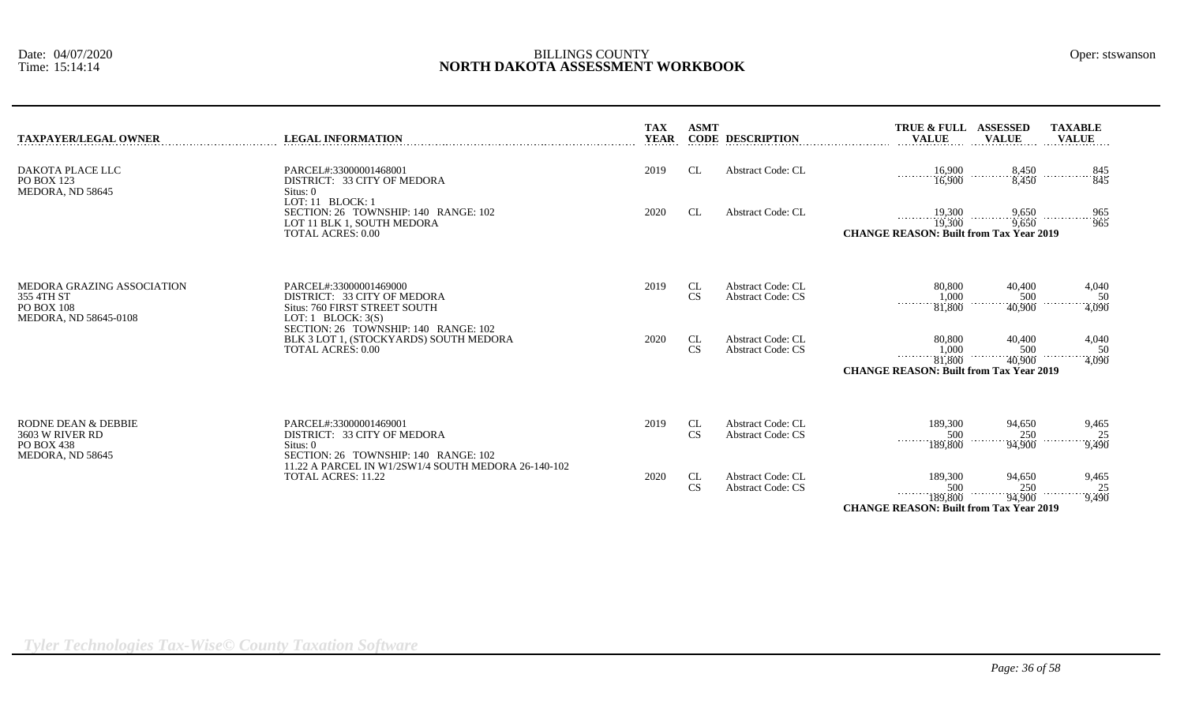| TAXPAYER/LEGAL OWNER                                                            | <b>LEGAL INFORMATION</b><br>.                                                                                      | <b>TAX</b><br><b>YEAR</b> | <b>ASMT</b>     | <b>CODE DESCRIPTION</b>                              | <b>TRUE &amp; FULL</b><br><b>ASSESSED</b><br><b>TAXABLE</b><br><b>VALUE</b><br><b>VALUE</b><br><b>VALUE</b>                                                             |
|---------------------------------------------------------------------------------|--------------------------------------------------------------------------------------------------------------------|---------------------------|-----------------|------------------------------------------------------|-------------------------------------------------------------------------------------------------------------------------------------------------------------------------|
| DAKOTA PLACE LLC<br>PO BOX 123<br>MEDORA, ND 58645                              | PARCEL#:33000001468001<br>DISTRICT: 33 CITY OF MEDORA<br>Situs: 0                                                  | 2019                      | CL              | <b>Abstract Code: CL</b>                             | 8,450<br>$\frac{16,900}{16,900}$<br>845<br>8,450<br>845                                                                                                                 |
|                                                                                 | LOT: 11 BLOCK: 1<br>SECTION: 26 TOWNSHIP: 140 RANGE: 102<br>LOT 11 BLK 1, SOUTH MEDORA<br><b>TOTAL ACRES: 0.00</b> | 2020                      | CL.             | <b>Abstract Code: CL</b>                             | 19,300<br>9,650<br>$\cdots$ 965<br>$\overline{19,300}$<br>$\overline{9,650}$<br><b>CHANGE REASON: Built from Tax Year 2019</b>                                          |
| MEDORA GRAZING ASSOCIATION<br>355 4TH ST<br>PO BOX 108<br>MEDORA, ND 58645-0108 | PARCEL#:33000001469000<br>DISTRICT: 33 CITY OF MEDORA<br>Situs: 760 FIRST STREET SOUTH<br>LOT: $1$ BLOCK: $3(S)$   | 2019                      | CL<br><b>CS</b> | <b>Abstract Code: CL</b><br><b>Abstract Code: CS</b> | 80,800<br>40,400<br>4,040<br>$\frac{1,000}{81,800}$<br>500<br>50<br>.<br>4,090<br>40,900                                                                                |
|                                                                                 | SECTION: 26 TOWNSHIP: 140 RANGE: 102<br>BLK 3 LOT 1, (STOCKYARDS) SOUTH MEDORA<br><b>TOTAL ACRES: 0.00</b>         | 2020                      | CL<br>CS        | <b>Abstract Code: CL</b><br><b>Abstract Code: CS</b> | 80,800<br>40,400<br>4,040<br>1,000<br>$\begin{array}{c}\n 500 \\  +40,900\n\end{array}$<br>50<br>.<br>4,090<br>81,800<br><b>CHANGE REASON: Built from Tax Year 2019</b> |
| RODNE DEAN & DEBBIE<br>3603 W RIVER RD<br>PO BOX 438<br>MEDORA, ND 58645        | PARCEL#:33000001469001<br>DISTRICT: 33 CITY OF MEDORA<br>Situs: 0<br>SECTION: 26 TOWNSHIP: 140 RANGE: 102          | 2019                      | CL<br>CS        | <b>Abstract Code: CL</b><br><b>Abstract Code: CS</b> | 189,300<br>94,650<br>9,465<br>500<br>$\frac{250}{94,900}$<br>25<br>.<br>189,800<br>$-9,490$                                                                             |
|                                                                                 | 11.22 A PARCEL IN W1/2SW1/4 SOUTH MEDORA 26-140-102<br>TOTAL ACRES: 11.22                                          | 2020                      | CL<br>CS        | <b>Abstract Code: CL</b><br><b>Abstract Code: CS</b> | 189,300<br>94,650<br>9,465<br>500<br>250<br>25<br>.<br>9,490<br>189,800<br>94,900                                                                                       |

**CHANGE REASON: Built from Tax Year 2019**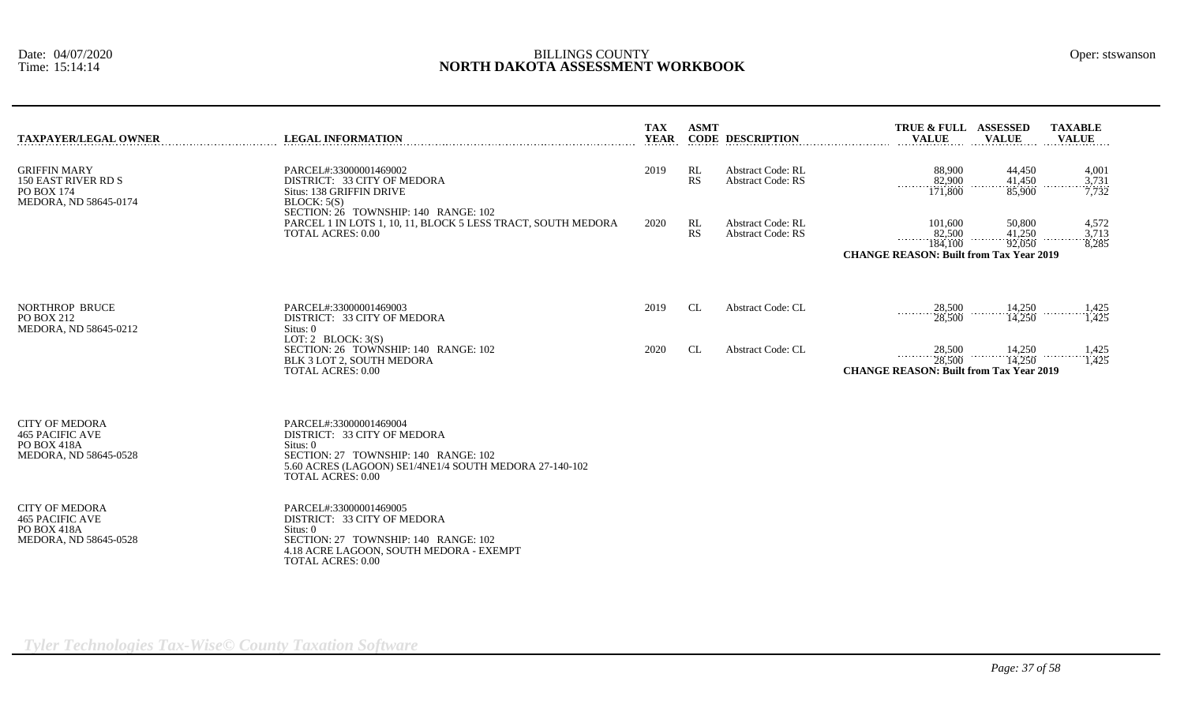|  | Oper: stswansor |
|--|-----------------|
|  |                 |

| <b>TAXPAYER/LEGAL OWNER</b>                                                                    | <b>LEGAL INFORMATION</b>                                                                                                                                                                        | <b>TAX</b><br><b>YEAR</b> | <b>ASMT</b> | <b>CODE DESCRIPTION</b>                              | TRUE & FULL ASSESSED<br><b>TAXABLE</b><br><b>VALUE</b><br><b>VALUE</b><br><b>VALUE</b>                                                  |
|------------------------------------------------------------------------------------------------|-------------------------------------------------------------------------------------------------------------------------------------------------------------------------------------------------|---------------------------|-------------|------------------------------------------------------|-----------------------------------------------------------------------------------------------------------------------------------------|
| <b>GRIFFIN MARY</b><br>150 EAST RIVER RD S<br><b>PO BOX 174</b><br>MEDORA, ND 58645-0174       | PARCEL#:33000001469002<br>DISTRICT: 33 CITY OF MEDORA<br>Situs: 138 GRIFFIN DRIVE<br>BLOCK: 5(S)                                                                                                | 2019                      | RL<br>RS    | <b>Abstract Code: RL</b><br><b>Abstract Code: RS</b> | 88,900<br>44,450<br>4,001<br>82,900<br>$\frac{41,450}{85,900}$<br>$\frac{3,731}{7,732}$<br>.<br>171,800                                 |
|                                                                                                | SECTION: 26 TOWNSHIP: 140 RANGE: 102<br>PARCEL 1 IN LOTS 1, 10, 11, BLOCK 5 LESS TRACT, SOUTH MEDORA<br><b>TOTAL ACRES: 0.00</b>                                                                | 2020                      | RL<br>RS    | <b>Abstract Code: RL</b><br><b>Abstract Code: RS</b> | 101,600<br>50,800<br>4,572<br>41,250<br>82,500<br>3,713<br>92,050<br>184,100<br>8,285<br><b>CHANGE REASON: Built from Tax Year 2019</b> |
| <b>NORTHROP BRUCE</b><br>PO BOX 212<br>MEDORA, ND 58645-0212                                   | PARCEL#:33000001469003<br>DISTRICT: 33 CITY OF MEDORA<br>Situs: 0                                                                                                                               | 2019                      | CL          | <b>Abstract Code: CL</b>                             | 14,250<br>28,500<br>1,425<br>.<br>28,500<br>1,425<br>14,250                                                                             |
|                                                                                                | LOT: 2 BLOCK: $3(S)$<br>SECTION: 26 TOWNSHIP: 140 RANGE: 102<br>BLK 3 LOT 2, SOUTH MEDORA<br><b>TOTAL ACRES: 0.00</b>                                                                           | 2020                      | CL          | <b>Abstract Code: CL</b>                             | 28,500<br>14,250<br>14,250<br>1,425<br>.<br>1,425<br>28,500<br><b>CHANGE REASON: Built from Tax Year 2019</b>                           |
| <b>CITY OF MEDORA</b><br><b>465 PACIFIC AVE</b><br>PO BOX 418A<br>MEDORA, ND 58645-0528        | PARCEL#:33000001469004<br>DISTRICT: 33 CITY OF MEDORA<br>Situs: 0<br>SECTION: 27 TOWNSHIP: 140 RANGE: 102<br>5.60 ACRES (LAGOON) SE1/4NE1/4 SOUTH MEDORA 27-140-102<br><b>TOTAL ACRES: 0.00</b> |                           |             |                                                      |                                                                                                                                         |
| <b>CITY OF MEDORA</b><br><b>465 PACIFIC AVE</b><br><b>PO BOX 418A</b><br>MEDORA, ND 58645-0528 | PARCEL#:33000001469005<br>DISTRICT: 33 CITY OF MEDORA<br>Situs: 0<br>SECTION: 27 TOWNSHIP: 140 RANGE: 102<br>4.18 ACRE LAGOON, SOUTH MEDORA - EXEMPT<br><b>TOTAL ACRES: 0.00</b>                |                           |             |                                                      |                                                                                                                                         |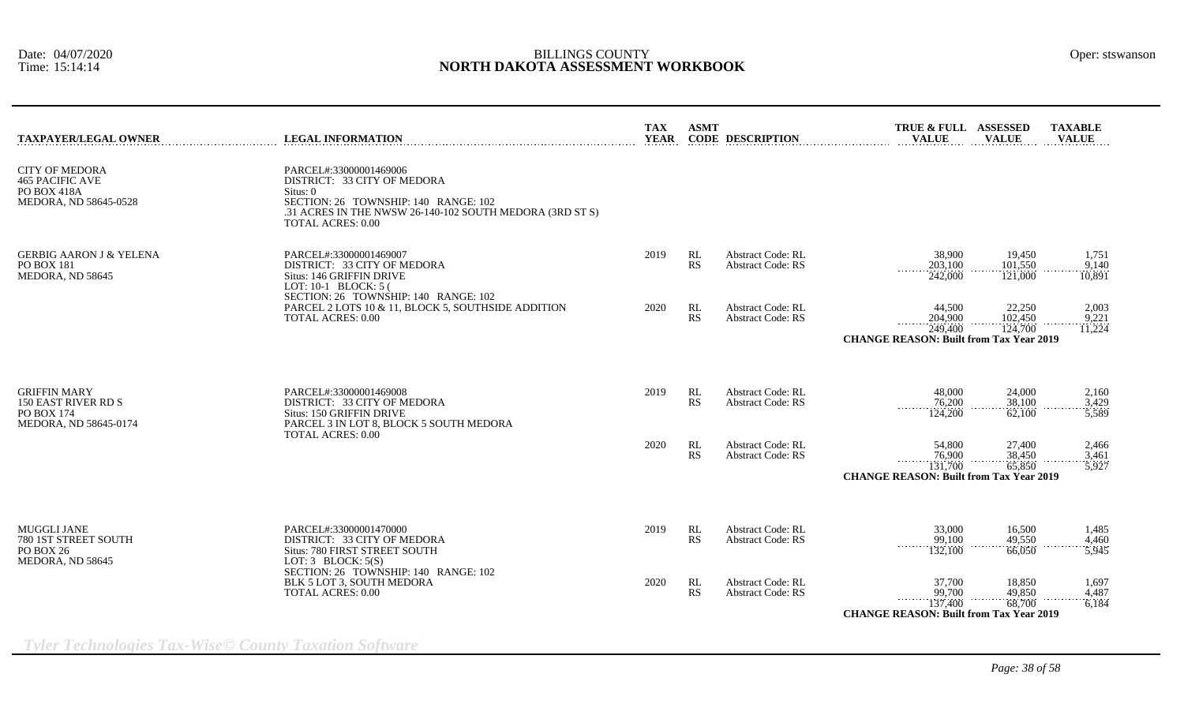| <b>TAXPAYER/LEGAL OWNER</b>                                                                     | <b>LEGAL INFORMATION</b>                                                                                                                                                                            | <b>TAX</b><br><b>YEAR</b> | <b>ASMT</b> | <b>CODE DESCRIPTION</b>                              | TRUE & FULL ASSESSED<br><b>VALUE</b>                                                        | <b>VALUE</b>                 | <b>TAXABLE</b><br><b>VALUE</b> |
|-------------------------------------------------------------------------------------------------|-----------------------------------------------------------------------------------------------------------------------------------------------------------------------------------------------------|---------------------------|-------------|------------------------------------------------------|---------------------------------------------------------------------------------------------|------------------------------|--------------------------------|
| <b>CITY OF MEDORA</b><br><b>465 PACIFIC AVE</b><br>PO BOX 418A<br>MEDORA, ND 58645-0528         | PARCEL#:33000001469006<br>DISTRICT: 33 CITY OF MEDORA<br>Situs: $0$<br>SECTION: 26 TOWNSHIP: 140 RANGE: 102<br>.31 ACRES IN THE NWSW 26-140-102 SOUTH MEDORA (3RD ST S)<br><b>TOTAL ACRES: 0.00</b> |                           |             |                                                      |                                                                                             |                              |                                |
| <b>GERBIG AARON J &amp; YELENA</b><br><b>PO BOX 181</b><br>MEDORA, ND 58645                     | PARCEL#:33000001469007<br>DISTRICT: 33 CITY OF MEDORA<br>Situs: 146 GRIFFIN DRIVE<br>LOT: 10-1 BLOCK: 5 (                                                                                           | 2019                      | RL<br>RS    | <b>Abstract Code: RL</b><br><b>Abstract Code: RS</b> | 38,900<br>203,100<br>242,000                                                                | 19,450<br>101,550<br>121,000 | 1,751<br>9.140<br>10,891       |
|                                                                                                 | SECTION: 26 TOWNSHIP: 140 RANGE: 102<br>PARCEL 2 LOTS 10 & 11, BLOCK 5, SOUTHSIDE ADDITION<br><b>TOTAL ACRES: 0.00</b>                                                                              | 2020                      | RL<br>RS    | Abstract Code: RL<br><b>Abstract Code: RS</b>        | 44,500<br>204,900<br>1.1.1.1.1<br>249.400<br><b>CHANGE REASON: Built from Tax Year 2019</b> | 22,250<br>102,450<br>124,700 | 2,003<br>9,221<br>11,224       |
| <b>GRIFFIN MARY</b><br><b>150 EAST RIVER RD S</b><br><b>PO BOX 174</b><br>MEDORA, ND 58645-0174 | PARCEL#:33000001469008<br>DISTRICT: 33 CITY OF MEDORA<br>Situs: 150 GRIFFIN DRIVE<br>PARCEL 3 IN LOT 8, BLOCK 5 SOUTH MEDORA                                                                        | 2019                      | RL<br>RS    | <b>Abstract Code: RL</b><br><b>Abstract Code: RS</b> | 48,000<br>76,200<br>1.1.1.1.1<br>124,200                                                    | 24,000<br>38,100<br>62,100   | 2,160<br>3.429<br>5,589        |
|                                                                                                 | <b>TOTAL ACRES: 0.00</b>                                                                                                                                                                            | 2020                      | RL<br>RS    | <b>Abstract Code: RL</b><br><b>Abstract Code: RS</b> | 54,800<br>76.900<br>1.1.1.1.1<br>131,700<br><b>CHANGE REASON: Built from Tax Year 2019</b>  | 27,400<br>38,450<br>65,850   | 2,466<br>3,461<br>5,927        |
| <b>MUGGLI JANE</b><br>780 1ST STREET SOUTH<br><b>PO BOX 26</b><br>MEDORA, ND 58645              | PARCEL#:33000001470000<br>DISTRICT: 33 CITY OF MEDORA<br>Situs: 780 FIRST STREET SOUTH<br>LOT: $3$ BLOCK: $5(S)$                                                                                    | 2019                      | RL<br>RS    | <b>Abstract Code: RL</b><br><b>Abstract Code: RS</b> | 33,000<br>99,100<br>.<br>132,100                                                            | 16,500<br>49,550<br>66,050   | 1,485<br>4,460<br>5,945        |
|                                                                                                 | SECTION: 26 TOWNSHIP: 140 RANGE: 102<br>BLK 5 LOT 3, SOUTH MEDORA<br><b>TOTAL ACRES: 0.00</b>                                                                                                       | 2020                      | RL<br>RS    | <b>Abstract Code: RL</b><br><b>Abstract Code: RS</b> | 37,700<br>99,700<br>137,400<br><b>CHANGE REASON: Built from Tax Year 2019</b>               | 18,850<br>49,850<br>68,700   | 1,697<br>4.487<br>6,184        |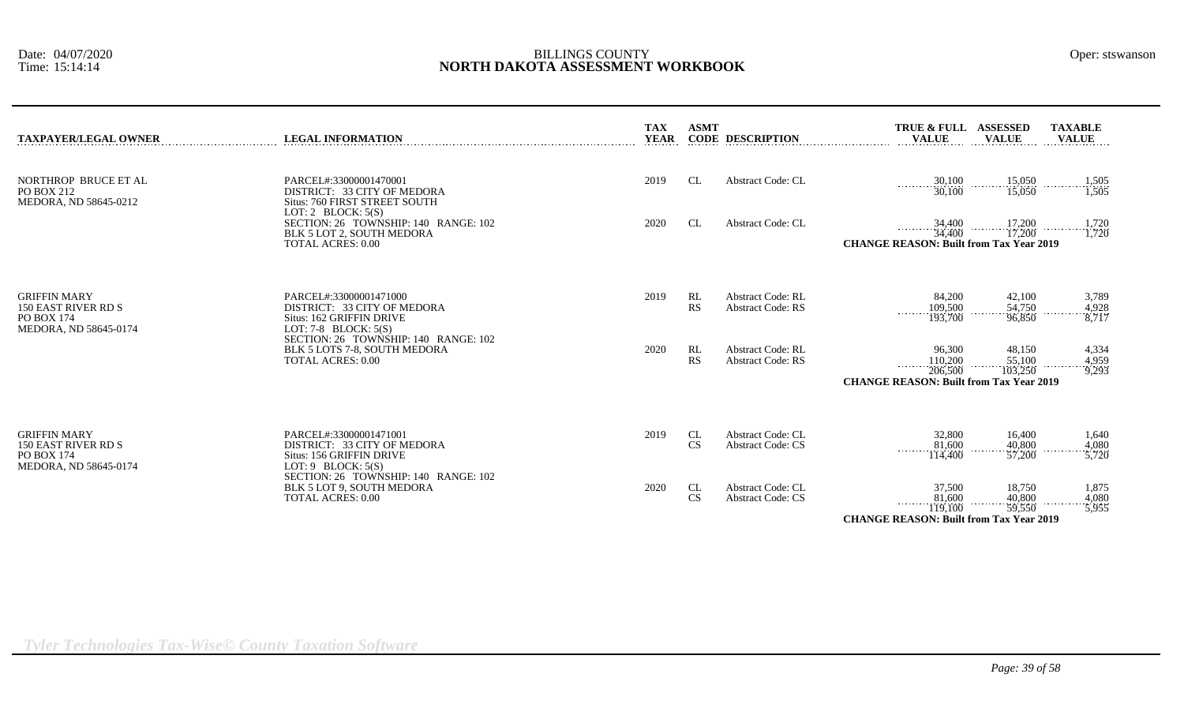| <b>TAXPAYER/LEGAL OWNER</b>                                                              | <b>LEGAL INFORMATION</b>                                                                                                                            | <b>TAX</b><br><b>YEAR</b> | <b>ASMT</b>     | <b>CODE DESCRIPTION</b>                              | TRUE & FULL ASSESSED<br><b>VALUE</b>                                                      | <b>VALUE</b>                                       | <b>TAXABLE</b><br><b>VALUE</b>                                                                                                                                                                                                                                                                                                                        |
|------------------------------------------------------------------------------------------|-----------------------------------------------------------------------------------------------------------------------------------------------------|---------------------------|-----------------|------------------------------------------------------|-------------------------------------------------------------------------------------------|----------------------------------------------------|-------------------------------------------------------------------------------------------------------------------------------------------------------------------------------------------------------------------------------------------------------------------------------------------------------------------------------------------------------|
| NORTHROP BRUCE ET AL<br>PO BOX 212<br>MEDORA, ND 58645-0212                              | PARCEL#:33000001470001<br>DISTRICT: 33 CITY OF MEDORA<br>Situs: 760 FIRST STREET SOUTH                                                              | 2019                      | <b>CL</b>       | <b>Abstract Code: CL</b>                             | $\frac{30,100}{30,100}$                                                                   | $\frac{15,050}{15,050}$                            | 1,505<br>$\cdots$ $\cdots$ $\cdots$ $\cdots$ $\cdots$ $\cdots$ $\cdots$ $\cdots$ $\cdots$ $\cdots$ $\cdots$ $\cdots$ $\cdots$ $\cdots$ $\cdots$ $\cdots$ $\cdots$ $\cdots$ $\cdots$ $\cdots$ $\cdots$ $\cdots$ $\cdots$ $\cdots$ $\cdots$ $\cdots$ $\cdots$ $\cdots$ $\cdots$ $\cdots$ $\cdots$ $\cdots$ $\cdots$ $\cdots$ $\cdots$ $\cdots$ $\cdots$ |
|                                                                                          | LOT: 2 BLOCK: $5(S)$<br>SECTION: 26 TOWNSHIP: 140 RANGE: 102<br>BLK 5 LOT 2, SOUTH MEDORA<br><b>TOTAL ACRES: 0.00</b>                               | 2020                      | CL              | <b>Abstract Code: CL</b>                             | 34,400<br>34,400<br><b>CHANGE REASON: Built from Tax Year 2019</b>                        | 17,200<br>.<br>17,200                              | 1,720<br>$\cdots$ $\cdots$ $\cdots$ $\cdots$ $\cdots$ $\cdots$ $\cdots$ $\cdots$ $\cdots$ $\cdots$ $\cdots$ $\cdots$ $\cdots$ $\cdots$ $\cdots$ $\cdots$ $\cdots$ $\cdots$ $\cdots$ $\cdots$ $\cdots$ $\cdots$ $\cdots$ $\cdots$ $\cdots$ $\cdots$ $\cdots$ $\cdots$ $\cdots$ $\cdots$ $\cdots$ $\cdots$ $\cdots$ $\cdots$ $\cdots$ $\cdots$ $\cdots$ |
| <b>GRIFFIN MARY</b><br>150 EAST RIVER RD S<br><b>PO BOX 174</b><br>MEDORA, ND 58645-0174 | PARCEL#:33000001471000<br>DISTRICT: 33 CITY OF MEDORA<br>Situs: 162 GRIFFIN DRIVE<br>LOT: 7-8 BLOCK: $5(S)$                                         | 2019                      | RL<br>RS        | <b>Abstract Code: RL</b><br><b>Abstract Code: RS</b> | 84,200<br>$\frac{109,500}{193,700}$                                                       | 42,100<br>54,750<br>.<br>96,850                    | 3,789<br>4,928<br>$\frac{3}{8,717}$                                                                                                                                                                                                                                                                                                                   |
|                                                                                          | SECTION: 26 TOWNSHIP: 140 RANGE: 102<br>BLK 5 LOTS 7-8, SOUTH MEDORA<br><b>TOTAL ACRES: 0.00</b>                                                    | 2020                      | RL<br><b>RS</b> | <b>Abstract Code: RL</b><br><b>Abstract Code: RS</b> | 96,300<br>110,200<br>1.1.1.1<br>206,500<br><b>CHANGE REASON: Built from Tax Year 2019</b> | 48,150<br>55,100<br>103,250                        | 4,334<br>4,959<br>9,293                                                                                                                                                                                                                                                                                                                               |
| <b>GRIFFIN MARY</b><br>150 EAST RIVER RD S<br>PO BOX 174<br>MEDORA, ND 58645-0174        | PARCEL#:33000001471001<br>DISTRICT: 33 CITY OF MEDORA<br>Situs: 156 GRIFFIN DRIVE<br>LOT: $9$ BLOCK: $5(S)$<br>SECTION: 26 TOWNSHIP: 140 RANGE: 102 | 2019                      | CL<br><b>CS</b> | <b>Abstract Code: CL</b><br><b>Abstract Code: CS</b> | 32,800<br>81,600<br>114,400                                                               | 16,400<br>40,800<br>$\sim$ $\sim$ $\sim$<br>57,200 | 1,640<br>4,080<br>5,720                                                                                                                                                                                                                                                                                                                               |
|                                                                                          | BLK 5 LOT 9, SOUTH MEDORA<br><b>TOTAL ACRES: 0.00</b>                                                                                               | 2020                      | CL<br><b>CS</b> | <b>Abstract Code: CL</b><br><b>Abstract Code: CS</b> | 37,500<br>81,600                                                                          | 18,750<br>40,800                                   | 1,875<br>4.080                                                                                                                                                                                                                                                                                                                                        |

*Tyler Technologies Tax-Wise© County Taxation Software*

119,100 59,550 5,955

**CHANGE REASON: Built from Tax Year 2019**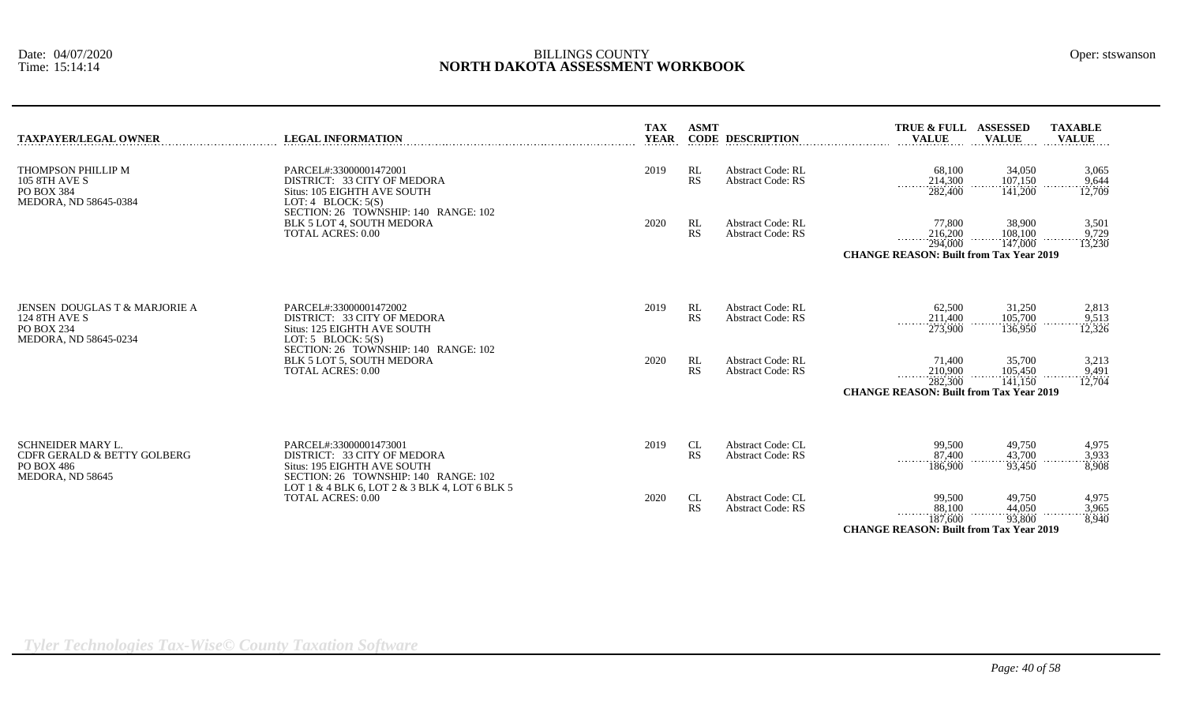| TAXPAYER/LEGAL OWNER                                                                         | <b>LEGAL INFORMATION</b>                                                                                                     | <b>TAX</b><br><b>YEAR</b> | <b>ASMT</b>     | <b>CODE DESCRIPTION</b>                              | TRUE & FULL ASSESSED<br><b>VALUE</b>                                                | <b>VALUE</b>                 | <b>TAXABLE</b><br><b>VALUE</b> |
|----------------------------------------------------------------------------------------------|------------------------------------------------------------------------------------------------------------------------------|---------------------------|-----------------|------------------------------------------------------|-------------------------------------------------------------------------------------|------------------------------|--------------------------------|
| THOMPSON PHILLIP M<br>105 8TH AVE S<br>PO BOX 384<br>MEDORA, ND 58645-0384                   | PARCEL#:33000001472001<br>DISTRICT: 33 CITY OF MEDORA<br>Situs: 105 EIGHTH AVE SOUTH<br>LOT: 4 BLOCK: $5(S)$                 | 2019                      | RL<br><b>RS</b> | <b>Abstract Code: RL</b><br><b>Abstract Code: RS</b> | 68,100<br>214,300<br>282,400                                                        | 34,050<br>107.150<br>141,200 | 3,065<br>9,644<br>12,709       |
|                                                                                              | SECTION: 26 TOWNSHIP: 140 RANGE: 102<br>BLK 5 LOT 4, SOUTH MEDORA<br><b>TOTAL ACRES: 0.00</b>                                | 2020                      | RL<br><b>RS</b> | <b>Abstract Code: RL</b><br><b>Abstract Code: RS</b> | 77,800<br>216,200<br>.<br>294,000<br><b>CHANGE REASON: Built from Tax Year 2019</b> | 38,900<br>108.100<br>147,000 | 3,501<br>9,729<br>13,230       |
| JENSEN DOUGLAS T & MARJORIE A<br><b>124 8TH AVE S</b><br>PO BOX 234<br>MEDORA, ND 58645-0234 | PARCEL#:33000001472002<br>DISTRICT: 33 CITY OF MEDORA<br>Situs: 125 EIGHTH AVE SOUTH<br>LOT: $5$ BLOCK: $5(S)$               | 2019                      | RL<br>RS        | <b>Abstract Code: RL</b><br><b>Abstract Code: RS</b> | 62,500<br>211,400<br>273,900                                                        | 31,250<br>105,700<br>136,950 | 2,813<br>9,513<br>12,326       |
|                                                                                              | SECTION: 26 TOWNSHIP: 140 RANGE: 102<br>BLK 5 LOT 5, SOUTH MEDORA<br><b>TOTAL ACRES: 0.00</b>                                | 2020                      | RL<br><b>RS</b> | <b>Abstract Code: RL</b><br><b>Abstract Code: RS</b> | 71,400<br>210,900<br>.<br>282,300<br><b>CHANGE REASON: Built from Tax Year 2019</b> | 35,700<br>105.450<br>141,150 | 3,213<br>9,491<br>12,704       |
| SCHNEIDER MARY L.<br>CDFR GERALD & BETTY GOLBERG<br>PO BOX 486<br>MEDORA, ND 58645           | PARCEL#:33000001473001<br>DISTRICT: 33 CITY OF MEDORA<br>Situs: 195 EIGHTH AVE SOUTH<br>SECTION: 26 TOWNSHIP: 140 RANGE: 102 | 2019                      | CL<br><b>RS</b> | <b>Abstract Code: CL</b><br><b>Abstract Code: RS</b> | 99,500<br>87,400<br>$\cdots \cdots \cdots$<br>186,900                               | 49,750<br>43,700<br>93.450   | 4,975<br>3,933<br>8,908        |
|                                                                                              | LOT 1 & 4 BLK 6, LOT 2 & 3 BLK 4, LOT 6 BLK 5<br><b>TOTAL ACRES: 0.00</b>                                                    | 2020                      | CL<br><b>RS</b> | <b>Abstract Code: CL</b><br><b>Abstract Code: RS</b> | 99,500<br>88,100<br>187,600<br><b>CHANGE REASON: Built from Tax Year 2019</b>       | 49,750<br>44,050<br>93,800   | 4,975<br>3,965<br>8,940        |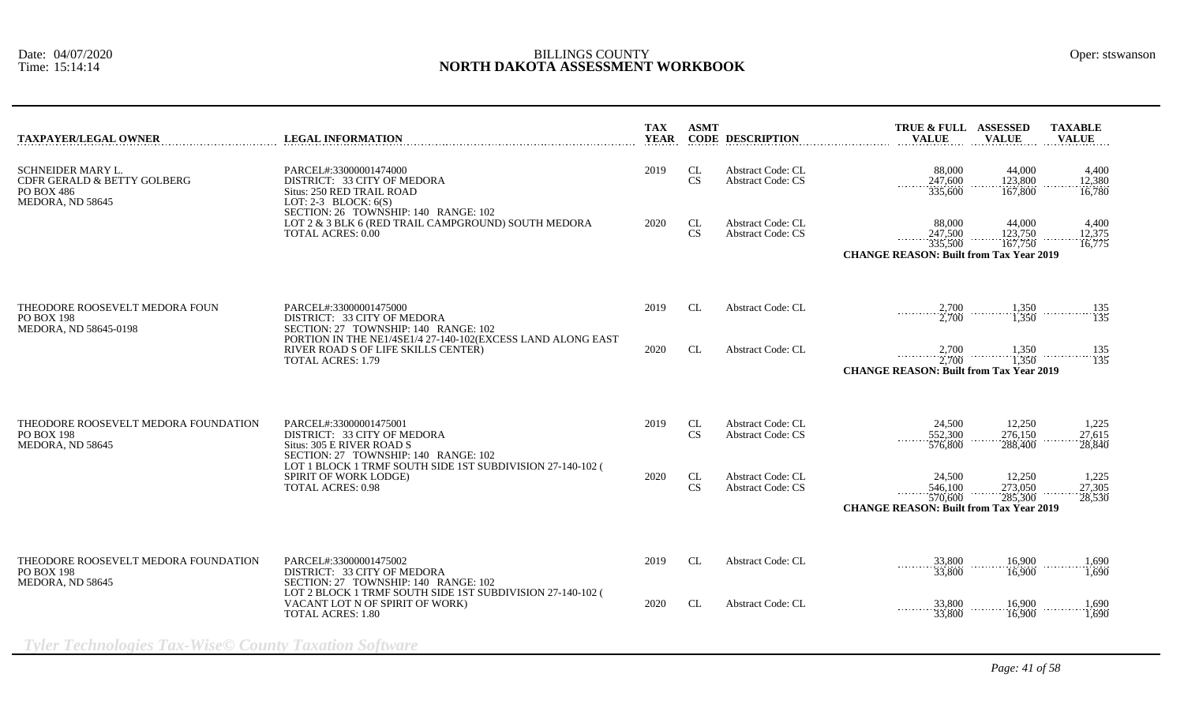| <b>TAXPAYER/LEGAL OWNER</b>                                                                      | <b>LEGAL INFORMATION</b>                                                                                                                                                                                                                      | <b>TAX</b><br><b>YEAR</b> | <b>ASMT</b>     | <b>CODE DESCRIPTION</b>                              | TRUE & FULL ASSESSED<br><b>TAXABLE</b><br><b>VALUE</b><br><b>VALUE</b><br><b>VALUE</b>                                                                                      |
|--------------------------------------------------------------------------------------------------|-----------------------------------------------------------------------------------------------------------------------------------------------------------------------------------------------------------------------------------------------|---------------------------|-----------------|------------------------------------------------------|-----------------------------------------------------------------------------------------------------------------------------------------------------------------------------|
| <b>SCHNEIDER MARY L.</b><br>CDFR GERALD & BETTY GOLBERG<br><b>PO BOX 486</b><br>MEDORA, ND 58645 | PARCEL#:33000001474000<br>DISTRICT: 33 CITY OF MEDORA<br>Situs: 250 RED TRAIL ROAD<br>LOT: 2-3 BLOCK: $6(S)$<br>SECTION: 26 TOWNSHIP: 140 RANGE: 102<br>LOT 2 & 3 BLK 6 (RED TRAIL CAMPGROUND) SOUTH MEDORA<br><b>TOTAL ACRES: 0.00</b>       | 2019                      | CL<br><b>CS</b> | <b>Abstract Code: CL</b><br><b>Abstract Code: CS</b> | 88,000<br>44,000<br>4,400<br>247,600<br>123,800<br>12,380<br>1.1.1.1.1.1<br>335,600<br>167,800<br>16.780                                                                    |
|                                                                                                  |                                                                                                                                                                                                                                               | 2020                      | CL<br>CS        | <b>Abstract Code: CL</b><br><b>Abstract Code: CS</b> | 88,000<br>44,000<br>4,400<br>247,500<br>123,750<br>12,375<br><b><i><u>ALLASSE</u></i></b><br>335,500<br>16,775<br>167,750<br><b>CHANGE REASON: Built from Tax Year 2019</b> |
| THEODORE ROOSEVELT MEDORA FOUN<br><b>PO BOX 198</b><br>MEDORA, ND 58645-0198                     | PARCEL#:33000001475000<br>DISTRICT: 33 CITY OF MEDORA<br>SECTION: 27 TOWNSHIP: 140 RANGE: 102<br>PORTION IN THE NE1/4SE1/4 27-140-102(EXCESS LAND ALONG EAST<br>RIVER ROAD S OF LIFE SKILLS CENTER)<br><b>TOTAL ACRES: 1.79</b>               | 2019                      | CL              | <b>Abstract Code: CL</b>                             | $\frac{2,700}{2,700}$<br>$\begin{array}{c}\n 1,350 \\  \hline\n 1,350\n \end{array}$<br>$\frac{135}{135}$                                                                   |
|                                                                                                  |                                                                                                                                                                                                                                               | 2020                      | CL              | <b>Abstract Code: CL</b>                             | $\cdots$ 2,700 $\cdots$ 1,350 $\cdots$ 1,350 $\cdots$ 1,350 $\cdots$ 135<br><b>CHANGE REASON: Built from Tax Year 2019</b>                                                  |
| THEODORE ROOSEVELT MEDORA FOUNDATION<br><b>PO BOX 198</b><br>MEDORA, ND 58645                    | PARCEL#:33000001475001<br>DISTRICT: 33 CITY OF MEDORA<br>Situs: 305 E RIVER ROAD S<br>SECTION: 27 TOWNSHIP: 140 RANGE: 102<br>LOT 1 BLOCK 1 TRMF SOUTH SIDE 1ST SUBDIVISION 27-140-102 (<br>SPIRIT OF WORK LODGE)<br><b>TOTAL ACRES: 0.98</b> | 2019                      | CL<br><b>CS</b> | <b>Abstract Code: CL</b><br><b>Abstract Code: CS</b> | 24,500<br>12,250<br>1,225<br>552,300<br>276,150<br>27.615<br>.<br>576,800<br>28,840<br>288,400                                                                              |
|                                                                                                  |                                                                                                                                                                                                                                               | 2020                      | <b>CL</b><br>CS | <b>Abstract Code: CL</b><br><b>Abstract Code: CS</b> | 24,500<br>12,250<br>1,225<br>546,100<br>273,050<br>27.305<br>570,600<br>285,300<br>28,530<br><b>CHANGE REASON: Built from Tax Year 2019</b>                                 |
| THEODORE ROOSEVELT MEDORA FOUNDATION<br>PO BOX 198<br>MEDORA, ND 58645                           | PARCEL#:33000001475002<br>DISTRICT: 33 CITY OF MEDORA<br>SECTION: 27 TOWNSHIP: 140 RANGE: 102<br>LOT 2 BLOCK 1 TRMF SOUTH SIDE 1ST SUBDIVISION 27-140-102 (<br>VACANT LOT N OF SPIRIT OF WORK)<br><b>TOTAL ACRES: 1.80</b>                    | 2019                      | CL              | <b>Abstract Code: CL</b>                             | 16,900<br>33,800<br>1,690<br>.<br>.<br>.<br>33,800<br>16,900<br>1.690                                                                                                       |
|                                                                                                  |                                                                                                                                                                                                                                               | 2020                      | CL              | <b>Abstract Code: CL</b>                             | 33,800<br>16.900<br>1.690<br>33,800<br>16,900<br>1,690                                                                                                                      |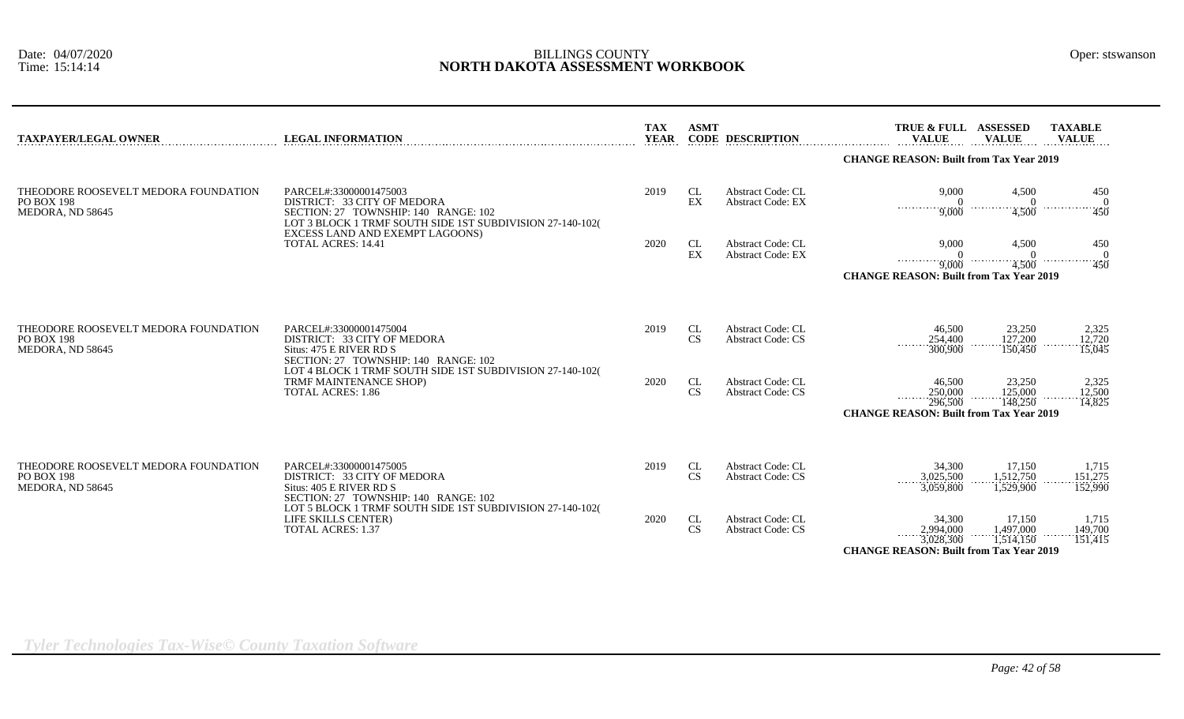| <b>TAXPAYER/LEGAL OWNER</b>                                                   | <b>LEGAL INFORMATION</b>                                                                                                                                                                                                   | <b>TAX</b><br><b>YEAR</b> | <b>ASMT</b>                      | <b>CODE DESCRIPTION</b>                              | <b>TRUE &amp; FULL</b><br><b>VALUE</b>                                                      | <b>ASSESSED</b><br><b>VALUE</b>               | <b>TAXABLE</b><br><b>VALUE</b>       |
|-------------------------------------------------------------------------------|----------------------------------------------------------------------------------------------------------------------------------------------------------------------------------------------------------------------------|---------------------------|----------------------------------|------------------------------------------------------|---------------------------------------------------------------------------------------------|-----------------------------------------------|--------------------------------------|
|                                                                               |                                                                                                                                                                                                                            |                           |                                  |                                                      | <b>CHANGE REASON: Built from Tax Year 2019</b>                                              |                                               |                                      |
| THEODORE ROOSEVELT MEDORA FOUNDATION<br><b>PO BOX 198</b><br>MEDORA, ND 58645 | PARCEL#:33000001475003<br>DISTRICT: 33 CITY OF MEDORA<br>SECTION: 27 TOWNSHIP: 140 RANGE: 102<br>LOT 3 BLOCK 1 TRMF SOUTH SIDE 1ST SUBDIVISION 27-140-102(<br>EXCESS LAND AND EXEMPT LAGOONS)<br><b>TOTAL ACRES: 14.41</b> | 2019                      | CL<br>$\mathop{\rm EX}\nolimits$ | Abstract Code: CL<br><b>Abstract Code: EX</b>        | 9,000<br>$\overline{0}$<br>$\cdots$ 9,000                                                   | 4,500<br>$\begin{matrix}0\\4,500\end{matrix}$ | 450<br>$\Omega$<br>.<br>$\cdots$ 450 |
|                                                                               |                                                                                                                                                                                                                            | 2020                      | CL<br>$\mathop{\rm EX}\nolimits$ | <b>Abstract Code: CL</b><br><b>Abstract Code: EX</b> | 9.000                                                                                       | 4,500<br>$\Omega$                             | 450<br>$\Omega$<br>.                 |
|                                                                               |                                                                                                                                                                                                                            |                           |                                  |                                                      | $\overline{9,000}$<br><b>CHANGE REASON: Built from Tax Year 2019</b>                        | 4,500                                         | $\overline{450}$                     |
|                                                                               |                                                                                                                                                                                                                            |                           |                                  |                                                      |                                                                                             |                                               |                                      |
| THEODORE ROOSEVELT MEDORA FOUNDATION<br><b>PO BOX 198</b><br>MEDORA, ND 58645 | PARCEL#:33000001475004<br>DISTRICT: 33 CITY OF MEDORA<br>Situs: 475 E RIVER RD S                                                                                                                                           | 2019                      | CL<br>CS                         | Abstract Code: CL<br><b>Abstract Code: CS</b>        | 46,500<br>254,400<br>300,900                                                                | 23,250<br>127,200<br>150,450                  | 2,325<br>12,720<br>15,045            |
|                                                                               | SECTION: 27 TOWNSHIP: 140 RANGE: 102<br>LOT 4 BLOCK 1 TRMF SOUTH SIDE 1ST SUBDIVISION 27-140-102(<br>TRMF MAINTENANCE SHOP)<br><b>TOTAL ACRES: 1.86</b>                                                                    | 2020                      | CL<br><b>CS</b>                  | <b>Abstract Code: CL</b><br><b>Abstract Code: CS</b> | 46,500<br>250,000<br>1.1.1.1.1<br>296.500<br><b>CHANGE REASON: Built from Tax Year 2019</b> | 23,250<br>125,000<br>148,250                  | 2,325<br>12,500<br>14,825            |
|                                                                               |                                                                                                                                                                                                                            |                           |                                  |                                                      |                                                                                             |                                               |                                      |
| THEODORE ROOSEVELT MEDORA FOUNDATION<br><b>PO BOX 198</b><br>MEDORA, ND 58645 | PARCEL#:33000001475005<br>DISTRICT: 33 CITY OF MEDORA<br>Situs: 405 E RIVER RD S<br>SECTION: 27 TOWNSHIP: 140 RANGE: 102                                                                                                   | 2019                      | CL<br><b>CS</b>                  | <b>Abstract Code: CL</b><br><b>Abstract Code: CS</b> | 34,300<br>3,025,500<br>3,059,800                                                            | 17,150<br>1,512,750<br>1,529,900              | 1,715<br>151,275<br>152,990          |
|                                                                               | LOT 5 BLOCK 1 TRMF SOUTH SIDE 1ST SUBDIVISION 27-140-102(<br>LIFE SKILLS CENTER)<br><b>TOTAL ACRES: 1.37</b>                                                                                                               | 2020                      | CL<br><b>CS</b>                  | Abstract Code: CL<br><b>Abstract Code: CS</b>        | 34,300<br>2,994,000<br>3,028,300<br><b>CHANGE REASON: Built from Tax Year 2019</b>          | 17,150<br>1,497,000<br>1,514,150              | 1,715<br>149,700<br>151,415          |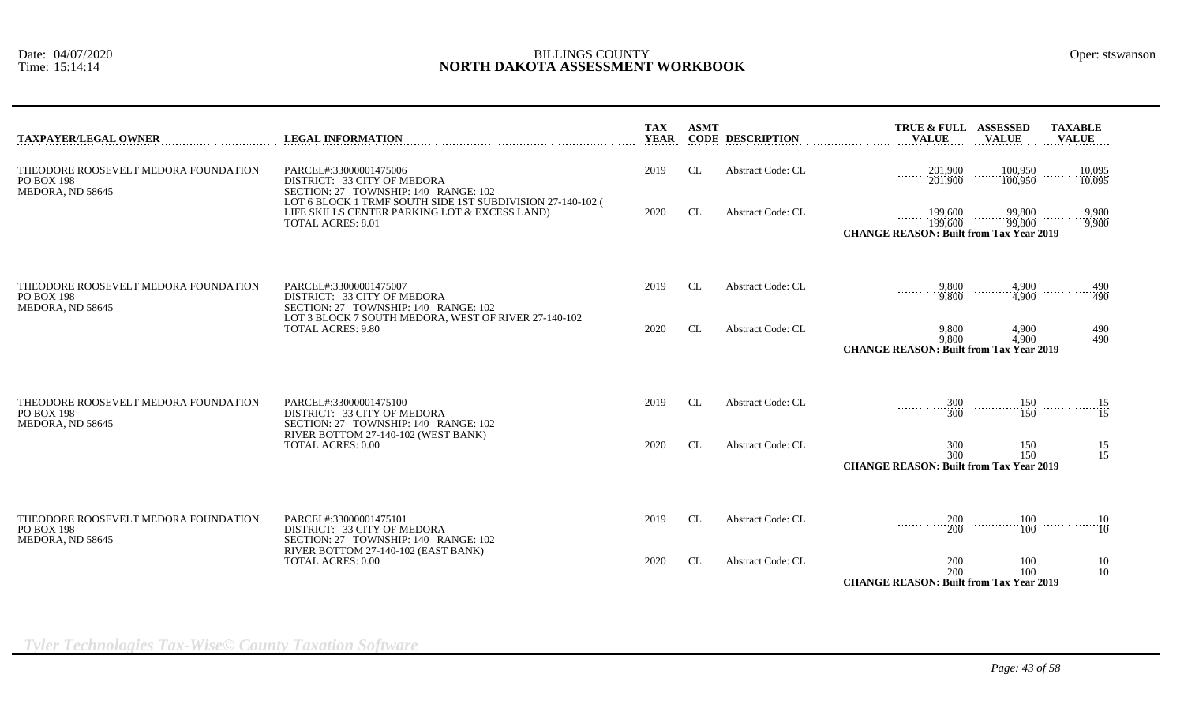| <b>TAXPAYER/LEGAL OWNER</b>                                                   | <b>LEGAL INFORMATION</b>                                                                                                                                                          | <b>TAX</b><br><b>YEAR</b> | <b>ASMT</b> | <b>CODE DESCRIPTION</b>  | TRUE & FULL ASSESSED<br><b>VALUE</b>                                                                                  | <b>VALUE</b>                                                | <b>TAXABLE</b><br><b>VALUE</b>       |
|-------------------------------------------------------------------------------|-----------------------------------------------------------------------------------------------------------------------------------------------------------------------------------|---------------------------|-------------|--------------------------|-----------------------------------------------------------------------------------------------------------------------|-------------------------------------------------------------|--------------------------------------|
| THEODORE ROOSEVELT MEDORA FOUNDATION<br><b>PO BOX 198</b><br>MEDORA, ND 58645 | PARCEL#:33000001475006<br>DISTRICT: 33 CITY OF MEDORA<br>SECTION: 27 TOWNSHIP: 140 RANGE: 102                                                                                     | 2019                      | CL.         | Abstract Code: CL        | $\frac{201,900}{201,900}$                                                                                             | $\frac{100,950}{100,950}$                                   | 10,095<br>10,095<br>.                |
|                                                                               | LOT 6 BLOCK 1 TRMF SOUTH SIDE 1ST SUBDIVISION 27-140-102 (<br>LIFE SKILLS CENTER PARKING LOT & EXCESS LAND)<br><b>TOTAL ACRES: 8.01</b>                                           | 2020                      | <b>CL</b>   | <b>Abstract Code: CL</b> | $\frac{199,600}{199,600}$<br><b>CHANGE REASON: Built from Tax Year 2019</b>                                           | $\frac{99,800}{99,800}$                                     | 9,980<br>9,980                       |
| THEODORE ROOSEVELT MEDORA FOUNDATION<br><b>PO BOX 198</b><br>MEDORA, ND 58645 | PARCEL#:33000001475007<br>DISTRICT: 33 CITY OF MEDORA<br>SECTION: 27 TOWNSHIP: 140 RANGE: 102<br>LOT 3 BLOCK 7 SOUTH MEDORA, WEST OF RIVER 27-140-102<br><b>TOTAL ACRES: 9.80</b> | 2019                      | CL          | <b>Abstract Code: CL</b> | $\begin{array}{c}\n 9,800 \\  \hline\n 9,800\n \end{array}$                                                           | $\begin{array}{c}\n 4,900 \\  \hline\n 4,900\n \end{array}$ | 490<br>490                           |
|                                                                               |                                                                                                                                                                                   | 2020                      | <b>CL</b>   | <b>Abstract Code: CL</b> | 9,800<br>9.800<br><b>CHANGE REASON: Built from Tax Year 2019</b>                                                      | .                                                           | $4,900$<br>$4,900$<br>$490$<br>$490$ |
| THEODORE ROOSEVELT MEDORA FOUNDATION<br><b>PO BOX 198</b><br>MEDORA, ND 58645 | PARCEL#:33000001475100<br>DISTRICT: 33 CITY OF MEDORA<br>SECTION: 27 TOWNSHIP: 140 RANGE: 102<br>RIVER BOTTOM 27-140-102 (WEST BANK)<br><b>TOTAL ACRES: 0.00</b>                  | 2019                      | CL.         | <b>Abstract Code: CL</b> |                                                                                                                       |                                                             |                                      |
|                                                                               |                                                                                                                                                                                   | 2020                      | CL.         | <b>Abstract Code: CL</b> | <b>CHANGE REASON: Built from Tax Year 2019</b>                                                                        |                                                             |                                      |
| THEODORE ROOSEVELT MEDORA FOUNDATION<br><b>PO BOX 198</b><br>MEDORA, ND 58645 | PARCEL#:33000001475101<br>DISTRICT: 33 CITY OF MEDORA<br>SECTION: 27 TOWNSHIP: 140 RANGE: 102<br>RIVER BOTTOM 27-140-102 (EAST BANK)<br><b>TOTAL ACRES: 0.00</b>                  | 2019                      | CL          | <b>Abstract Code: CL</b> |                                                                                                                       |                                                             |                                      |
|                                                                               |                                                                                                                                                                                   | 2020                      | CL          | <b>Abstract Code: CL</b> | $\frac{200}{200}$ $\frac{100}{100}$ $\frac{10}{10}$ $\frac{10}{10}$<br><b>CHANGE REASON: Built from Tax Year 2019</b> |                                                             |                                      |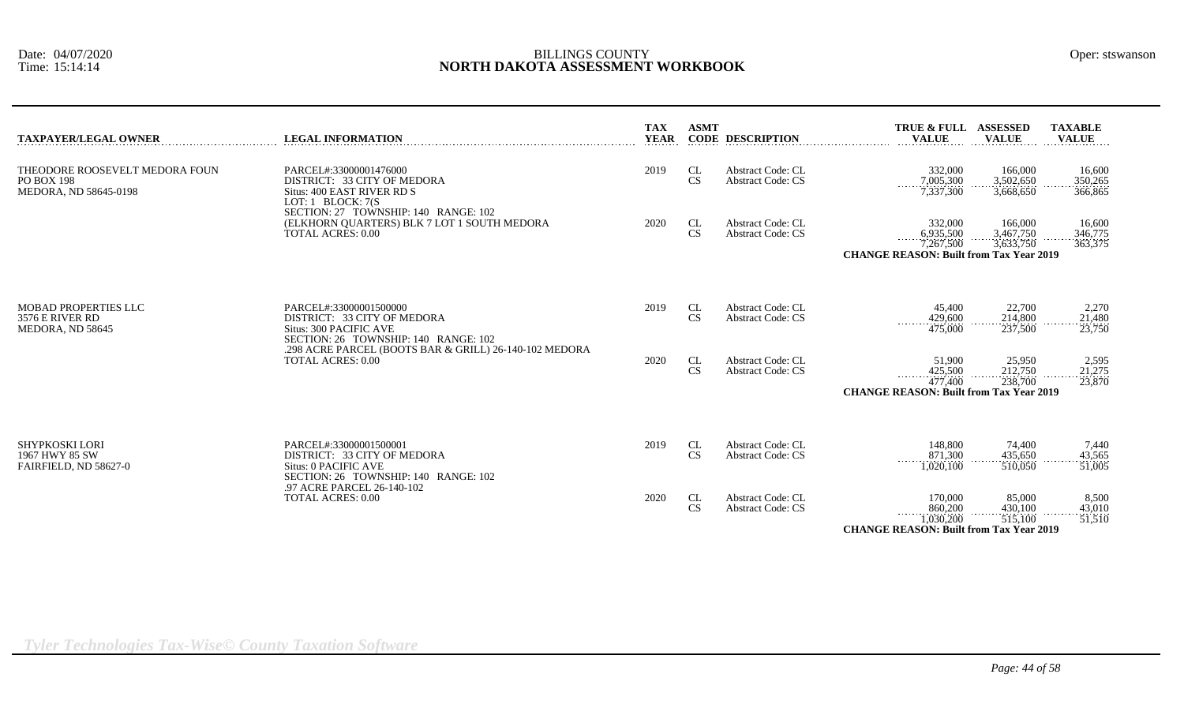| <b>TAXPAYER/LEGAL OWNER</b>                                           | <b>LEGAL INFORMATION</b>                                                                                                | <b>TAX</b><br><b>YEAR</b> | <b>ASMT</b>     | <b>CODE DESCRIPTION</b>                              | TRUE & FULL ASSESSED<br><b>VALUE</b>                                                   | <b>VALUE</b>                      | <b>TAXABLE</b><br><b>VALUE</b> |
|-----------------------------------------------------------------------|-------------------------------------------------------------------------------------------------------------------------|---------------------------|-----------------|------------------------------------------------------|----------------------------------------------------------------------------------------|-----------------------------------|--------------------------------|
| THEODORE ROOSEVELT MEDORA FOUN<br>PO BOX 198<br>MEDORA. ND 58645-0198 | PARCEL#:33000001476000<br>DISTRICT: 33 CITY OF MEDORA<br>Situs: 400 EAST RIVER RD S<br>LOT: 1 BLOCK: 7(S)               | 2019                      | CL<br><b>CS</b> | <b>Abstract Code: CL</b><br><b>Abstract Code: CS</b> | 332,000<br>7,005,300<br>7,337,300                                                      | 166,000<br>3.502.650<br>3,668,650 | 16,600<br>350,265<br>366,865   |
|                                                                       | SECTION: 27 TOWNSHIP: 140 RANGE: 102<br>(ELKHORN QUARTERS) BLK 7 LOT 1 SOUTH MEDORA<br><b>TOTAL ACRES: 0.00</b>         | 2020                      | CL<br><b>CS</b> | <b>Abstract Code: CL</b><br><b>Abstract Code: CS</b> | 332,000<br>$6,935,500$<br>7,267,500<br><b>CHANGE REASON: Built from Tax Year 2019</b>  | 166,000<br>3,467,750<br>3,633,750 | 16,600<br>346,775<br>363,375   |
| MOBAD PROPERTIES LLC<br>3576 E RIVER RD<br>MEDORA, ND 58645           | PARCEL#:33000001500000<br>DISTRICT: 33 CITY OF MEDORA<br>Situs: 300 PACIFIC AVE<br>SECTION: 26 TOWNSHIP: 140 RANGE: 102 | 2019                      | CL<br><b>CS</b> | <b>Abstract Code: CL</b><br><b>Abstract Code: CS</b> | 45,400<br>429,600<br>475,000                                                           | 22,700<br>214,800<br>237,500      | 2,270<br>21,480<br>23,750      |
|                                                                       | .298 ACRE PARCEL (BOOTS BAR & GRILL) 26-140-102 MEDORA<br><b>TOTAL ACRES: 0.00</b>                                      | 2020                      | CL<br><b>CS</b> | <b>Abstract Code: CL</b><br><b>Abstract Code: CS</b> | 51,900<br>425,500<br>.<br>477.400<br><b>CHANGE REASON: Built from Tax Year 2019</b>    | 25,950<br>212,750<br>238,700      | 2,595<br>21,275<br>23,870      |
| SHYPKOSKI LORI<br>1967 HWY 85 SW<br>FAIRFIELD, ND 58627-0             | PARCEL#:33000001500001<br>DISTRICT: 33 CITY OF MEDORA<br>Situs: 0 PACIFIC AVE<br>SECTION: 26 TOWNSHIP: 140 RANGE: 102   | 2019                      | CL<br>CS        | Abstract Code: CL<br><b>Abstract Code: CS</b>        | 148,800<br>871,300<br>1.020.100                                                        | 74,400<br>435.650<br>510,050      | 7,440<br>43,565<br>51,005      |
|                                                                       | .97 ACRE PARCEL 26-140-102<br><b>TOTAL ACRES: 0.00</b>                                                                  | 2020                      | CL<br><b>CS</b> | <b>Abstract Code: CL</b><br><b>Abstract Code: CS</b> | 170,000<br>860,200<br>.<br>1,030,200<br><b>CHANGE REASON: Built from Tax Year 2019</b> | 85,000<br>430,100<br>$-515,100$   | 8,500<br>43,010<br>51,510      |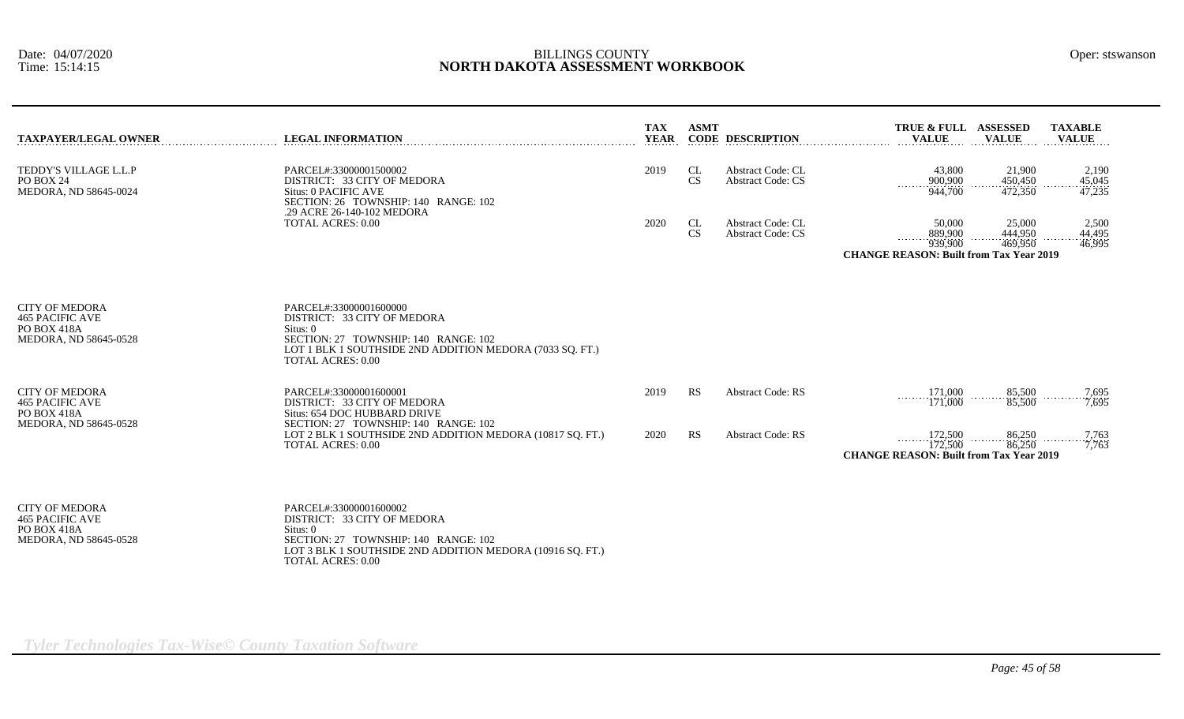| <b>TAXPAYER/LEGAL OWNER</b>                                                                    | <b>LEGAL INFORMATION</b>                                                                                                                                                                          | <b>TAX</b><br><b>YEAR</b> | <b>ASMT</b>     | <b>CODE DESCRIPTION</b>                              | TRUE & FULL ASSESSED<br><b>TAXABLE</b><br><b>VALUE</b><br><b>VALUE</b><br><b>VALUE</b>                                                           |
|------------------------------------------------------------------------------------------------|---------------------------------------------------------------------------------------------------------------------------------------------------------------------------------------------------|---------------------------|-----------------|------------------------------------------------------|--------------------------------------------------------------------------------------------------------------------------------------------------|
| TEDDY'S VILLAGE L.L.P<br>PO BOX 24<br>MEDORA, ND 58645-0024                                    | PARCEL#:33000001500002<br>DISTRICT: 33 CITY OF MEDORA<br>Situs: 0 PACIFIC AVE<br>SECTION: 26 TOWNSHIP: 140 RANGE: 102<br>.29 ACRE 26-140-102 MEDORA                                               | 2019                      | CL<br><b>CS</b> | <b>Abstract Code: CL</b><br><b>Abstract Code: CS</b> | 43,800<br>21,900<br>2,190<br>450,450<br>900,900<br>45,045<br>.<br>$-944,700$<br>472,350<br>47,235                                                |
|                                                                                                | <b>TOTAL ACRES: 0.00</b>                                                                                                                                                                          | 2020                      | CL<br><b>CS</b> | <b>Abstract Code: CL</b><br><b>Abstract Code: CS</b> | 25,000<br>2,500<br>50,000<br>444.950<br>889,900<br>44.495<br>.<br>939,900<br>469,950<br>46,995<br><b>CHANGE REASON: Built from Tax Year 2019</b> |
| <b>CITY OF MEDORA</b><br><b>465 PACIFIC AVE</b><br><b>PO BOX 418A</b><br>MEDORA, ND 58645-0528 | PARCEL#:33000001600000<br>DISTRICT: 33 CITY OF MEDORA<br>Situs: 0<br>SECTION: 27 TOWNSHIP: 140 RANGE: 102<br>LOT 1 BLK 1 SOUTHSIDE 2ND ADDITION MEDORA (7033 SQ. FT.)<br><b>TOTAL ACRES: 0.00</b> |                           |                 |                                                      |                                                                                                                                                  |
| <b>CITY OF MEDORA</b><br><b>465 PACIFIC AVE</b><br>PO BOX 418A                                 | PARCEL#:33000001600001<br>DISTRICT: 33 CITY OF MEDORA<br>Situs: 654 DOC HUBBARD DRIVE                                                                                                             | 2019                      | RS              | <b>Abstract Code: RS</b>                             | 171,000<br>85,500<br>$\frac{7,695}{7,695}$<br>1.1.1.1.1.1.1.1<br>171,000<br>85,500                                                               |
| MEDORA, ND 58645-0528                                                                          | SECTION: 27 TOWNSHIP: 140 RANGE: 102<br>LOT 2 BLK 1 SOUTHSIDE 2ND ADDITION MEDORA (10817 SQ. FT.)<br><b>TOTAL ACRES: 0.00</b>                                                                     | 2020                      | <b>RS</b>       | <b>Abstract Code: RS</b>                             | 86,250<br>172,500<br>$\frac{7,763}{7,763}$<br>.<br>86,250<br>172,500<br><b>CHANGE REASON: Built from Tax Year 2019</b>                           |
| <b>CITY OF MEDORA</b><br><b>465 PACIFIC AVE</b><br>PO BOX 418A<br>MEDORA, ND 58645-0528        | PARCEL#:33000001600002<br>DISTRICT: 33 CITY OF MEDORA<br>Situs: 0<br>SECTION: 27 TOWNSHIP: 140 RANGE: 102                                                                                         |                           |                 |                                                      |                                                                                                                                                  |

LOT 3 BLK 1 SOUTHSIDE 2ND ADDITION MEDORA (10916 SQ. FT.)

TOTAL ACRES: 0.00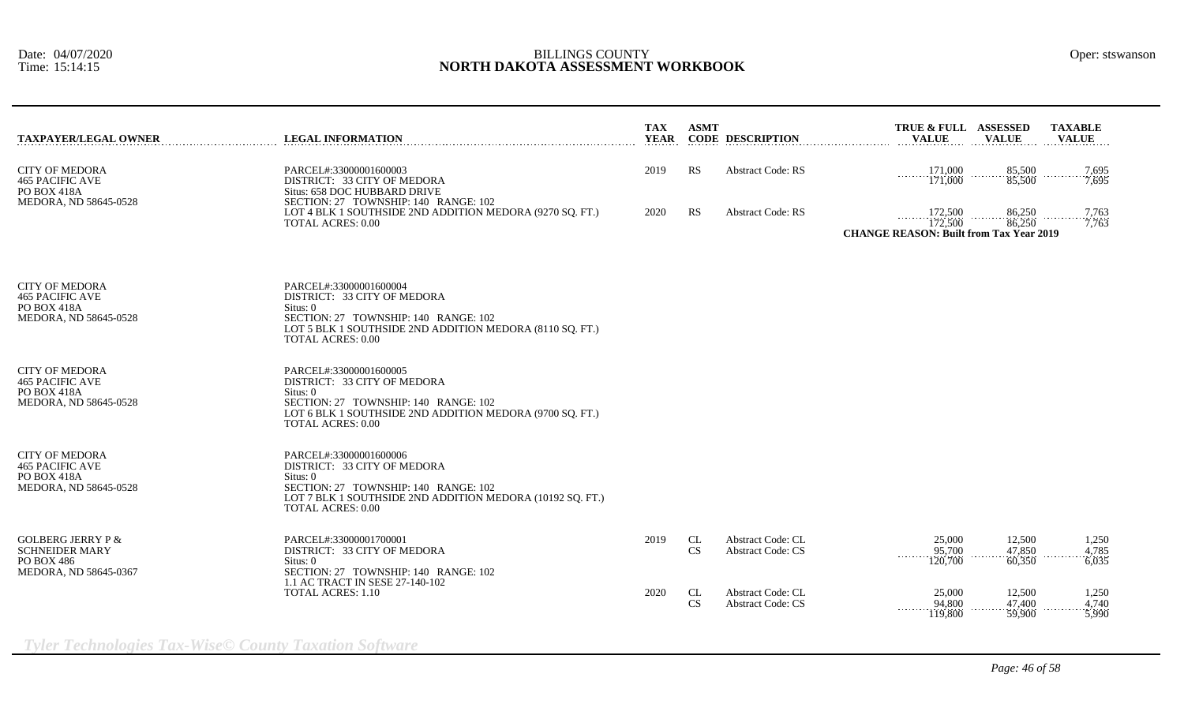| <b>TAXPAYER/LEGAL OWNER</b>                                                                  | <b>LEGAL INFORMATION</b>                                                                                                                                                                           | TAX<br><b>YEAR</b>                                                       | <b>ASMT</b> | <b>CODE DESCRIPTION</b>                              | TRUE & FULL ASSESSED<br><b>VALUE</b>                                 | <b>VALUE</b>               | <b>TAXABLE</b><br><b>VALUE</b> |                         |
|----------------------------------------------------------------------------------------------|----------------------------------------------------------------------------------------------------------------------------------------------------------------------------------------------------|--------------------------------------------------------------------------|-------------|------------------------------------------------------|----------------------------------------------------------------------|----------------------------|--------------------------------|-------------------------|
| <b>CITY OF MEDORA</b><br><b>465 PACIFIC AVE</b><br>PO BOX 418A<br>MEDORA, ND 58645-0528      | PARCEL#:33000001600003<br>DISTRICT: 33 CITY OF MEDORA<br>Situs: 658 DOC HUBBARD DRIVE<br>SECTION: 27 TOWNSHIP: 140 RANGE: 102                                                                      | RS<br><b>Abstract Code: RS</b><br>$\frac{171,000}{171,000}$<br>2019<br>. |             | 85,500<br>85,500                                     | $\begin{array}{c}\n 7,695 \\  \hline\n 7,695\n \end{array}$          |                            |                                |                         |
|                                                                                              | LOT 4 BLK 1 SOUTHSIDE 2ND ADDITION MEDORA (9270 SQ. FT.)<br><b>TOTAL ACRES: 0.00</b>                                                                                                               | 2020                                                                     | RS          | <b>Abstract Code: RS</b>                             | 172,500<br>172,500<br><b>CHANGE REASON: Built from Tax Year 2019</b> | 86,250<br>86,250           |                                | 7,763<br>7,763          |
| <b>CITY OF MEDORA</b><br><b>465 PACIFIC AVE</b><br>PO BOX 418A<br>MEDORA, ND 58645-0528      | PARCEL#:33000001600004<br>DISTRICT: 33 CITY OF MEDORA<br>Situs: 0<br>SECTION: 27 TOWNSHIP: 140 RANGE: 102<br>LOT 5 BLK 1 SOUTHSIDE 2ND ADDITION MEDORA (8110 SQ. FT.)<br><b>TOTAL ACRES: 0.00</b>  |                                                                          |             |                                                      |                                                                      |                            |                                |                         |
| <b>CITY OF MEDORA</b><br><b>465 PACIFIC AVE</b><br>PO BOX 418A<br>MEDORA, ND 58645-0528      | PARCEL#:33000001600005<br>DISTRICT: 33 CITY OF MEDORA<br>Situs: 0<br>SECTION: 27 TOWNSHIP: 140 RANGE: 102<br>LOT 6 BLK 1 SOUTHSIDE 2ND ADDITION MEDORA (9700 SQ. FT.)<br><b>TOTAL ACRES: 0.00</b>  |                                                                          |             |                                                      |                                                                      |                            |                                |                         |
| <b>CITY OF MEDORA</b><br><b>465 PACIFIC AVE</b><br>PO BOX 418A<br>MEDORA, ND 58645-0528      | PARCEL#:33000001600006<br>DISTRICT: 33 CITY OF MEDORA<br>Situs: 0<br>SECTION: 27 TOWNSHIP: 140 RANGE: 102<br>LOT 7 BLK 1 SOUTHSIDE 2ND ADDITION MEDORA (10192 SQ. FT.)<br><b>TOTAL ACRES: 0.00</b> |                                                                          |             |                                                      |                                                                      |                            |                                |                         |
| <b>GOLBERG JERRY P &amp;</b><br><b>SCHNEIDER MARY</b><br>PO BOX 486<br>MEDORA, ND 58645-0367 | PARCEL#:33000001700001<br>DISTRICT: 33 CITY OF MEDORA<br>Situs: 0<br>SECTION: 27 TOWNSHIP: 140 RANGE: 102<br>1.1 AC TRACT IN SESE 27-140-102                                                       | 2019                                                                     | CL<br>CS    | Abstract Code: CL<br><b>Abstract Code: CS</b>        | 25,000<br>95,700<br>.<br>120,700                                     | 12,500<br>47,850<br>60,350 |                                | 1,250<br>4,785<br>6,035 |
|                                                                                              | TOTAL ACRES: 1.10                                                                                                                                                                                  | 2020                                                                     | CL<br>CS    | <b>Abstract Code: CL</b><br><b>Abstract Code: CS</b> | 25,000<br>94,800<br><b><i><u>ALLASSE</u></i></b><br>119,800          | 12,500<br>47,400<br>59,900 |                                | 1,250<br>4,740<br>3,990 |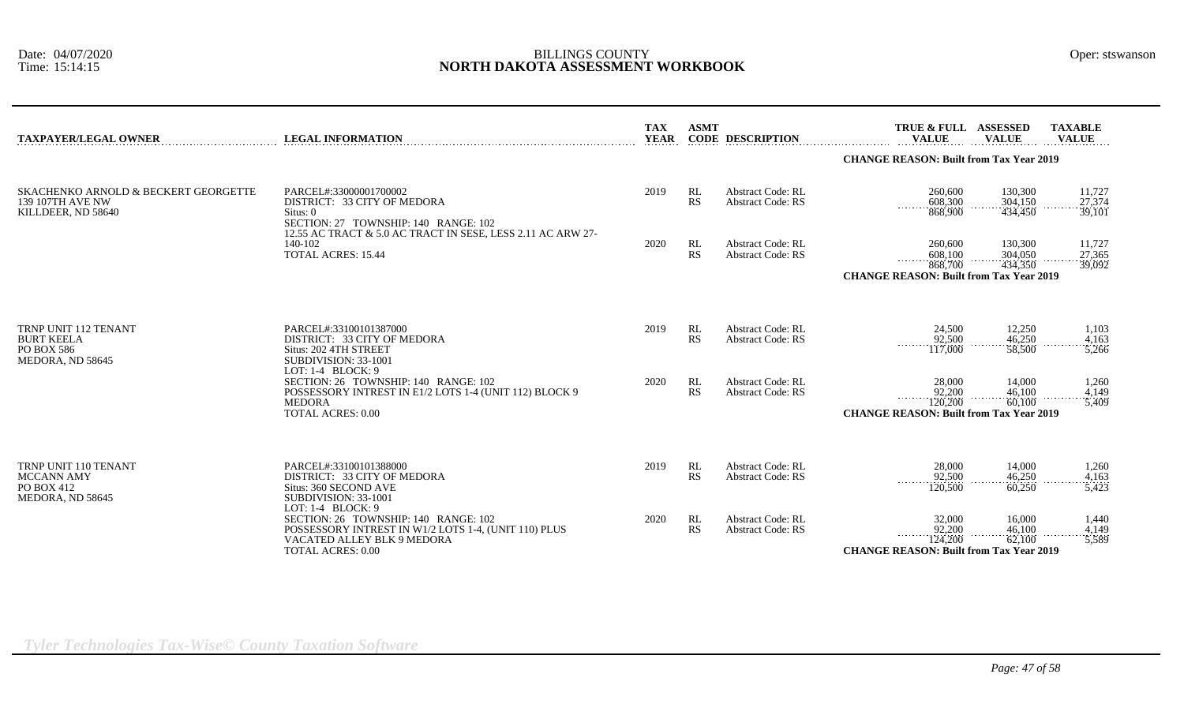| <b>TAXPAYER/LEGAL OWNER</b>                                                    | <b>LEGAL INFORMATION</b>                                                                                                                                                 | <b>TAX</b><br><b>YEAR</b> | <b>ASMT</b>            | <b>CODE DESCRIPTION</b>                              | TRUE & FULL ASSESSED<br><b>VALUE</b>                                               | <b>VALUE</b>                  | <b>TAXABLE</b><br><b>VALUE</b> |
|--------------------------------------------------------------------------------|--------------------------------------------------------------------------------------------------------------------------------------------------------------------------|---------------------------|------------------------|------------------------------------------------------|------------------------------------------------------------------------------------|-------------------------------|--------------------------------|
|                                                                                |                                                                                                                                                                          |                           |                        |                                                      | <b>CHANGE REASON: Built from Tax Year 2019</b>                                     |                               |                                |
| SKACHENKO ARNOLD & BECKERT GEORGETTE<br>139 107TH AVE NW<br>KILLDEER, ND 58640 | PARCEL#:33000001700002<br>DISTRICT: 33 CITY OF MEDORA<br>Situs: 0<br>SECTION: 27 TOWNSHIP: 140 RANGE: 102<br>12.55 AC TRACT & 5.0 AC TRACT IN SESE, LESS 2.11 AC ARW 27- | 2019                      | <b>RL</b><br>RS        | <b>Abstract Code: RL</b><br><b>Abstract Code: RS</b> | 260,600<br>$-608,300$<br>868,900<br>1.1.1.1.1.1.1                                  | 130,300<br>304,150<br>434,450 | 11,727<br>27,374<br>39,101     |
|                                                                                | 140-102<br><b>TOTAL ACRES: 15.44</b>                                                                                                                                     | 2020                      | <b>RL</b><br><b>RS</b> | <b>Abstract Code: RL</b><br><b>Abstract Code: RS</b> | 260,600<br>608,100<br>868,700<br><b>CHANGE REASON: Built from Tax Year 2019</b>    | 130,300<br>304,050<br>434,350 | 11,727<br>$.27,365$<br>39,092  |
| TRNP UNIT 112 TENANT<br><b>BURT KEELA</b><br>PO BOX 586<br>MEDORA, ND 58645    | PARCEL#:33100101387000<br>DISTRICT: 33 CITY OF MEDORA<br>Situs: 202 4TH STREET<br>SUBDIVISION: 33-1001                                                                   | 2019                      | <b>RL</b><br><b>RS</b> | <b>Abstract Code: RL</b><br><b>Abstract Code: RS</b> | 24,500<br>92,500<br>117,000                                                        | 12,250<br>46,250<br>58,500    | 1,103<br>4,163<br>5,266        |
|                                                                                | LOT: $1-4$ BLOCK: 9<br>SECTION: 26 TOWNSHIP: 140 RANGE: 102<br>POSSESSORY INTREST IN E1/2 LOTS 1-4 (UNIT 112) BLOCK 9<br><b>MEDORA</b><br><b>TOTAL ACRES: 0.00</b>       | 2020                      | <b>RL</b><br>RS        | <b>Abstract Code: RL</b><br><b>Abstract Code: RS</b> | 28,000<br>92,200<br>.<br>120,200<br><b>CHANGE REASON: Built from Tax Year 2019</b> | 14,000<br>46,100<br>60,100    | 1,260<br>4,149<br>5,409        |
| <b>TRNP UNIT 110 TENANT</b><br>MCCANN AMY<br>PO BOX 412<br>MEDORA, ND 58645    | PARCEL#:33100101388000<br>DISTRICT: 33 CITY OF MEDORA<br>Situs: 360 SECOND AVE<br>SUBDIVISION: 33-1001<br>LOT: $1-4$ BLOCK: 9                                            | 2019                      | RL<br><b>RS</b>        | <b>Abstract Code: RL</b><br><b>Abstract Code: RS</b> | 28,000<br>92,500<br>120,500                                                        | 14,000<br>46,250<br>60,250    | 1,260<br>4,163<br>5,423        |
|                                                                                | SECTION: 26 TOWNSHIP: 140 RANGE: 102<br>POSSESSORY INTREST IN W1/2 LOTS 1-4, (UNIT 110) PLUS<br>VACATED ALLEY BLK 9 MEDORA<br><b>TOTAL ACRES: 0.00</b>                   | 2020                      | RL<br>RS               | <b>Abstract Code: RL</b><br><b>Abstract Code: RS</b> | 32,000<br>92,200<br>124,200<br><b>CHANGE REASON: Built from Tax Year 2019</b>      | 16,000<br>46,100<br>62,100    | 1,440<br>$4,149$<br>5,589      |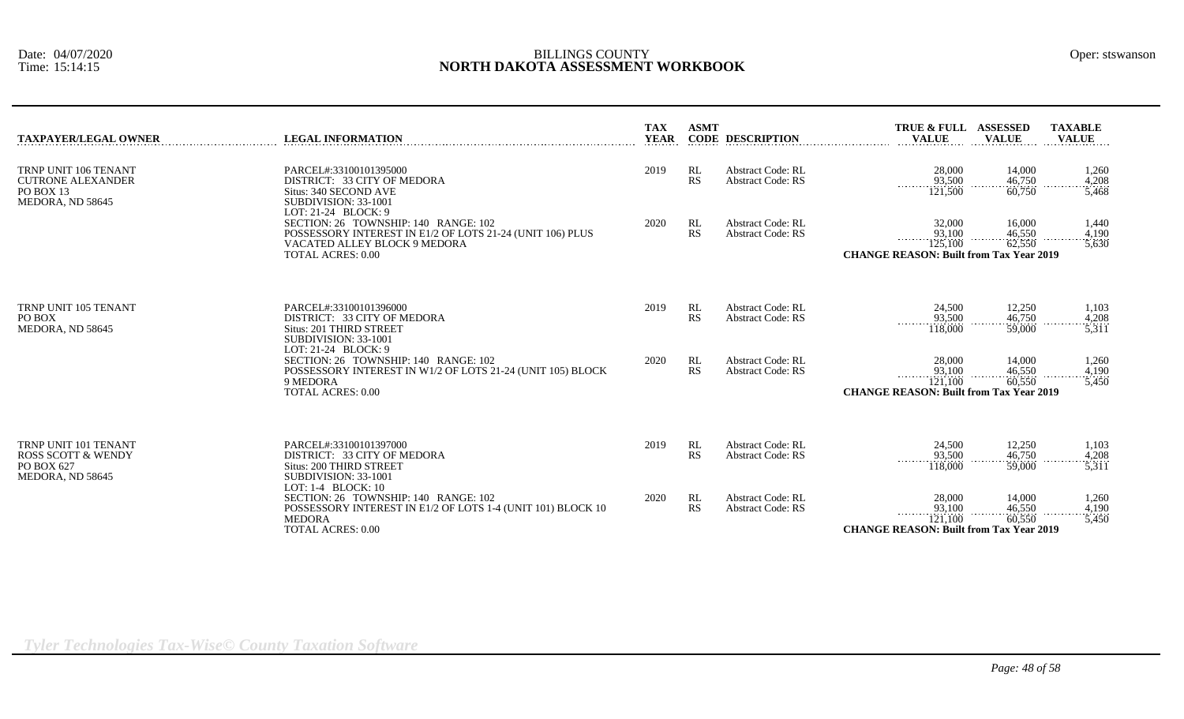| TAXPAYER/LEGAL OWNER                                                              | <b>LEGAL INFORMATION</b>                                                                                                                                                               | <b>TAX</b><br><b>YEAR</b> | <b>ASMT</b>     | <b>CODE DESCRIPTION</b>                              | <b>ASSESSED</b><br><b>TAXABLE</b><br><b>TRUE &amp; FULL</b><br><b>VALUE</b><br><b>VALUE</b><br><b>VALUE</b>                                                                |  |
|-----------------------------------------------------------------------------------|----------------------------------------------------------------------------------------------------------------------------------------------------------------------------------------|---------------------------|-----------------|------------------------------------------------------|----------------------------------------------------------------------------------------------------------------------------------------------------------------------------|--|
| TRNP UNIT 106 TENANT<br><b>CUTRONE ALEXANDER</b><br>PO BOX 13<br>MEDORA, ND 58645 | PARCEL#:33100101395000<br>DISTRICT: 33 CITY OF MEDORA<br>Situs: 340 SECOND AVE<br>SUBDIVISION: 33-1001                                                                                 | 2019                      | RL<br><b>RS</b> | <b>Abstract Code: RL</b><br><b>Abstract Code: RS</b> | 28,000<br>14,000<br>1,260<br>$\frac{93,500}{121,500}$<br>$\frac{46,750}{60,750}$<br>4,208<br>1.1.1.1.1<br>3,468                                                            |  |
|                                                                                   | LOT: $21-24$ BLOCK: 9<br>SECTION: 26 TOWNSHIP: 140 RANGE: 102<br>POSSESSORY INTEREST IN E1/2 OF LOTS 21-24 (UNIT 106) PLUS<br>VACATED ALLEY BLOCK 9 MEDORA<br><b>TOTAL ACRES: 0.00</b> | 2020                      | RL<br><b>RS</b> | <b>Abstract Code: RL</b><br><b>Abstract Code: RS</b> | 32,000<br>16,000<br>1,440<br>93,100<br>$\frac{46,550}{62,550}$<br>4,190<br>125,100<br>5,630<br><b>CHANGE REASON: Built from Tax Year 2019</b>                              |  |
| TRNP UNIT 105 TENANT<br>PO BOX<br>MEDORA, ND 58645                                | PARCEL#:33100101396000<br>DISTRICT: 33 CITY OF MEDORA<br>Situs: 201 THIRD STREET<br>SUBDIVISION: 33-1001<br>LOT: 21-24 BLOCK: 9                                                        | 2019                      | RL<br><b>RS</b> | <b>Abstract Code: RL</b><br><b>Abstract Code: RS</b> | 24,500<br>12,250<br>1,103<br>93,500<br>46,750<br>4,208<br>.<br>118,000<br>5,311<br>59,000                                                                                  |  |
|                                                                                   | SECTION: 26 TOWNSHIP: 140 RANGE: 102<br>POSSESSORY INTEREST IN W1/2 OF LOTS 21-24 (UNIT 105) BLOCK<br>9 MEDORA<br><b>TOTAL ACRES: 0.00</b>                                             | 2020                      | RL<br><b>RS</b> | <b>Abstract Code: RL</b><br><b>Abstract Code: RS</b> | 28,000<br>14,000<br>1,260<br>$\frac{93,100}{121,100}$<br>$\frac{46,550}{60,550}$<br>4,190<br>.<br>.<br><u>.</u><br>3,450<br><b>CHANGE REASON: Built from Tax Year 2019</b> |  |
| TRNP UNIT 101 TENANT<br>ROSS SCOTT & WENDY<br>PO BOX 627<br>MEDORA, ND 58645      | PARCEL#:33100101397000<br>DISTRICT: 33 CITY OF MEDORA<br>Situs: 200 THIRD STREET<br>SUBDIVISION: 33-1001<br>LOT: 1-4 BLOCK: 10                                                         | 2019                      | RL<br><b>RS</b> | <b>Abstract Code: RL</b><br><b>Abstract Code: RS</b> | 24,500<br>12,250<br>1,103<br>46,750<br>93,500<br>4,208<br>.<br>59,000<br>118,000<br>5,311                                                                                  |  |
|                                                                                   | SECTION: 26 TOWNSHIP: 140 RANGE: 102<br>POSSESSORY INTEREST IN E1/2 OF LOTS 1-4 (UNIT 101) BLOCK 10<br><b>MEDORA</b><br><b>TOTAL ACRES: 0.00</b>                                       | 2020                      | RL<br><b>RS</b> | <b>Abstract Code: RL</b><br><b>Abstract Code: RS</b> | 28,000<br>14,000<br>1,260<br>93,100<br>46,550<br>4,190<br>121,100<br>60,550<br>5,450<br><b>CHANGE REASON: Built from Tax Year 2019</b>                                     |  |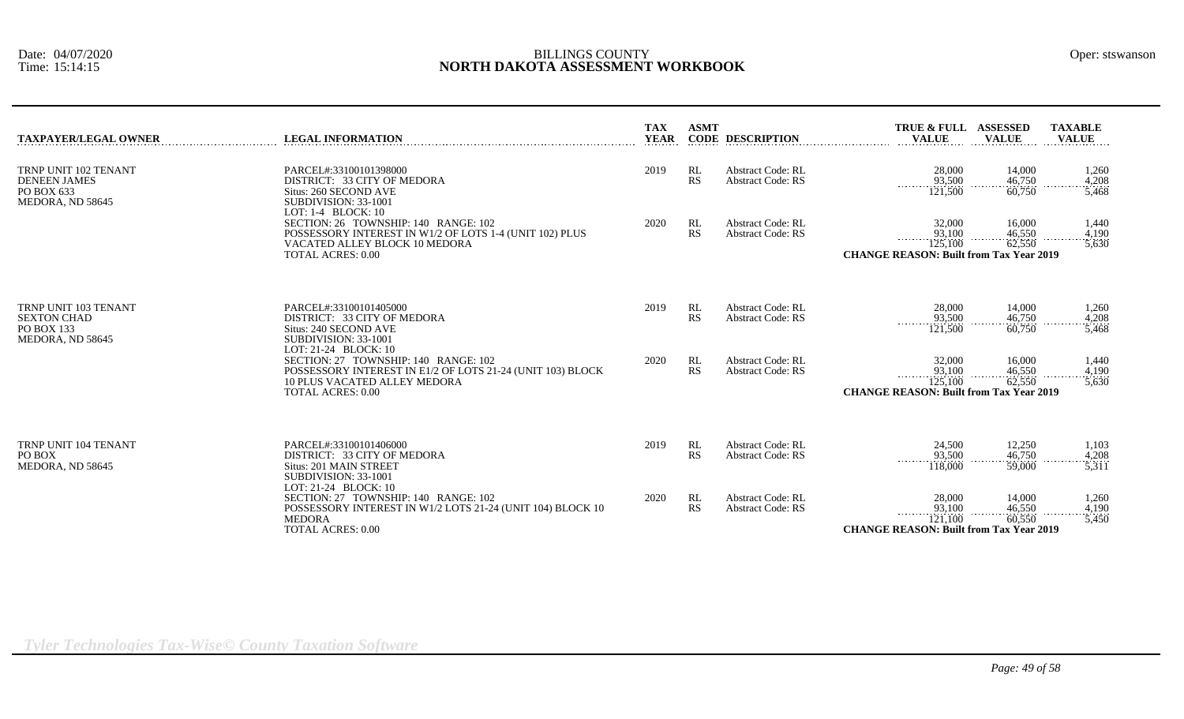| TAXPAYER/LEGAL OWNER                                                          | <b>LEGAL INFORMATION</b>                                                                                                                                                           | <b>TAX</b><br><b>YEAR</b> | <b>ASMT</b>     | <b>CODE DESCRIPTION</b>                              | <b>TRUE &amp; FULL</b><br><b>VALUE</b>                                             | <b>ASSESSED</b><br><b>VALUE</b> | <b>TAXABLE</b><br><b>VALUE</b>         |
|-------------------------------------------------------------------------------|------------------------------------------------------------------------------------------------------------------------------------------------------------------------------------|---------------------------|-----------------|------------------------------------------------------|------------------------------------------------------------------------------------|---------------------------------|----------------------------------------|
| TRNP UNIT 102 TENANT<br><b>DENEEN JAMES</b><br>PO BOX 633<br>MEDORA, ND 58645 | PARCEL#:33100101398000<br>DISTRICT: 33 CITY OF MEDORA<br>Situs: 260 SECOND AVE<br>SUBDIVISION: 33-1001                                                                             | 2019                      | RL<br><b>RS</b> | <b>Abstract Code: RL</b><br><b>Abstract Code: RS</b> | 28,000<br>93,500<br>.<br>121,500                                                   | 14,000<br>46,750<br>60,750      | 1,260<br>4,208<br>5,468                |
|                                                                               | LOT: 1-4 BLOCK: 10<br>SECTION: 26 TOWNSHIP: 140 RANGE: 102<br>POSSESSORY INTEREST IN W1/2 OF LOTS 1-4 (UNIT 102) PLUS<br>VACATED ALLEY BLOCK 10 MEDORA<br><b>TOTAL ACRES: 0.00</b> | 2020                      | RL<br><b>RS</b> | <b>Abstract Code: RL</b><br><b>Abstract Code: RS</b> | 32,000<br>93,100<br>125,100<br><b>CHANGE REASON: Built from Tax Year 2019</b>      | 16,000<br>46,550<br>62,550      | 1,440<br>4,190<br>5,630                |
| TRNP UNIT 103 TENANT<br>SEXTON CHAD<br>PO BOX 133<br>MEDORA, ND 58645         | PARCEL#:33100101405000<br>DISTRICT: 33 CITY OF MEDORA<br>Situs: 240 SECOND AVE<br>SUBDIVISION: 33-1001<br>LOT: 21-24 BLOCK: 10                                                     | 2019                      | RL<br><b>RS</b> | <b>Abstract Code: RL</b><br><b>Abstract Code: RS</b> | 28,000<br>93,500<br>.<br>121,500                                                   | 14.000<br>46,750<br>60,750      | 1,260<br>4,208<br>5,468                |
|                                                                               | SECTION: 27 TOWNSHIP: 140 RANGE: 102<br>POSSESSORY INTEREST IN E1/2 OF LOTS 21-24 (UNIT 103) BLOCK<br><b>10 PLUS VACATED ALLEY MEDORA</b><br><b>TOTAL ACRES: 0.00</b>              | 2020                      | RL<br><b>RS</b> | <b>Abstract Code: RL</b><br><b>Abstract Code: RS</b> | 32,000<br>93,100<br>.<br>125,100<br><b>CHANGE REASON: Built from Tax Year 2019</b> | 16,000<br>46,550<br>62,550      | 1,440<br>4,190<br>$- - - - -$<br>5,630 |
| TRNP UNIT 104 TENANT<br>PO BOX<br>MEDORA, ND 58645                            | PARCEL#:33100101406000<br>DISTRICT: 33 CITY OF MEDORA<br>Situs: 201 MAIN STREET<br>SUBDIVISION: 33-1001<br>LOT: 21-24 BLOCK: 10                                                    | 2019                      | RL<br><b>RS</b> | <b>Abstract Code: RL</b><br><b>Abstract Code: RS</b> | 24,500<br>93,500<br>.<br>118,000                                                   | 12,250<br>46,750<br>59,000      | 1,103<br>4,208<br>3,311                |
|                                                                               | SECTION: 27 TOWNSHIP: 140 RANGE: 102<br>POSSESSORY INTEREST IN W1/2 LOTS 21-24 (UNIT 104) BLOCK 10<br><b>MEDORA</b><br><b>TOTAL ACRES: 0.00</b>                                    | 2020                      | RL<br><b>RS</b> | <b>Abstract Code: RL</b><br><b>Abstract Code: RS</b> | 28,000<br>93,100<br>.<br>121.100<br><b>CHANGE REASON: Built from Tax Year 2019</b> | 14,000<br>46.550<br>60,550      | 1,260<br>4,190<br>5,450                |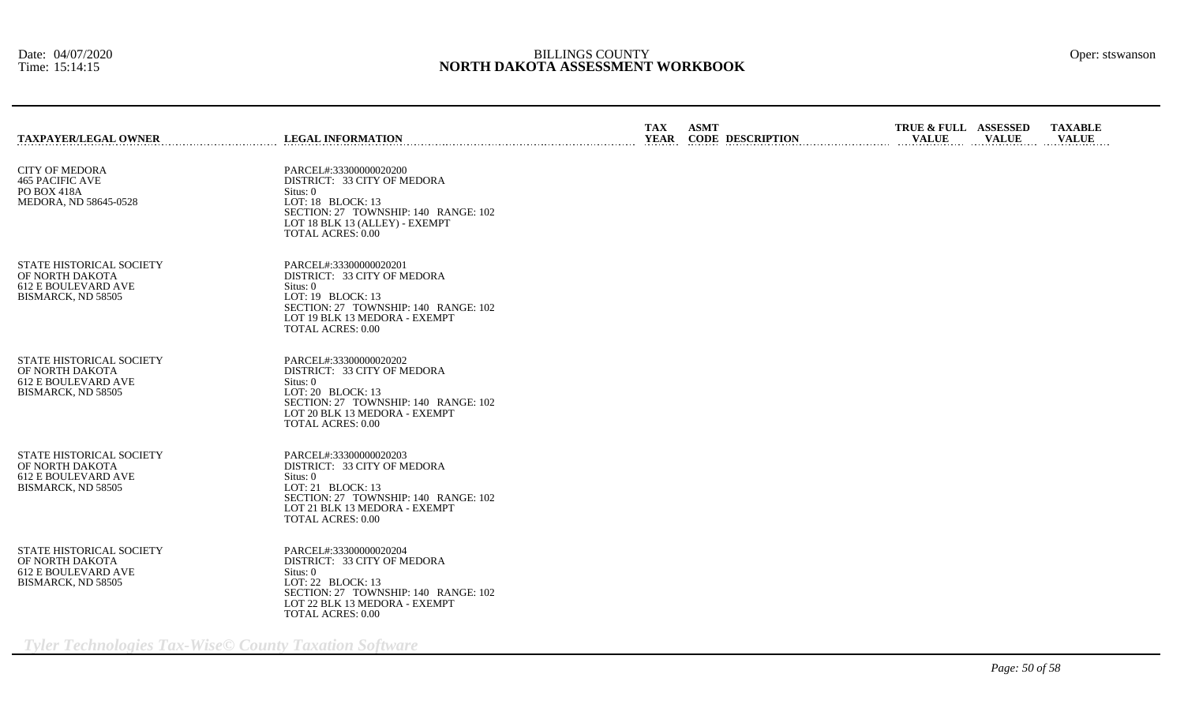| <b>TAXPAYER/LEGAL OWNER</b>                                                                     | <b>LEGAL INFORMATION</b>                                                                                                                                                                      | <b>TAX</b><br><b>YEAR</b> | <b>ASMT</b><br><b>CODE DESCRIPTION</b> | TRUE & FULL ASSESSED<br><b>VALUE</b> | <b>VALUE</b> | <b>TAXABLE</b><br><b>VALUE</b> |
|-------------------------------------------------------------------------------------------------|-----------------------------------------------------------------------------------------------------------------------------------------------------------------------------------------------|---------------------------|----------------------------------------|--------------------------------------|--------------|--------------------------------|
| <b>CITY OF MEDORA</b><br><b>465 PACIFIC AVE</b><br>PO BOX 418A<br>MEDORA, ND 58645-0528         | PARCEL#:33300000020200<br>DISTRICT: 33 CITY OF MEDORA<br>Situs: 0<br>LOT: 18 BLOCK: 13<br>SECTION: 27 TOWNSHIP: 140 RANGE: 102<br>LOT 18 BLK 13 (ALLEY) - EXEMPT<br><b>TOTAL ACRES: 0.00</b>  |                           |                                        |                                      |              |                                |
| <b>STATE HISTORICAL SOCIETY</b><br>OF NORTH DAKOTA<br>612 E BOULEVARD AVE<br>BISMARCK, ND 58505 | PARCEL#:33300000020201<br>DISTRICT: 33 CITY OF MEDORA<br>Situs: 0<br>LOT: 19 BLOCK: 13<br>SECTION: 27 TOWNSHIP: 140 RANGE: 102<br>LOT 19 BLK 13 MEDORA - EXEMPT<br><b>TOTAL ACRES: 0.00</b>   |                           |                                        |                                      |              |                                |
| <b>STATE HISTORICAL SOCIETY</b><br>OF NORTH DAKOTA<br>612 E BOULEVARD AVE<br>BISMARCK, ND 58505 | PARCEL#:33300000020202<br>DISTRICT: 33 CITY OF MEDORA<br>Situs: 0<br>LOT: 20 BLOCK: 13<br>SECTION: 27 TOWNSHIP: 140 RANGE: 102<br>LOT 20 BLK 13 MEDORA - EXEMPT<br><b>TOTAL ACRES: 0.00</b>   |                           |                                        |                                      |              |                                |
| <b>STATE HISTORICAL SOCIETY</b><br>OF NORTH DAKOTA<br>612 E BOULEVARD AVE<br>BISMARCK, ND 58505 | PARCEL#:33300000020203<br>DISTRICT: 33 CITY OF MEDORA<br>Situs: 0<br>LOT: 21 BLOCK: 13<br>SECTION: 27 TOWNSHIP: 140 RANGE: 102<br>LOT 21 BLK 13 MEDORA - EXEMPT<br><b>TOTAL ACRES: 0.00</b>   |                           |                                        |                                      |              |                                |
| STATE HISTORICAL SOCIETY<br>OF NORTH DAKOTA<br>612 E BOULEVARD AVE<br>BISMARCK, ND 58505        | PARCEL#:33300000020204<br>DISTRICT: 33 CITY OF MEDORA<br>Situs: 0<br>LOT: $22$ BLOCK: 13<br>SECTION: 27 TOWNSHIP: 140 RANGE: 102<br>LOT 22 BLK 13 MEDORA - EXEMPT<br><b>TOTAL ACRES: 0.00</b> |                           |                                        |                                      |              |                                |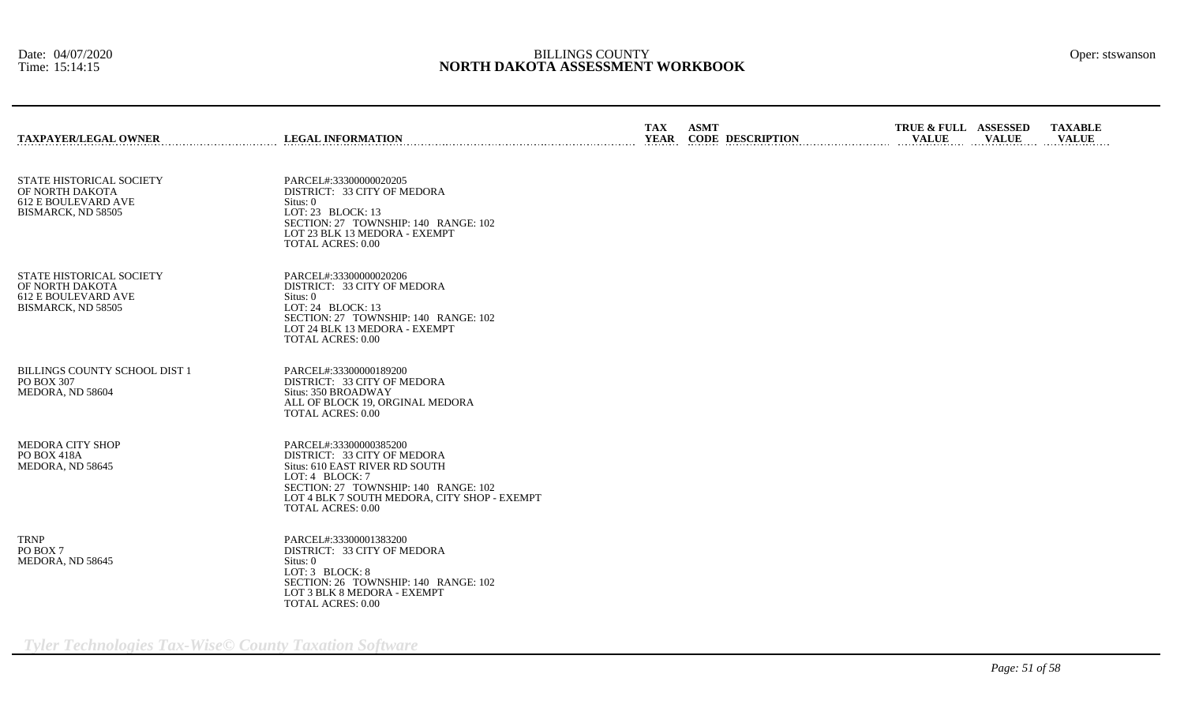| <b>TAXPAYER/LEGAL OWNER</b>                                                              | <b>LEGAL INFORMATION</b>                                                                                                                                                                                                       | <b>TAX</b><br><b>YEAR</b> | <b>ASMT</b><br><b>CODE DESCRIPTION</b> | TRUE & FULL ASSESSED<br><b>VALUE</b> | <b>VALUE</b> | <b>TAXABLE</b><br><b>VALUE</b> |
|------------------------------------------------------------------------------------------|--------------------------------------------------------------------------------------------------------------------------------------------------------------------------------------------------------------------------------|---------------------------|----------------------------------------|--------------------------------------|--------------|--------------------------------|
| STATE HISTORICAL SOCIETY<br>OF NORTH DAKOTA<br>612 E BOULEVARD AVE<br>BISMARCK, ND 58505 | PARCEL#:33300000020205<br>DISTRICT: 33 CITY OF MEDORA<br>Situs: 0<br>LOT: 23 BLOCK: 13<br>SECTION: 27 TOWNSHIP: 140 RANGE: 102<br>LOT 23 BLK 13 MEDORA - EXEMPT<br><b>TOTAL ACRES: 0.00</b>                                    |                           |                                        |                                      |              |                                |
| STATE HISTORICAL SOCIETY<br>OF NORTH DAKOTA<br>612 E BOULEVARD AVE<br>BISMARCK, ND 58505 | PARCEL#:33300000020206<br>DISTRICT: 33 CITY OF MEDORA<br>Situs: 0<br>LOT: 24 BLOCK: 13<br>SECTION: 27 TOWNSHIP: 140 RANGE: 102<br>LOT 24 BLK 13 MEDORA - EXEMPT<br><b>TOTAL ACRES: 0.00</b>                                    |                           |                                        |                                      |              |                                |
| <b>BILLINGS COUNTY SCHOOL DIST 1</b><br>PO BOX 307<br>MEDORA, ND 58604                   | PARCEL#:33300000189200<br>DISTRICT: 33 CITY OF MEDORA<br>Situs: 350 BROADWAY<br>ALL OF BLOCK 19, ORGINAL MEDORA<br><b>TOTAL ACRES: 0.00</b>                                                                                    |                           |                                        |                                      |              |                                |
| MEDORA CITY SHOP<br><b>PO BOX 418A</b><br>MEDORA, ND 58645                               | PARCEL#:33300000385200<br>DISTRICT: 33 CITY OF MEDORA<br>Situs: 610 EAST RIVER RD SOUTH<br>LOT: 4 BLOCK: 7<br>SECTION: 27 TOWNSHIP: 140 RANGE: 102<br>LOT 4 BLK 7 SOUTH MEDORA, CITY SHOP - EXEMPT<br><b>TOTAL ACRES: 0.00</b> |                           |                                        |                                      |              |                                |
| <b>TRNP</b><br>PO BOX 7<br>MEDORA, ND 58645                                              | PARCEL#:33300001383200<br>DISTRICT: 33 CITY OF MEDORA<br>Situs: 0<br>LOT: 3 BLOCK: 8<br>SECTION: 26 TOWNSHIP: 140 RANGE: 102<br>LOT 3 BLK 8 MEDORA - EXEMPT<br><b>TOTAL ACRES: 0.00</b>                                        |                           |                                        |                                      |              |                                |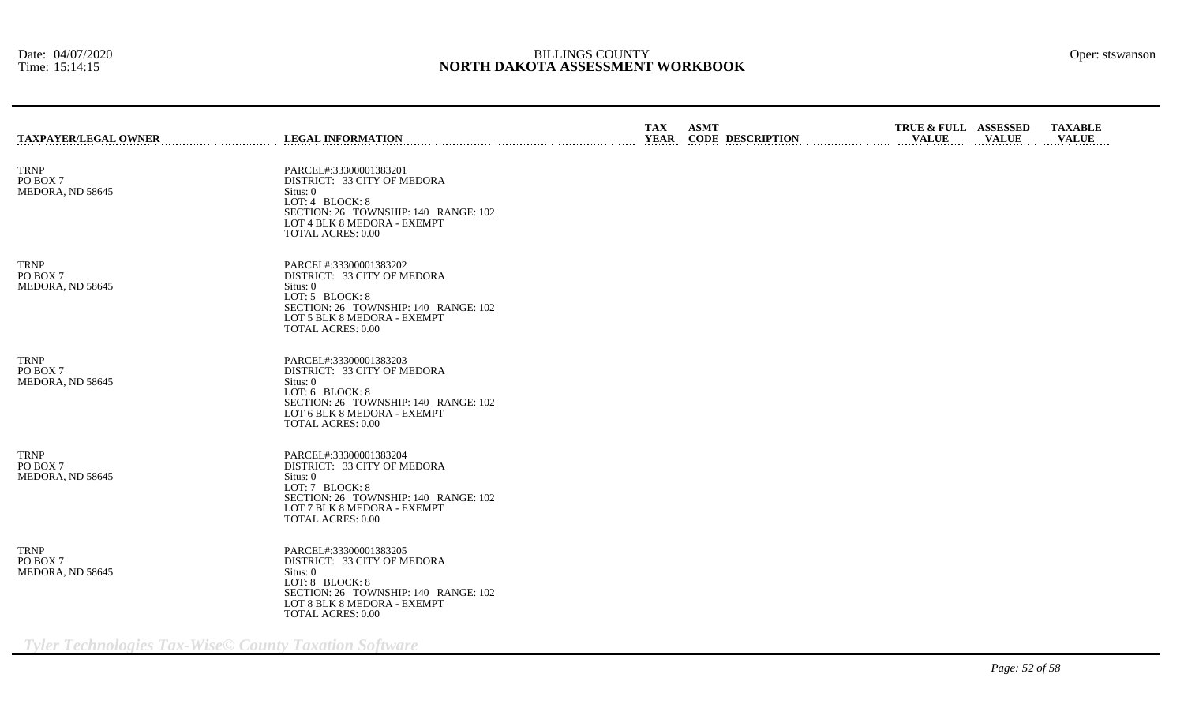| <b>TAXPAYER/LEGAL OWNER</b>                 | <b>LEGAL INFORMATION</b>                                                                                                                                                                | TAX<br>YEAR | ASMT<br><b>CODE DESCRIPTION</b> | TRUE & FULL ASSESSED<br><b>VALUE</b> | <b>VALUE</b> | <b>TAXABLE</b><br><b>VALUE</b> |
|---------------------------------------------|-----------------------------------------------------------------------------------------------------------------------------------------------------------------------------------------|-------------|---------------------------------|--------------------------------------|--------------|--------------------------------|
| <b>TRNP</b><br>PO BOX 7<br>MEDORA, ND 58645 | PARCEL#:33300001383201<br>DISTRICT: 33 CITY OF MEDORA<br>Situs: 0<br>LOT: 4 BLOCK: 8<br>SECTION: 26 TOWNSHIP: 140 RANGE: 102<br>LOT 4 BLK 8 MEDORA - EXEMPT<br><b>TOTAL ACRES: 0.00</b> |             |                                 |                                      |              |                                |
| <b>TRNP</b><br>PO BOX 7<br>MEDORA, ND 58645 | PARCEL#:33300001383202<br>DISTRICT: 33 CITY OF MEDORA<br>Situs: 0<br>LOT: 5 BLOCK: 8<br>SECTION: 26 TOWNSHIP: 140 RANGE: 102<br>LOT 5 BLK 8 MEDORA - EXEMPT<br><b>TOTAL ACRES: 0.00</b> |             |                                 |                                      |              |                                |
| <b>TRNP</b><br>PO BOX 7<br>MEDORA, ND 58645 | PARCEL#:33300001383203<br>DISTRICT: 33 CITY OF MEDORA<br>Situs: 0<br>LOT: 6 BLOCK: 8<br>SECTION: 26 TOWNSHIP: 140 RANGE: 102<br>LOT 6 BLK 8 MEDORA - EXEMPT<br><b>TOTAL ACRES: 0.00</b> |             |                                 |                                      |              |                                |
| <b>TRNP</b><br>PO BOX 7<br>MEDORA, ND 58645 | PARCEL#:33300001383204<br>DISTRICT: 33 CITY OF MEDORA<br>Situs: 0<br>LOT: 7 BLOCK: 8<br>SECTION: 26 TOWNSHIP: 140 RANGE: 102<br>LOT 7 BLK 8 MEDORA - EXEMPT<br><b>TOTAL ACRES: 0.00</b> |             |                                 |                                      |              |                                |
| <b>TRNP</b><br>PO BOX 7<br>MEDORA, ND 58645 | PARCEL#:33300001383205<br>DISTRICT: 33 CITY OF MEDORA<br>Situs: 0<br>LOT: 8 BLOCK: 8<br>SECTION: 26 TOWNSHIP: 140 RANGE: 102<br>LOT 8 BLK 8 MEDORA - EXEMPT<br><b>TOTAL ACRES: 0.00</b> |             |                                 |                                      |              |                                |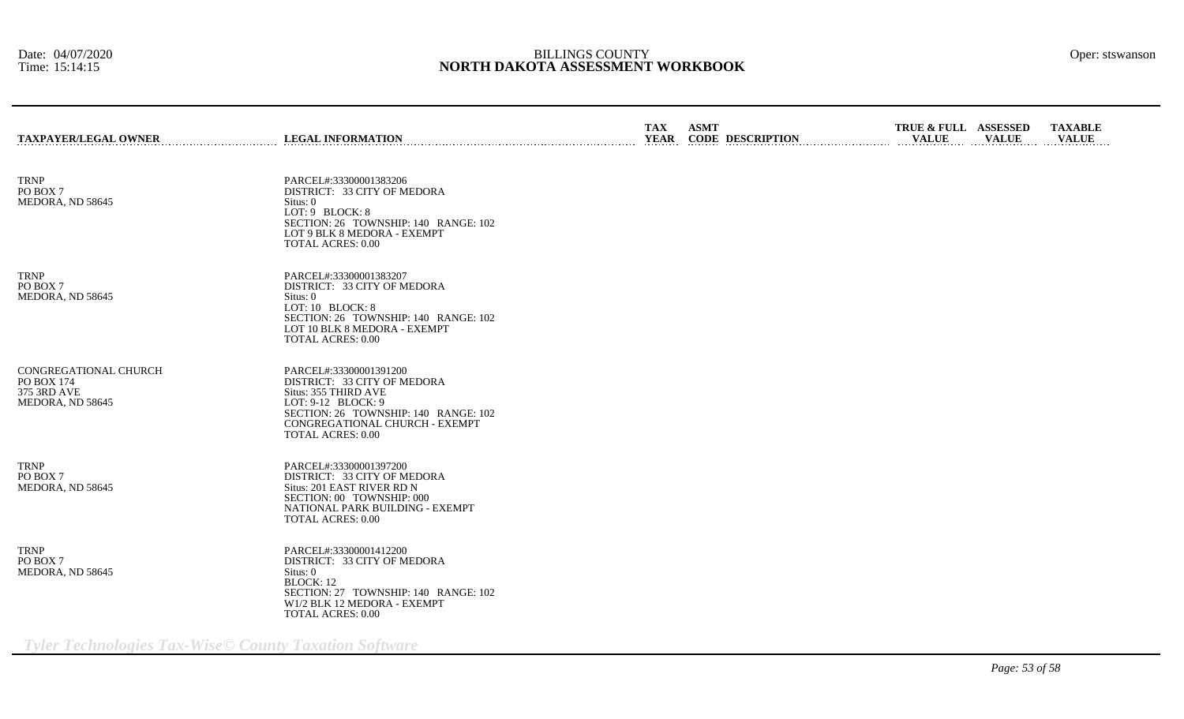| <b>TAXPAYER/LEGAL OWNER</b>                                            | <b>LEGAL INFORMATION</b>                                                                                                                                                                                  | <b>TAX</b><br><b>YEAR</b> | <b>ASMT</b> | <b>CODE DESCRIPTION</b> | TRUE & FULL ASSESSED<br><b>VALUE</b> | <b>VALUE</b> | <b>TAXABLE</b><br><b>VALUE</b> |
|------------------------------------------------------------------------|-----------------------------------------------------------------------------------------------------------------------------------------------------------------------------------------------------------|---------------------------|-------------|-------------------------|--------------------------------------|--------------|--------------------------------|
| <b>TRNP</b><br>PO BOX 7<br>MEDORA, ND 58645                            | PARCEL#:33300001383206<br>DISTRICT: 33 CITY OF MEDORA<br>Situs: 0<br>LOT: 9 BLOCK: 8<br>SECTION: 26 TOWNSHIP: 140 RANGE: 102<br>LOT 9 BLK 8 MEDORA - EXEMPT<br><b>TOTAL ACRES: 0.00</b>                   |                           |             |                         |                                      |              |                                |
| <b>TRNP</b><br>PO BOX 7<br>MEDORA, ND 58645                            | PARCEL#:33300001383207<br>DISTRICT: 33 CITY OF MEDORA<br>Situs: 0<br>LOT: 10 BLOCK: 8<br>SECTION: 26 TOWNSHIP: 140 RANGE: 102<br>LOT 10 BLK 8 MEDORA - EXEMPT<br><b>TOTAL ACRES: 0.00</b>                 |                           |             |                         |                                      |              |                                |
| CONGREGATIONAL CHURCH<br>PO BOX 174<br>375 3RD AVE<br>MEDORA, ND 58645 | PARCEL#:33300001391200<br>DISTRICT: 33 CITY OF MEDORA<br>Situs: 355 THIRD AVE<br>LOT: 9-12 BLOCK: 9<br>SECTION: 26 TOWNSHIP: 140 RANGE: 102<br>CONGREGATIONAL CHURCH - EXEMPT<br><b>TOTAL ACRES: 0.00</b> |                           |             |                         |                                      |              |                                |
| <b>TRNP</b><br>PO BOX 7<br>MEDORA, ND 58645                            | PARCEL#:33300001397200<br>DISTRICT: 33 CITY OF MEDORA<br>Situs: 201 EAST RIVER RD N<br>SECTION: 00 TOWNSHIP: 000<br>NATIONAL PARK BUILDING - EXEMPT<br><b>TOTAL ACRES: 0.00</b>                           |                           |             |                         |                                      |              |                                |
| <b>TRNP</b><br>PO BOX 7<br>MEDORA, ND 58645                            | PARCEL#:33300001412200<br>DISTRICT: 33 CITY OF MEDORA<br>Situs: 0<br><b>BLOCK: 12</b><br>SECTION: 27 TOWNSHIP: 140 RANGE: 102<br>W1/2 BLK 12 MEDORA - EXEMPT<br><b>TOTAL ACRES: 0.00</b>                  |                           |             |                         |                                      |              |                                |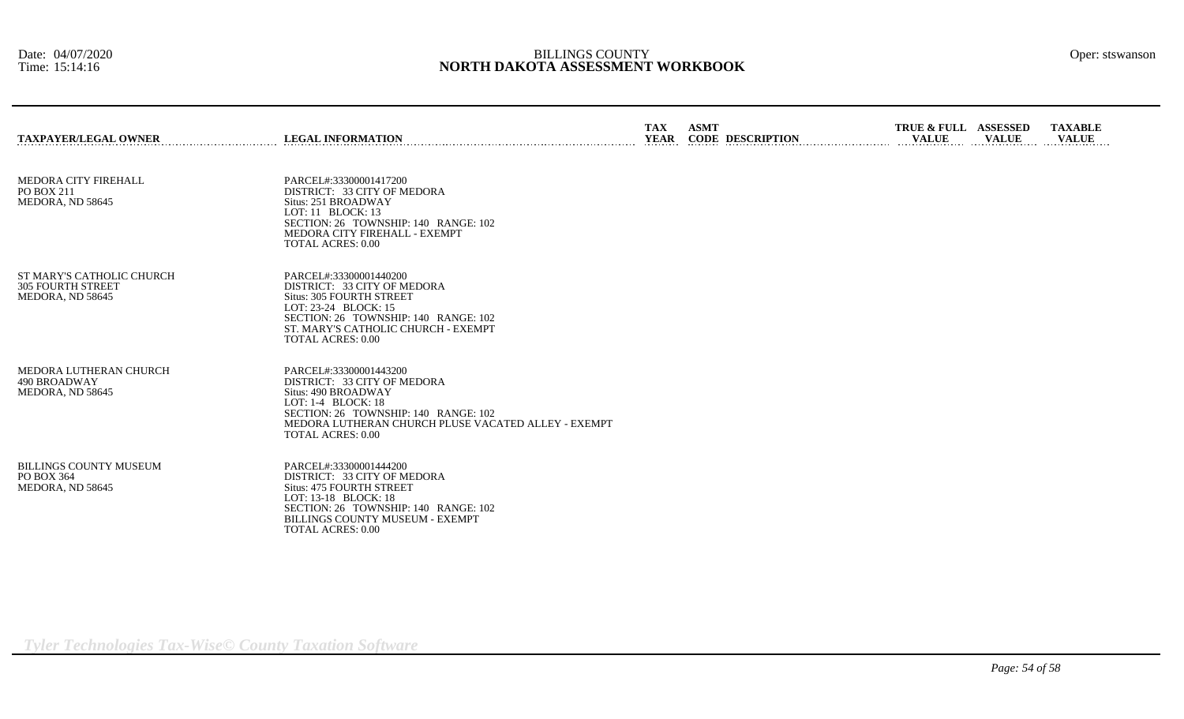| <b>TAXPAYER/LEGAL OWNER</b>                                               | <b>LEGAL INFORMATION</b>                                                                                                                                                                                                          | <b>TAX</b><br>YEAR | <b>ASMT</b><br><b>CODE DESCRIPTION</b> | TRUE & FULL ASSESSED<br><b>VALUE</b> | <b>VALUE</b> | <b>TAXABLE</b><br><b>VALUE</b> |
|---------------------------------------------------------------------------|-----------------------------------------------------------------------------------------------------------------------------------------------------------------------------------------------------------------------------------|--------------------|----------------------------------------|--------------------------------------|--------------|--------------------------------|
| MEDORA CITY FIREHALL<br>PO BOX 211<br>MEDORA, ND 58645                    | PARCEL#:33300001417200<br>DISTRICT: 33 CITY OF MEDORA<br>Situs: 251 BROADWAY<br>LOT: 11 BLOCK: 13<br>SECTION: 26 TOWNSHIP: 140 RANGE: 102<br>MEDORA CITY FIREHALL - EXEMPT<br><b>TOTAL ACRES: 0.00</b>                            |                    |                                        |                                      |              |                                |
| ST MARY'S CATHOLIC CHURCH<br><b>305 FOURTH STREET</b><br>MEDORA, ND 58645 | PARCEL#:33300001440200<br>DISTRICT: 33 CITY OF MEDORA<br><b>Situs: 305 FOURTH STREET</b><br>LOT: 23-24 BLOCK: 15<br>SECTION: 26 TOWNSHIP: 140 RANGE: 102<br>ST. MARY'S CATHOLIC CHURCH - EXEMPT<br><b>TOTAL ACRES: 0.00</b>       |                    |                                        |                                      |              |                                |
| MEDORA LUTHERAN CHURCH<br>490 BROADWAY<br>MEDORA, ND 58645                | PARCEL#:33300001443200<br>DISTRICT: 33 CITY OF MEDORA<br>Situs: 490 BROADWAY<br>LOT: $1-4$ BLOCK: $18$<br>SECTION: 26 TOWNSHIP: 140 RANGE: 102<br>MEDORA LUTHERAN CHURCH PLUSE VACATED ALLEY - EXEMPT<br><b>TOTAL ACRES: 0.00</b> |                    |                                        |                                      |              |                                |
| <b>BILLINGS COUNTY MUSEUM</b><br>PO BOX 364<br>MEDORA, ND 58645           | PARCEL#:33300001444200<br>DISTRICT: 33 CITY OF MEDORA<br><b>Situs: 475 FOURTH STREET</b><br>LOT: 13-18 BLOCK: 18<br>SECTION: 26 TOWNSHIP: 140 RANGE: 102<br><b>BILLINGS COUNTY MUSEUM - EXEMPT</b><br><b>TOTAL ACRES: 0.00</b>    |                    |                                        |                                      |              |                                |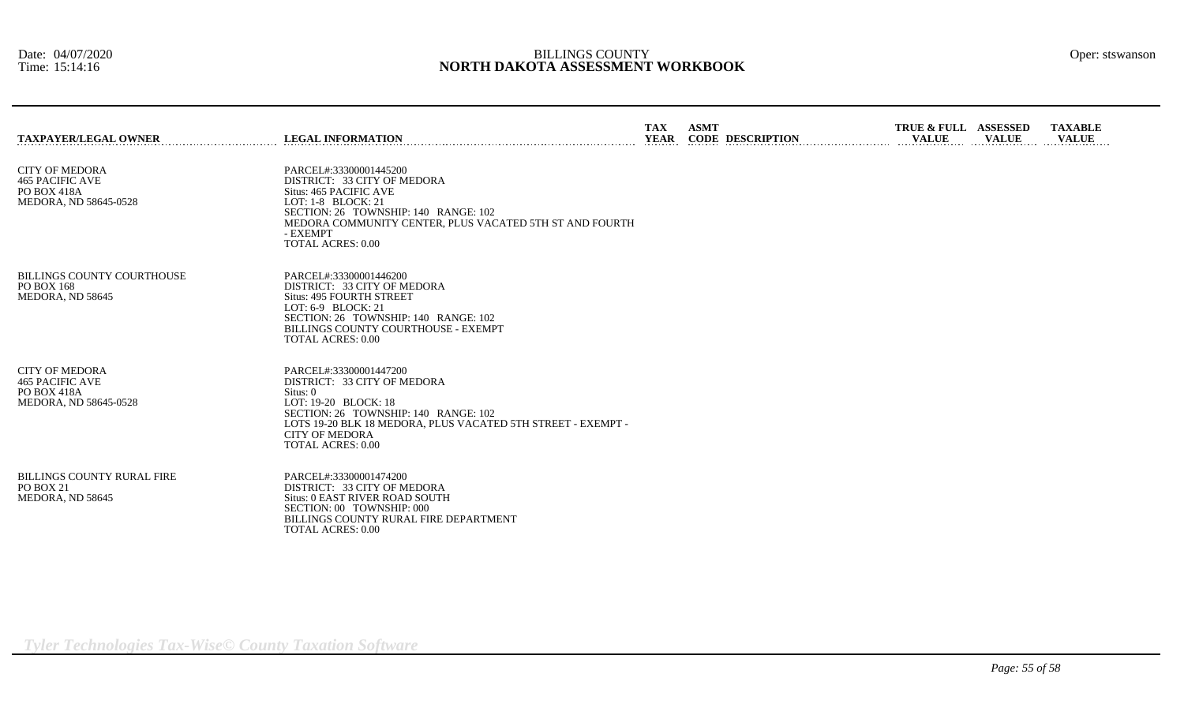| <b>TAXPAYER/LEGAL OWNER</b>                                                             | <b>LEGAL INFORMATION</b>                                                                                                                                                                                                                               | <b>TAX</b><br><b>YEAR</b> | <b>ASMT</b><br><b>CODE DESCRIPTION</b> | TRUE & FULL ASSESSED<br><b>VALUE</b> | <b>VALUE</b> | <b>TAXABLE</b><br><b>VALUE</b> |
|-----------------------------------------------------------------------------------------|--------------------------------------------------------------------------------------------------------------------------------------------------------------------------------------------------------------------------------------------------------|---------------------------|----------------------------------------|--------------------------------------|--------------|--------------------------------|
| <b>CITY OF MEDORA</b><br><b>465 PACIFIC AVE</b><br>PO BOX 418A<br>MEDORA, ND 58645-0528 | PARCEL#:33300001445200<br>DISTRICT: 33 CITY OF MEDORA<br>Situs: 465 PACIFIC AVE<br>LOT: $1-8$ BLOCK: $21$<br>SECTION: 26 TOWNSHIP: 140 RANGE: 102<br>MEDORA COMMUNITY CENTER, PLUS VACATED 5TH ST AND FOURTH<br>- EXEMPT<br><b>TOTAL ACRES: 0.00</b>   |                           |                                        |                                      |              |                                |
| <b>BILLINGS COUNTY COURTHOUSE</b><br><b>PO BOX 168</b><br>MEDORA, ND 58645              | PARCEL#:33300001446200<br>DISTRICT: 33 CITY OF MEDORA<br><b>Situs: 495 FOURTH STREET</b><br>LOT: $6-9$ BLOCK: 21<br>SECTION: 26 TOWNSHIP: 140 RANGE: 102<br>BILLINGS COUNTY COURTHOUSE - EXEMPT<br><b>TOTAL ACRES: 0.00</b>                            |                           |                                        |                                      |              |                                |
| <b>CITY OF MEDORA</b><br><b>465 PACIFIC AVE</b><br>PO BOX 418A<br>MEDORA, ND 58645-0528 | PARCEL#:33300001447200<br>DISTRICT: 33 CITY OF MEDORA<br>Situs: 0<br>LOT: 19-20 BLOCK: 18<br>SECTION: 26 TOWNSHIP: 140 RANGE: 102<br>LOTS 19-20 BLK 18 MEDORA, PLUS VACATED 5TH STREET - EXEMPT -<br><b>CITY OF MEDORA</b><br><b>TOTAL ACRES: 0.00</b> |                           |                                        |                                      |              |                                |
| <b>BILLINGS COUNTY RURAL FIRE</b><br>PO BOX 21<br>MEDORA, ND 58645                      | PARCEL#:33300001474200<br>DISTRICT: 33 CITY OF MEDORA<br>Situs: 0 EAST RIVER ROAD SOUTH<br>SECTION: 00 TOWNSHIP: 000<br>BILLINGS COUNTY RURAL FIRE DEPARTMENT<br><b>TOTAL ACRES: 0.00</b>                                                              |                           |                                        |                                      |              |                                |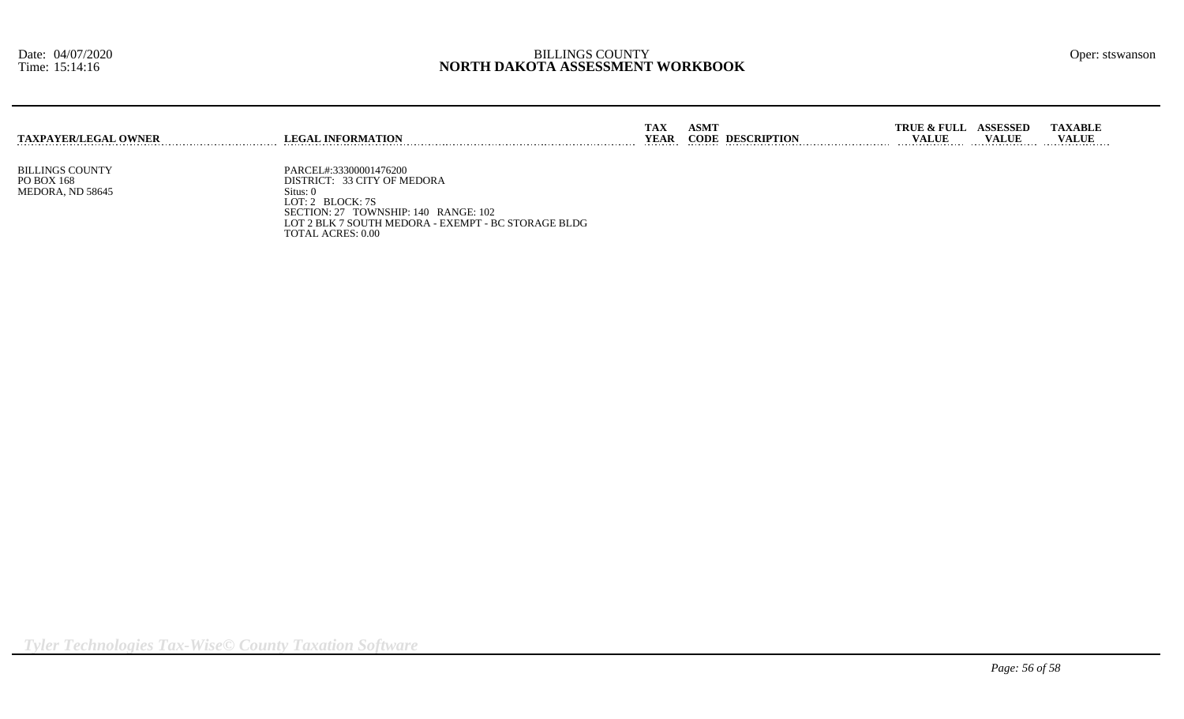| <b>TAXPAYER/LEGAL OWNER</b> | <b>LEGAL INFORMATION</b>                            | TAX<br>YEAR | <b>ASMT</b><br><b>CODE DESCRIPTION</b> | <b>TRUE &amp; FULL</b><br>VALUE | <b>ASSESSED</b><br><b>VALUE</b> | <b>TAXABLE</b><br><b>VALUE</b> |
|-----------------------------|-----------------------------------------------------|-------------|----------------------------------------|---------------------------------|---------------------------------|--------------------------------|
|                             |                                                     |             |                                        |                                 |                                 |                                |
| <b>BILLINGS COUNTY</b>      | PARCEL#:33300001476200                              |             |                                        |                                 |                                 |                                |
| PO BOX 168                  | DISTRICT: 33 CITY OF MEDORA                         |             |                                        |                                 |                                 |                                |
| MEDORA, ND 58645            | Situs:<br>$T$ $\cap T$ $\cap$ $T$ $\cap T$ $\cap T$ |             |                                        |                                 |                                 |                                |

LOT: 2 BLOCK: 7S SECTION: 27 TOWNSHIP: 140 RANGE: 102 LOT 2 BLK 7 SOUTH MEDORA - EXEMPT - BC STORAGE BLDG TOTAL ACRES: 0.00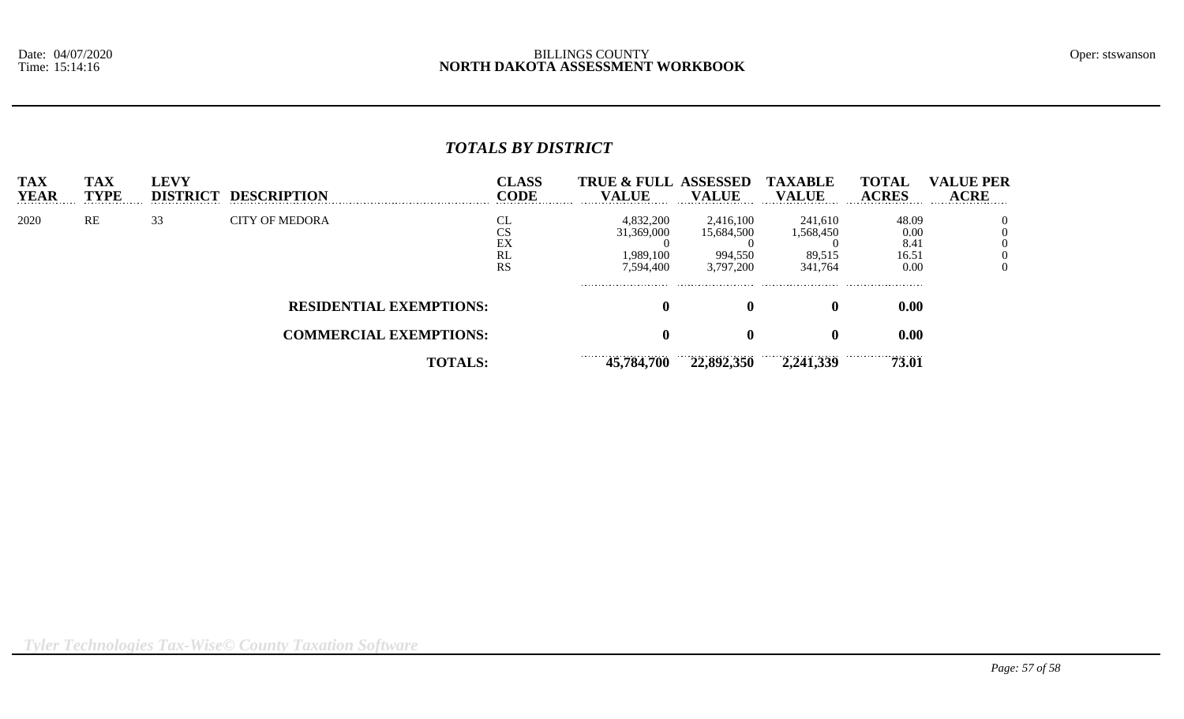# *TOTALS BY DISTRICT*

| <b>TAX</b><br><b>YEAR</b> | <b>TAX</b><br><b>TYPE</b> | LEVY<br><b>DISTRICT</b> | <b>DESCRIPTION</b>             | <b>CLASS</b><br>CODE                  | <b>TRUE &amp; FULL ASSESSED</b><br>VALUE          | <b>VALUE</b>                                    | <b>TAXABLE</b><br><b>VALUE</b>            | <b>TOTAL</b><br><b>ACRES</b>           | <b>VALUE PER</b><br><b>ACRE</b> |
|---------------------------|---------------------------|-------------------------|--------------------------------|---------------------------------------|---------------------------------------------------|-------------------------------------------------|-------------------------------------------|----------------------------------------|---------------------------------|
| 2020                      | RE                        | 33                      | <b>CITY OF MEDORA</b>          | c<br>⌒⌒<br>w<br>EX<br>RL<br><b>RS</b> | 4,832,200<br>31,369,000<br>1,989,100<br>7,594,400 | 2,416,100<br>15,684,500<br>994,550<br>3,797,200 | 241,610<br>1,568,450<br>89,515<br>341,764 | 48.09<br>0.00<br>8.41<br>16.51<br>0.00 |                                 |
|                           |                           |                         | <b>RESIDENTIAL EXEMPTIONS:</b> |                                       | $\mathbf{0}$                                      |                                                 |                                           | 0.00                                   |                                 |
|                           |                           |                         | <b>COMMERCIAL EXEMPTIONS:</b>  |                                       |                                                   |                                                 |                                           | 0.00                                   |                                 |
|                           |                           |                         | <b>TOTALS:</b>                 |                                       | <br>45,784,700                                    | 22,892,350                                      | 2,241,339                                 | 73.01                                  |                                 |